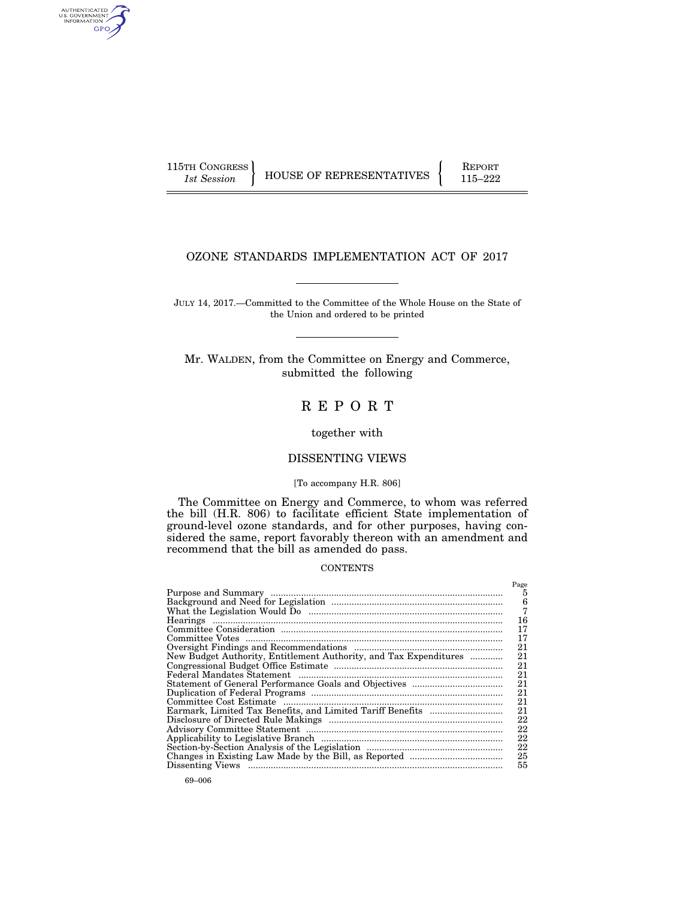AUTHENTICATED<br>U.S. GOVERNMENT<br>INFORMATION GPO

115TH CONGRESS HOUSE OF REPRESENTATIVES FEPORT 115–222

# OZONE STANDARDS IMPLEMENTATION ACT OF 2017

JULY 14, 2017.—Committed to the Committee of the Whole House on the State of the Union and ordered to be printed

Mr. WALDEN, from the Committee on Energy and Commerce, submitted the following

# R E P O R T

together with

# DISSENTING VIEWS

# [To accompany H.R. 806]

The Committee on Energy and Commerce, to whom was referred the bill (H.R. 806) to facilitate efficient State implementation of ground-level ozone standards, and for other purposes, having considered the same, report favorably thereon with an amendment and recommend that the bill as amended do pass.

# CONTENTS

|                                                                   | Page |
|-------------------------------------------------------------------|------|
|                                                                   | 5    |
|                                                                   | 6    |
|                                                                   |      |
|                                                                   | 16   |
|                                                                   | 17   |
|                                                                   | 17   |
|                                                                   | 21   |
|                                                                   | 21   |
| New Budget Authority, Entitlement Authority, and Tax Expenditures |      |
|                                                                   | 21   |
|                                                                   | 21   |
|                                                                   | 21   |
|                                                                   | 21   |
|                                                                   | 21   |
|                                                                   | 21   |
|                                                                   | 22   |
|                                                                   | 22   |
|                                                                   | 22   |
|                                                                   | 22   |
|                                                                   | 25   |
|                                                                   | 55   |
|                                                                   |      |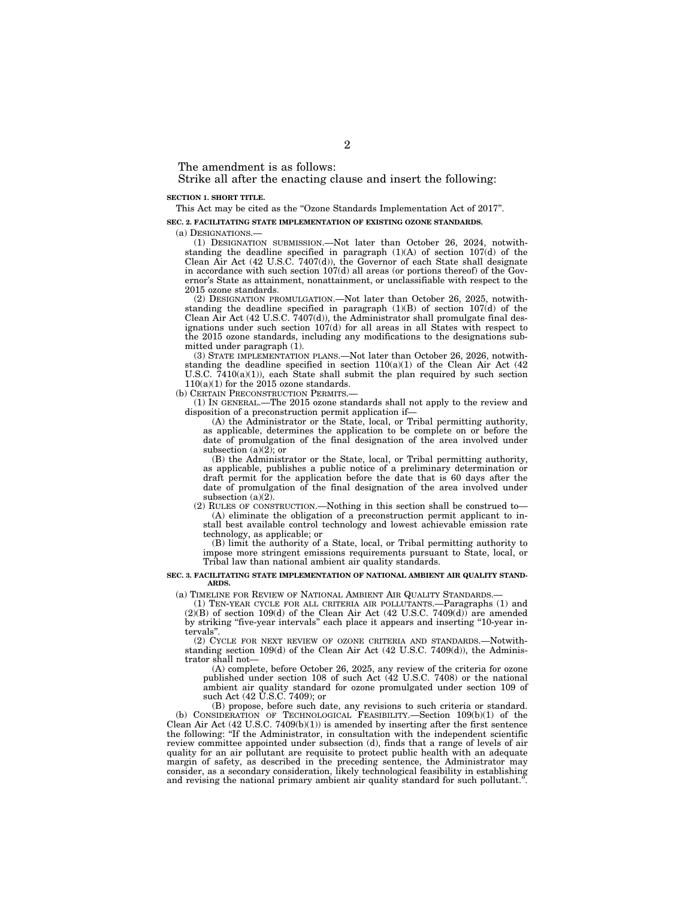The amendment is as follows:

Strike all after the enacting clause and insert the following:

#### **SECTION 1. SHORT TITLE.**

This Act may be cited as the "Ozone Standards Implementation Act of 2017".

**SEC. 2. FACILITATING STATE IMPLEMENTATION OF EXISTING OZONE STANDARDS.** 

(a) DESIGNATIONS.—

(1) DESIGNATION SUBMISSION.—Not later than October 26, 2024, notwithstanding the deadline specified in paragraph  $(1)(A)$  of section 107(d) of the Clean Air Act (42 U.S.C. 7407(d)), the Governor of each State shall designate in accordance with such section  $107(d)$  all areas (or portions thereof) of the Governor's State as attainment, nonattainment, or unclassifiable with respect to the 2015 ozone standards.

(2) DESIGNATION PROMULGATION.—Not later than October 26, 2025, notwithstanding the deadline specified in paragraph (1)(B) of section 107(d) of the Clean Air Act (42 U.S.C. 7407(d)), the Administrator shall promulgate final designations under such section 107(d) for all areas in all States with respect to the 2015 ozone standards, including any modifications to the designations submitted under paragraph (1).

(3) STATE IMPLEMENTATION PLANS.—Not later than October 26, 2026, notwithstanding the deadline specified in section  $110(a)(1)$  of the Clean Air Act (42 U.S.C.  $7410(a)(1)$ , each State shall submit the plan required by such section 110(a)(1) for the 2015 ozone standards.

(b) CERTAIN PRECONSTRUCTION PERMITS.—

(1) IN GENERAL.—The 2015 ozone standards shall not apply to the review and disposition of a preconstruction permit application if—

(A) the Administrator or the State, local, or Tribal permitting authority, as applicable, determines the application to be complete on or before the date of promulgation of the final designation of the area involved under subsection (a)(2); or

(B) the Administrator or the State, local, or Tribal permitting authority, as applicable, publishes a public notice of a preliminary determination or draft permit for the application before the date that is 60 days after the date of promulgation of the final designation of the area involved under subsection  $(a)(2)$ .

(2) RULES OF CONSTRUCTION.—Nothing in this section shall be construed to— (A) eliminate the obligation of a preconstruction permit applicant to install best available control technology and lowest achievable emission rate technology, as applicable; or

(B) limit the authority of a State, local, or Tribal permitting authority to impose more stringent emissions requirements pursuant to State, local, or Tribal law than national ambient air quality standards.

#### **SEC. 3. FACILITATING STATE IMPLEMENTATION OF NATIONAL AMBIENT AIR QUALITY STAND-ARDS.**

(a) TIMELINE FOR REVIEW OF NATIONAL AMBIENT AIR QUALITY STANDARDS.—

(1) TEN-YEAR CYCLE FOR ALL CRITERIA AIR POLLUTANTS.—Paragraphs (1) and  $(2)(B)$  of section 109(d) of the Clean Air Act (42 U.S.C. 7409(d)) are amended by striking "five-year intervals" each place it appears and inserting "10-year intervals''.

(2) CYCLE FOR NEXT REVIEW OF OZONE CRITERIA AND STANDARDS.—Notwithstanding section  $109(d)$  of the Clean Air Act  $(42 \text{ U.S.C. } 7409(d))$ , the Administrator shall not—

(A) complete, before October 26, 2025, any review of the criteria for ozone published under section 108 of such Act (42 U.S.C. 7408) or the national ambient air quality standard for ozone promulgated under section 109 of such Act (42  $\hat{U}$ .S.C. 7409); or

(B) propose, before such date, any revisions to such criteria or standard. (b) CONSIDERATION OF TECHNOLOGICAL FEASIBILITY.—Section 109(b)(1) of the Clean Air Act  $(42 \text{ U.S.C. } 7409(b)(1))$  is amended by inserting after the first sentence the following: ''If the Administrator, in consultation with the independent scientific review committee appointed under subsection (d), finds that a range of levels of air quality for an air pollutant are requisite to protect public health with an adequate margin of safety, as described in the preceding sentence, the Administrator may consider, as a secondary consideration, likely technological feasibility in establishing and revising the national primary ambient air quality standard for such pollutant.<sup>"</sup>.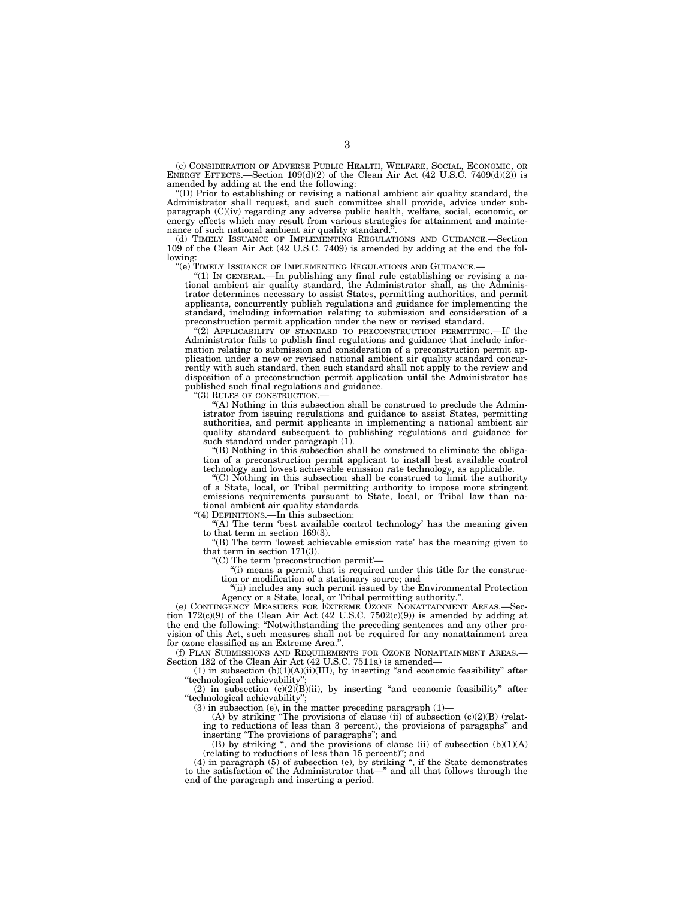(c) CONSIDERATION OF ADVERSE PUBLIC HEALTH, WELFARE, SOCIAL, ECONOMIC, OR ENERGY EFFECTS.—Section  $109(d)(2)$  of the Clean Air Act (42 U.S.C. 7409(d)(2)) is amended by adding at the end the following:

''(D) Prior to establishing or revising a national ambient air quality standard, the Administrator shall request, and such committee shall provide, advice under subparagraph (C)(iv) regarding any adverse public health, welfare, social, economic, or energy effects which may result from various strategies for attainment and maintenance of such national ambient air quality standard.''.

(d) TIMELY ISSUANCE OF IMPLEMENTING REGULATIONS AND GUIDANCE.—Section 109 of the Clean Air Act (42 U.S.C. 7409) is amended by adding at the end the following:

''(e) TIMELY ISSUANCE OF IMPLEMENTING REGULATIONS AND GUIDANCE.—

''(1) IN GENERAL.—In publishing any final rule establishing or revising a national ambient air quality standard, the Administrator shall, as the Administrator determines necessary to assist States, permitting authorities, and permit applicants, concurrently publish regulations and guidance for implementing the standard, including information relating to submission and consideration of a preconstruction permit application under the new or revised standard.

"(2) APPLICABILITY OF STANDARD TO PRECONSTRUCTION PERMITTING.—If the Administrator fails to publish final regulations and guidance that include information relating to submission and consideration of a preconstruction permit application under a new or revised national ambient air quality standard concurrently with such standard, then such standard shall not apply to the review and disposition of a preconstruction permit application until the Administrator has published such final regulations and guidance.

''(3) RULES OF CONSTRUCTION.—

 $(A)$  Nothing in this subsection shall be construed to preclude the Administrator from issuing regulations and guidance to assist States, permitting authorities, and permit applicants in implementing a national ambient air quality standard subsequent to publishing regulations and guidance for such standard under paragraph (1).

'(B) Nothing in this subsection shall be construed to eliminate the obligation of a preconstruction permit applicant to install best available control technology and lowest achievable emission rate technology, as applicable.

''(C) Nothing in this subsection shall be construed to limit the authority of a State, local, or Tribal permitting authority to impose more stringent emissions requirements pursuant to State, local, or Tribal law than national ambient air quality standards.

''(4) DEFINITIONS.—In this subsection:

"(A) The term 'best available control technology' has the meaning given to that term in section 169(3).

''(B) The term 'lowest achievable emission rate' has the meaning given to that term in section 171(3).

''(C) The term 'preconstruction permit'—

"(i) means a permit that is required under this title for the construction or modification of a stationary source; and

''(ii) includes any such permit issued by the Environmental Protection Agency or a State, local, or Tribal permitting authority."

(e) CONTINGENCY MEASURES FOR EXTREME OZONE NONATTAINMENT AREAS.—Section  $172(c)(9)$  of the Clean Air Act (42 U.S.C. 7502(c)(9)) is amended by adding at the end the following: ''Notwithstanding the preceding sentences and any other provision of this Act, such measures shall not be required for any nonattainment area for ozone classified as an Extreme Area.''.

(f) PLAN SUBMISSIONS AND REQUIREMENTS FOR OZONE NONATTAINMENT AREAS.— Section 182 of the Clean Air Act (42 U.S.C. 7511a) is amended—

(1) in subsection  $(b)(1)(A)(ii)(III)$ , by inserting "and economic feasibility" after ''technological achievability'';

(2) in subsection  $(c)(2)(B)(ii)$ , by inserting "and economic feasibility" after ''technological achievability'';

 $(3)$  in subsection (e), in the matter preceding paragraph  $(1)$ —

(A) by striking "The provisions of clause (ii) of subsection  $(c)(2)(B)$  (relating to reductions of less than 3 percent), the provisions of paragaphs'' and inserting ''The provisions of paragraphs''; and

(B) by striking ", and the provisions of clause (ii) of subsection  $(b)(1)(A)$ 

(relating to reductions of less than 15 percent)''; and (4) in paragraph (5) of subsection (e), by striking '', if the State demonstrates to the satisfaction of the Administrator that—'' and all that follows through the end of the paragraph and inserting a period.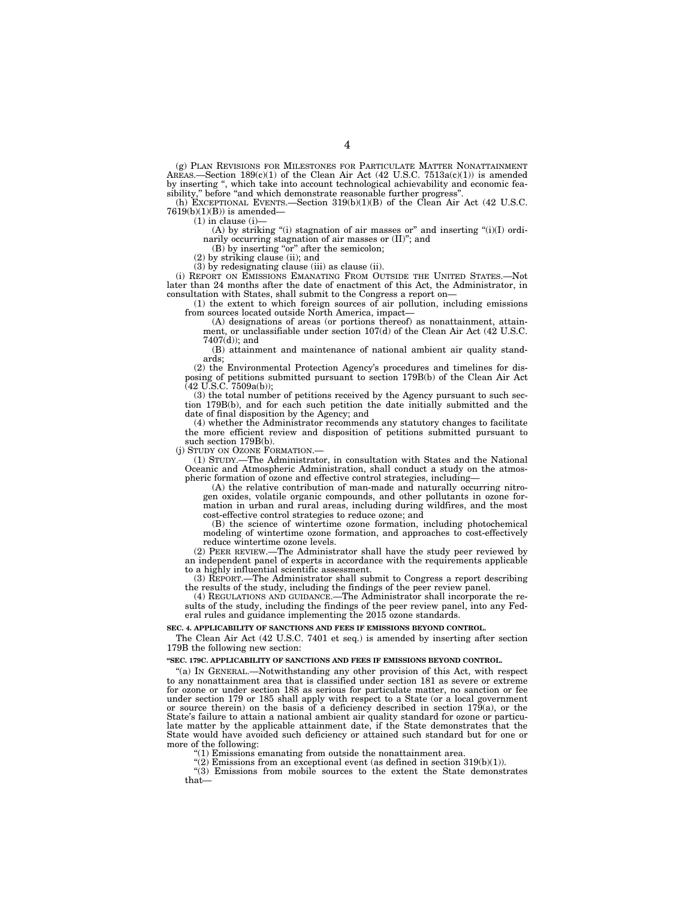(g) PLAN REVISIONS FOR MILESTONES FOR PARTICULATE MATTER NONATTAINMENT AREAS.—Section  $189(c)(1)$  of the Clean Air Act (42 U.S.C. 7513a(c)(1)) is amended by inserting ", which take into account technological achievability and economic feasibility," before "and which demonstrate reasonable further progress"

(h) EXCEPTIONAL EVENTS.—Section  $319(b)(1)(B)$  of the Clean Air Act (42 U.S.C.  $7619(b)(1)(B)$ ) is amended-

 $(1)$  in clause  $(i)$ 

(A) by striking "(i) stagnation of air masses or" and inserting " $(i)(I)$  ordinarily occurring stagnation of air masses or (II)''; and

(B) by inserting "or" after the semicolon;

(2) by striking clause (ii); and

 $(3)$  by redesignating clause (iii) as clause (ii).

(i) REPORT ON EMISSIONS EMANATING FROM OUTSIDE THE UNITED STATES.—Not later than 24 months after the date of enactment of this Act, the Administrator, in consultation with States, shall submit to the Congress a report on—

(1) the extent to which foreign sources of air pollution, including emissions from sources located outside North America, impact—

(A) designations of areas (or portions thereof) as nonattainment, attainment, or unclassifiable under section 107(d) of the Clean Air Act (42 U.S.C. 7407(d)); and

(B) attainment and maintenance of national ambient air quality standards;

(2) the Environmental Protection Agency's procedures and timelines for disposing of petitions submitted pursuant to section 179B(b) of the Clean Air Act  $(42 \text{ U.S.C. } 7509a(b));$ 

(3) the total number of petitions received by the Agency pursuant to such section 179B(b), and for each such petition the date initially submitted and the date of final disposition by the Agency; and

(4) whether the Administrator recommends any statutory changes to facilitate the more efficient review and disposition of petitions submitted pursuant to such section 179B(b).

(j) STUDY ON OZONE FORMATION.—

(1) STUDY.—The Administrator, in consultation with States and the National Oceanic and Atmospheric Administration, shall conduct a study on the atmospheric formation of ozone and effective control strategies, including-

(A) the relative contribution of man-made and naturally occurring nitrogen oxides, volatile organic compounds, and other pollutants in ozone formation in urban and rural areas, including during wildfires, and the most cost-effective control strategies to reduce ozone; and

(B) the science of wintertime ozone formation, including photochemical modeling of wintertime ozone formation, and approaches to cost-effectively reduce wintertime ozone levels.

(2) PEER REVIEW.—The Administrator shall have the study peer reviewed by an independent panel of experts in accordance with the requirements applicable to a highly influential scientific assessment.

(3) REPORT.—The Administrator shall submit to Congress a report describing the results of the study, including the findings of the peer review panel.

(4) REGULATIONS AND GUIDANCE.—The Administrator shall incorporate the results of the study, including the findings of the peer review panel, into any Federal rules and guidance implementing the 2015 ozone standards.

#### **SEC. 4. APPLICABILITY OF SANCTIONS AND FEES IF EMISSIONS BEYOND CONTROL.**

The Clean Air Act (42 U.S.C. 7401 et seq.) is amended by inserting after section 179B the following new section:

#### **''SEC. 179C. APPLICABILITY OF SANCTIONS AND FEES IF EMISSIONS BEYOND CONTROL.**

''(a) IN GENERAL.—Notwithstanding any other provision of this Act, with respect to any nonattainment area that is classified under section 181 as severe or extreme for ozone or under section 188 as serious for particulate matter, no sanction or fee under section 179 or 185 shall apply with respect to a State (or a local government or source therein) on the basis of a deficiency described in section  $17\bar{9}$ (a), or the State's failure to attain a national ambient air quality standard for ozone or particulate matter by the applicable attainment date, if the State demonstrates that the State would have avoided such deficiency or attained such standard but for one or more of the following:

''(1) Emissions emanating from outside the nonattainment area.

 $\cdot$ (2) Emissions from an exceptional event (as defined in section 319(b)(1)).

''(3) Emissions from mobile sources to the extent the State demonstrates that—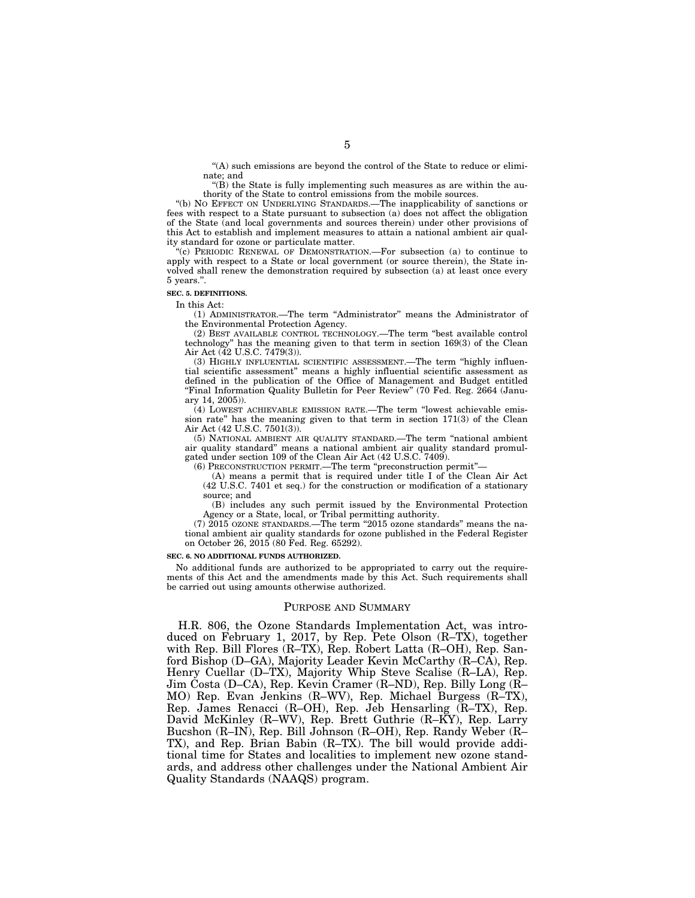''(A) such emissions are beyond the control of the State to reduce or eliminate; and

" $(B)$  the State is fully implementing such measures as are within the authority of the State to control emissions from the mobile sources.

''(b) NO EFFECT ON UNDERLYING STANDARDS.—The inapplicability of sanctions or fees with respect to a State pursuant to subsection (a) does not affect the obligation of the State (and local governments and sources therein) under other provisions of this Act to establish and implement measures to attain a national ambient air quality standard for ozone or particulate matter.

''(c) PERIODIC RENEWAL OF DEMONSTRATION.—For subsection (a) to continue to apply with respect to a State or local government (or source therein), the State involved shall renew the demonstration required by subsection (a) at least once every 5 years.''.

#### **SEC. 5. DEFINITIONS.**

In this Act:

(1) ADMINISTRATOR.—The term ''Administrator'' means the Administrator of the Environmental Protection Agency.

(2) BEST AVAILABLE CONTROL TECHNOLOGY.—The term ''best available control technology'' has the meaning given to that term in section 169(3) of the Clean Air Act (42 U.S.C. 7479(3)).

(3) HIGHLY INFLUENTIAL SCIENTIFIC ASSESSMENT.—The term ''highly influential scientific assessment'' means a highly influential scientific assessment as defined in the publication of the Office of Management and Budget entitled ''Final Information Quality Bulletin for Peer Review'' (70 Fed. Reg. 2664 (January 14, 2005)).

(4) LOWEST ACHIEVABLE EMISSION RATE.—The term ''lowest achievable emission rate'' has the meaning given to that term in section 171(3) of the Clean Air Act (42 U.S.C. 7501(3)).

(5) NATIONAL AMBIENT AIR QUALITY STANDARD.—The term ''national ambient air quality standard'' means a national ambient air quality standard promulgated under section 109 of the Clean Air Act (42 U.S.C. 7409).

(6) PRECONSTRUCTION PERMIT.—The term ''preconstruction permit''—

(A) means a permit that is required under title I of the Clean Air Act (42 U.S.C. 7401 et seq.) for the construction or modification of a stationary source; and

(B) includes any such permit issued by the Environmental Protection Agency or a State, local, or Tribal permitting authority.

(7) 2015 OZONE STANDARDS.—The term ''2015 ozone standards'' means the national ambient air quality standards for ozone published in the Federal Register on October 26, 2015 (80 Fed. Reg. 65292).

#### **SEC. 6. NO ADDITIONAL FUNDS AUTHORIZED.**

No additional funds are authorized to be appropriated to carry out the requirements of this Act and the amendments made by this Act. Such requirements shall be carried out using amounts otherwise authorized.

#### PURPOSE AND SUMMARY

H.R. 806, the Ozone Standards Implementation Act, was introduced on February 1, 2017, by Rep. Pete Olson (R–TX), together with Rep. Bill Flores (R–TX), Rep. Robert Latta (R–OH), Rep. Sanford Bishop (D–GA), Majority Leader Kevin McCarthy (R–CA), Rep. Henry Cuellar (D–TX), Majority Whip Steve Scalise (R–LA), Rep. Jim Costa (D–CA), Rep. Kevin Cramer (R–ND), Rep. Billy Long (R– MO) Rep. Evan Jenkins (R–WV), Rep. Michael Burgess (R–TX), Rep. James Renacci (R–OH), Rep. Jeb Hensarling (R–TX), Rep. David McKinley (R–WV), Rep. Brett Guthrie (R–KY), Rep. Larry Bucshon (R–IN), Rep. Bill Johnson (R–OH), Rep. Randy Weber (R– TX), and Rep. Brian Babin (R–TX). The bill would provide additional time for States and localities to implement new ozone standards, and address other challenges under the National Ambient Air Quality Standards (NAAQS) program.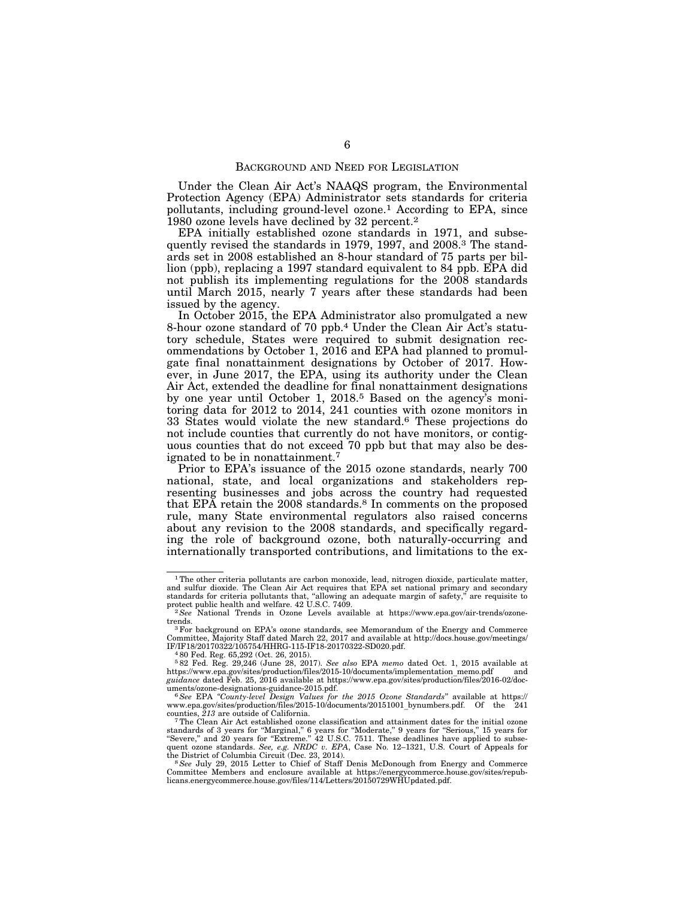#### BACKGROUND AND NEED FOR LEGISLATION

Under the Clean Air Act's NAAQS program, the Environmental Protection Agency (EPA) Administrator sets standards for criteria pollutants, including ground-level ozone.1 According to EPA, since 1980 ozone levels have declined by 32 percent.2

EPA initially established ozone standards in 1971, and subsequently revised the standards in 1979, 1997, and 2008.3 The standards set in 2008 established an 8-hour standard of 75 parts per billion (ppb), replacing a 1997 standard equivalent to 84 ppb. EPA did not publish its implementing regulations for the 2008 standards until March 2015, nearly 7 years after these standards had been issued by the agency.

In October 2015, the EPA Administrator also promulgated a new 8-hour ozone standard of 70 ppb.4 Under the Clean Air Act's statutory schedule, States were required to submit designation recommendations by October 1, 2016 and EPA had planned to promulgate final nonattainment designations by October of 2017. However, in June 2017, the EPA, using its authority under the Clean Air Act, extended the deadline for final nonattainment designations by one year until October 1, 2018.<sup>5</sup> Based on the agency's monitoring data for 2012 to 2014, 241 counties with ozone monitors in 33 States would violate the new standard.6 These projections do not include counties that currently do not have monitors, or contiguous counties that do not exceed 70 ppb but that may also be designated to be in nonattainment.7

Prior to EPA's issuance of the 2015 ozone standards, nearly 700 national, state, and local organizations and stakeholders representing businesses and jobs across the country had requested that EPA retain the 2008 standards.8 In comments on the proposed rule, many State environmental regulators also raised concerns about any revision to the 2008 standards, and specifically regarding the role of background ozone, both naturally-occurring and internationally transported contributions, and limitations to the ex-

<sup>1</sup>The other criteria pollutants are carbon monoxide, lead, nitrogen dioxide, particulate matter, and sulfur dioxide. The Clean Air Act requires that EPA set national primary and secondary standards for criteria pollutants that, "allowing an adequate margin of safety," are requisite to protect public health and welfare. 42 U.S.C. 7409.

<sup>&</sup>lt;sup>2</sup> See National Trends in Ozone Levels available at https://www.epa.gov/air-trends/ozone-trends.

trends.<br><sup>3</sup> For background on EPA's ozone standards, see Memorandum of the Energy and Commerce<br>Committee, Majority Staff dated March 22, 2017 and available at http://docs.house.gov/meetings/ IF/IF18/20170322/105754/HHRG-115-IF18-20170322-SD020.pdf. 4 80 Fed. Reg. 65,292 (Oct. 26, 2015).

<sup>5</sup> 82 Fed. Reg. 29,246 (June 28, 2017). *See also* EPA *memo* dated Oct. 1, 2015 available at https://www.epa.gov/sites/production/files/2015-10/documents/implementation\_memo.pdf and *guidance* dated Feb. 25, 2016 available at https://www.epa.gov/sites/production/files/2016-02/doc-

uments/ozone-designations-guidance-2015.pdf.<br><sup>6</sup>See EPA *"County-level Design Values for the 2015 Ozone Standards*" available at https://<br>www.epa.gov/sites/production/files/2015-10/documents/20151001 bynumbers.pdf. Of the counties, 213 are outside of California.<br><sup>7</sup>The Clean Air Act established ozone classification and attainment dates for the initial ozone

standards of 3 years for "Marginal," 6 years for "Moderate," 9 years for "Serious," 15 years for<br>"Severe," and 20 years for "Extreme." 42 U.S.C. 7511. These deadlines have applied to subsequent ozone standards. See, e.g. NRDC v. EPA, Case No. 12–1321, U.S. Court of Appeals for the District of Columbia Circuit (Dec. 23, 2014).<br><sup>8</sup>See July 29, 2015 Letter to Chief of Staff Denis McDonough from Energy and Comm

Committee Members and enclosure available at https://energycommerce.house.gov/sites/republicans.energycommerce.house.gov/files/114/Letters/20150729WHUpdated.pdf.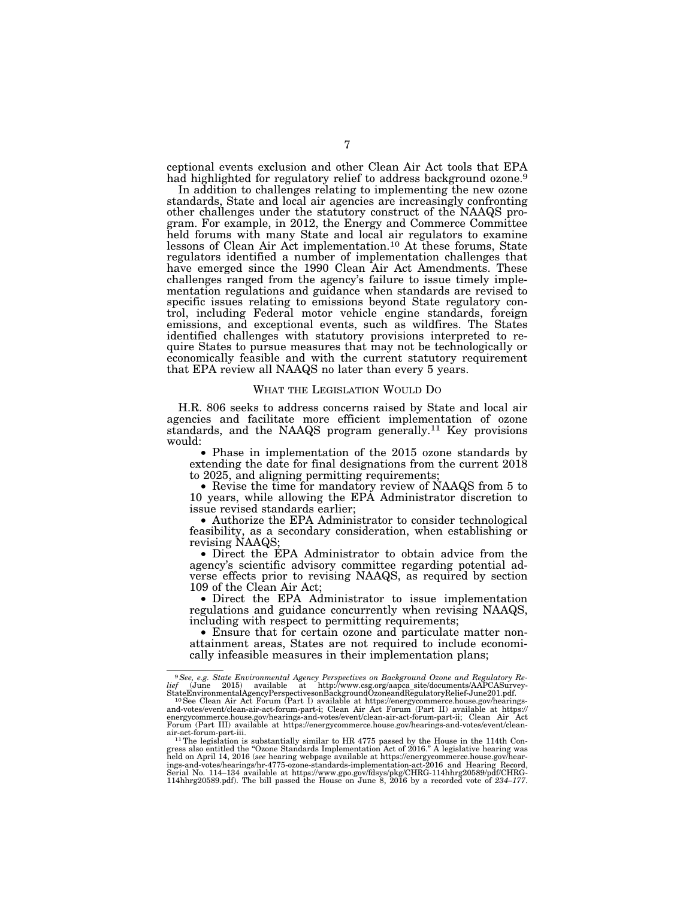ceptional events exclusion and other Clean Air Act tools that EPA had highlighted for regulatory relief to address background ozone.<sup>9</sup>

In addition to challenges relating to implementing the new ozone standards, State and local air agencies are increasingly confronting other challenges under the statutory construct of the NAAQS program. For example, in 2012, the Energy and Commerce Committee held forums with many State and local air regulators to examine lessons of Clean Air Act implementation.10 At these forums, State regulators identified a number of implementation challenges that have emerged since the 1990 Clean Air Act Amendments. These challenges ranged from the agency's failure to issue timely implementation regulations and guidance when standards are revised to specific issues relating to emissions beyond State regulatory control, including Federal motor vehicle engine standards, foreign emissions, and exceptional events, such as wildfires. The States identified challenges with statutory provisions interpreted to require States to pursue measures that may not be technologically or economically feasible and with the current statutory requirement that EPA review all NAAQS no later than every 5 years.

#### WHAT THE LEGISLATION WOULD DO

H.R. 806 seeks to address concerns raised by State and local air agencies and facilitate more efficient implementation of ozone standards, and the NAAQS program generally.11 Key provisions would:

• Phase in implementation of the 2015 ozone standards by extending the date for final designations from the current 2018 to 2025, and aligning permitting requirements;

• Revise the time for mandatory review of NAAQS from 5 to 10 years, while allowing the EPA Administrator discretion to issue revised standards earlier;

• Authorize the EPA Administrator to consider technological feasibility, as a secondary consideration, when establishing or revising NAAQS:

• Direct the EPA Administrator to obtain advice from the agency's scientific advisory committee regarding potential adverse effects prior to revising NAAQS, as required by section 109 of the Clean Air Act;

• Direct the EPA Administrator to issue implementation regulations and guidance concurrently when revising NAAQS, including with respect to permitting requirements;

• Ensure that for certain ozone and particulate matter nonattainment areas, States are not required to include economically infeasible measures in their implementation plans;

<sup>9</sup>*See, e.g. State Environmental Agency Perspectives on Background Ozone and Regulatory Re-lief* (June 2015) available at http://www.csg.org/aapca\_site/documents/AAPCASurvey-

<sup>//</sup>StateEnvironmentalAgencyPerspectivesonBackgroundOzoneandRegulatoryRelief-June201.pdf<br><sup>10</sup> See Clean Air Act Forum (Part I) available at https://energycommerce.house.gov/hearings-<br>and-votes/event/clean-air-act-forum-partenergycommerce.house.gov/hearings-and-votes/event/clean-air-act-forum-part-ii; Clean Air Act Forum (Part III) available at https://energycommerce.house.gov/hearings-and-votes/event/clean-

air-act-forum-part-iii.<br><sup>11</sup> The legislation is substantially similar to HR 4775 passed by the House in the 114th Con-<br>gress also entitled the "Ozone Standards Implementation Act of 2016." A legislative hearing was<br>held on ings-and-votes/hearings/hr-4775-ozone-standards-implementation-act-2016 and Hearing Record,<br>Serial No. 114–134 available at https://www.gpo.gov/fdsys/pkg/CHRG-114hhrg20589/pdf/CHRG-<br>114hhrg20589.pdf). The bill passed the H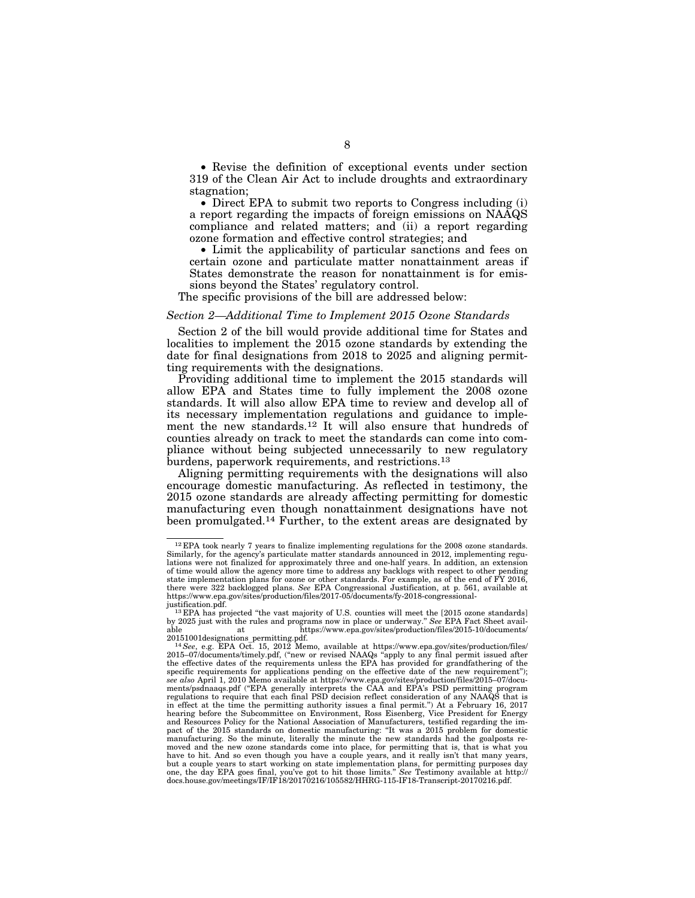• Revise the definition of exceptional events under section 319 of the Clean Air Act to include droughts and extraordinary stagnation;

• Direct EPA to submit two reports to Congress including (i) a report regarding the impacts of foreign emissions on NAAQS compliance and related matters; and (ii) a report regarding ozone formation and effective control strategies; and

• Limit the applicability of particular sanctions and fees on certain ozone and particulate matter nonattainment areas if States demonstrate the reason for nonattainment is for emissions beyond the States' regulatory control.

The specific provisions of the bill are addressed below:

### *Section 2—Additional Time to Implement 2015 Ozone Standards*

Section 2 of the bill would provide additional time for States and localities to implement the 2015 ozone standards by extending the date for final designations from 2018 to 2025 and aligning permitting requirements with the designations.

Providing additional time to implement the 2015 standards will allow EPA and States time to fully implement the 2008 ozone standards. It will also allow EPA time to review and develop all of its necessary implementation regulations and guidance to implement the new standards.12 It will also ensure that hundreds of counties already on track to meet the standards can come into compliance without being subjected unnecessarily to new regulatory burdens, paperwork requirements, and restrictions.13

Aligning permitting requirements with the designations will also encourage domestic manufacturing. As reflected in testimony, the 2015 ozone standards are already affecting permitting for domestic manufacturing even though nonattainment designations have not been promulgated.14 Further, to the extent areas are designated by

 $12$  EPA took nearly 7 years to finalize implementing regulations for the 2008 ozone standards.<br>Similarly, for the agency's particulate matter standards announced in 2012, implementing regulations were not finalized for approximately three and one-half years. In addition, an extension of time would allow the agency more time to address any backlogs with respect to other pending state implementation plans for ozone or other standards. For example, as of the end of FY 2016, there were 322 backlogged plans. *See* EPA Congressional Justification, at p. 561, available at https://www.epa.gov/sites/production/files/2017-05/documents/fy-2018-congressional-<br>justification.pdf.

<sup>&</sup>lt;sup>13</sup> EPA has projected "the vast majority of U.S. counties will meet the [2015 ozone standards] by 2025 just with the rules and programs now in place or underway." *See* EPA Fact Sheet available at https://www.epa.gov/sites/production/files/2015-10/documents/

<sup>20151001</sup>designations\_permitting.pdf. 14*See*, e.g. EPA Oct. 15, 2012 Memo, available at https://www.epa.gov/sites/production/files/ 2015–07/documents/timely.pdf, (''new or revised NAAQs ''apply to any final permit issued after the effective dates of the requirements unless the EPA has provided for grandfathering of the specific requirements for applications pending on the effective date of the new requirement''); *see also* April 1, 2010 Memo available at https://www.epa.gov/sites/production/files/2015–07/documents/psdnaaqs.pdf (''EPA generally interprets the CAA and EPA's PSD permitting program regulations to require that each final PSD decision reflect consideration of any NAAQS that is in effect at the time the permitting authority issues a final permit.'') At a February 16, 2017 hearing before the Subcommittee on Environment, Ross Eisenberg, Vice President for Energy and Resources Policy for the National Association of Manufacturers, testified regarding the impact of the 2015 standards on domestic manufacturing: "It was a 2015 problem for domestic manufacturing. So the minute, literally the minute the new standards had the goalposts removed and the new ozone standards come into place, for permitting that is, that is what you have to hit. And so even though you have a couple years, and it really isn't that many years,<br>but a couple years to start working on state implementation plans, for permitting purposes day<br>one, the day EPA goes final, you' docs.house.gov/meetings/IF/IF18/20170216/105582/HHRG-115-IF18-Transcript-20170216.pdf.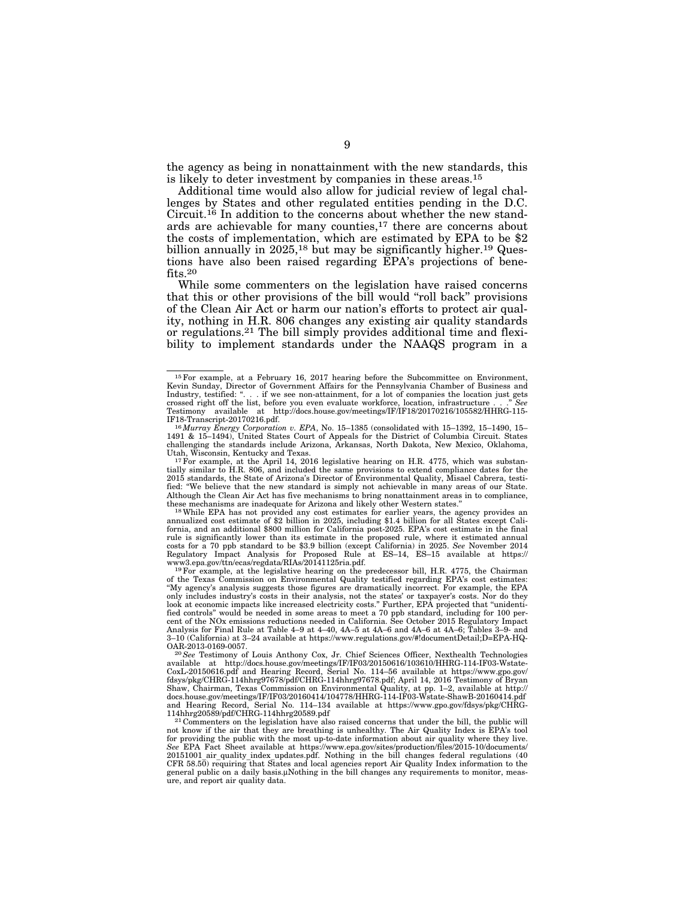the agency as being in nonattainment with the new standards, this is likely to deter investment by companies in these areas.15

Additional time would also allow for judicial review of legal challenges by States and other regulated entities pending in the D.C. Circuit.16 In addition to the concerns about whether the new standards are achievable for many counties,<sup>17</sup> there are concerns about the costs of implementation, which are estimated by EPA to be \$2 billion annually in  $2025$ ,<sup>18</sup> but may be significantly higher.<sup>19</sup> Questions have also been raised regarding EPA's projections of benefits.20

While some commenters on the legislation have raised concerns that this or other provisions of the bill would ''roll back'' provisions of the Clean Air Act or harm our nation's efforts to protect air quality, nothing in H.R. 806 changes any existing air quality standards or regulations.21 The bill simply provides additional time and flexibility to implement standards under the NAAQS program in a

these mechanisms are inadequate for Arizona and likely other Western states.'' 18While EPA has not provided any cost estimates for earlier years, the agency provides an annualized cost estimate of \$2 billion in 2025, including \$1.4 billion for all States except California, and an additional \$800 million for California post-2025. EPA's cost estimate in the final rule is significantly lower than its estimate in the proposed rule, where it estimated annual costs for a 70 ppb standard to be \$3.9 billion (except California) in 2025. *See* November 2014 Regulatory Impact Analysis for Proposed Rule at ES–14, ES–15 available at https://

www3.epa.gov/ttn/ecas/regdata/RIAs/20141125ria.pdf.<br><sup>19</sup>For example, at the legislative hearing on the predecessor bill, H.R. 4775, the Chairman<br>of the Texas Commission on Environmental Quality testified regarding EPA's co ''My agency's analysis suggests those figures are dramatically incorrect. For example, the EPA only includes industry's costs in their analysis, not the states' or taxpayer's costs. Nor do they look at economic impacts like increased electricity costs." Further, EPA projected that "unidentified controls'' would be needed in some areas to meet a 70 ppb standard, including for 100 percent of the NOx emissions reductions needed in California. See October 2015 Regulatory Impact Analysis for Final Rule at Table 4–9 at 4–40, 4A–5 at 4A–6 and 4A–6 at 4A–6; Tables 3–9- and 3–10 (California) at 3–24 available at https://www.regulations.gov/#!documentDetail;D=EPA-HQ-

<sup>15</sup>For example, at a February 16, 2017 hearing before the Subcommittee on Environment, Kevin Sunday, Director of Government Affairs for the Pennsylvania Chamber of Business and Industry, testified: "... if we see non-attainment, for a lot of companies the location just gets crossed right off the list before you even evaluate workforce location infrastructure "  $Se$ crossed right off the list, before you even evaluate workforce, location, infrastructure Testimony available at http://docs.house.gov/meetings/IF/IF18/20170216/105582/HHRG-115-

<sup>&</sup>lt;sup>16</sup> Murray Energy Corporation v. EPA, No. 15–1385 (consolidated with 15–1392, 15–1490, 15– 1491 & 15–1494), United States Court of Appeals for the District of Columbia Circuit. States challenging the standards include Arizona, Arkansas, North Dakota, New Mexico, Oklahoma, Utah, Wisconsin, Kentucky and Texas.

<sup>&</sup>lt;sup>17</sup>For example, at the April 14, 2016 legislative hearing on H.R. 4775, which was substantially similar to H.R. 806, and included the same provisions to extend compliance dates for the 2015 standards, the State of Arizona's Director of Environmental Quality, Misael Cabrera, testified: ''We believe that the new standard is simply not achievable in many areas of our State. Although the Clean Air Act has five mechanisms to bring nonattainment areas in to compliance,

OAR-2013-0169-0057. 20*See* Testimony of Louis Anthony Cox, Jr. Chief Sciences Officer, Nexthealth Technologies available at http://docs.house.gov/meetings/IF/IF03/20150616/103610/HHRG-114-IF03-Wstate-CoxL-20150616.pdf and Hearing Record, Serial No. 114–56 available at https://www.gpo.gov/ fdsys/pkg/CHRG-114hhrg97678/pdf/CHRG-114hhrg97678.pdf; April 14, 2016 Testimony of Bryan Shaw, Chairman, Texas Commission on Environmental Quality, at pp. 1–2, available at http:// docs.house.gov/meetings/IF/IF03/20160414/104778/HHRG-114-IF03-Wstate-ShawB-20160414.pdf and Hearing Record, Serial No. 114–134 available at https://www.gpo.gov/fdsys/pkg/CHRG-

<sup>&</sup>lt;sup>21</sup> Commenters on the legislation have also raised concerns that under the bill, the public will not know if the air that they are breathing is unhealthy. The Air Quality Index is EPA's tool for providing the public with the most up-to-date information about air quality where they live. *See* EPA Fact Sheet available at https://www.epa.gov/sites/production/files/2015-10/documents/ 20151001 air quality index updates.pdf. Nothing in the bill changes federal regulations (40 CFR 58.50) requiring that States and local agencies report Air Quality Index information to the general public on a daily basis.µNothing in the bill changes any requirements to monitor, measure, and report air quality data.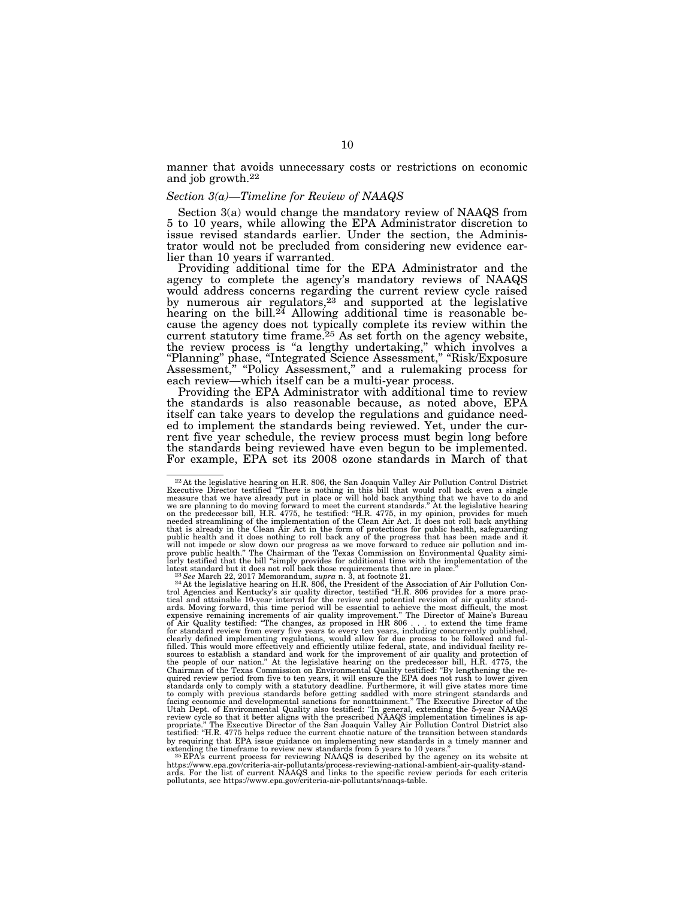manner that avoids unnecessary costs or restrictions on economic and job growth.22

#### *Section 3(a)—Timeline for Review of NAAQS*

Section 3(a) would change the mandatory review of NAAQS from 5 to 10 years, while allowing the EPA Administrator discretion to issue revised standards earlier. Under the section, the Administrator would not be precluded from considering new evidence earlier than 10 years if warranted.

Providing additional time for the EPA Administrator and the agency to complete the agency's mandatory reviews of NAAQS would address concerns regarding the current review cycle raised by numerous air regulators,<sup>23</sup> and supported at the legislative hearing on the bill.<sup>24</sup> Allowing additional time is reasonable because the agency does not typically complete its review within the current statutory time frame.<sup>25</sup> As set forth on the agency website, the review process is ''a lengthy undertaking,'' which involves a ''Planning'' phase, ''Integrated Science Assessment,'' ''Risk/Exposure Assessment," "Policy Assessment," and a rulemaking process for each review—which itself can be a multi-year process.

Providing the EPA Administrator with additional time to review the standards is also reasonable because, as noted above, EPA itself can take years to develop the regulations and guidance needed to implement the standards being reviewed. Yet, under the current five year schedule, the review process must begin long before the standards being reviewed have even begun to be implemented. For example, EPA set its 2008 ozone standards in March of that

 $^{22}$ At the legislative hearing on H.R. 806, the San Joaquin Valley Air Pollution Control District Executive Director testified "There is nothing in this bill that would roll back even a single measure that we have alrea needed streamlining of the implementation of the Clean Air Act. It does not roll back anything that is already in the Clean Air Act in the form of protections for public health, safeguarding public health and it does noth

tical and attainable 10-year interval for the review and potential revision of air quality standards. Moving forward, this time period will be essential to achieve the most difficult, the most expensive remaining increment clearly defined implementing regulations, would allow for due process to be followed and fulfilled. This would more effectively and efficiently utilize federal, state, and individual facility resources to establish a stand quired review period from five to ten years, it will ensure the EPA does not rush to lower given<br>standards only to comply with a statutory deadline. Furthermore, it will give states more time<br>to comply with previous standa review cycle so that it better aligns with the prescribed NAAQS implementation timelines is ap-<br>propriate." The Executive Director of the San Joaquin Valley Air Pollution Control District also<br>testified: "H.R. 4775 helps r by requiring that EPA issue guidance on implementing new standards in a timely manner and<br>extending the timeframe to review new standards from 5 years to 10 years."<br><sup>25</sup> EPA's current process for reviewing NAAQS is describ

https://www.epa.gov/criteria-air-pollutants/process-reviewing-national-ambient-air-quality-stand-<br>ards. For the list of current NAAQS and links to the specific review periods for each criteria<br>pollutants, see https://www.e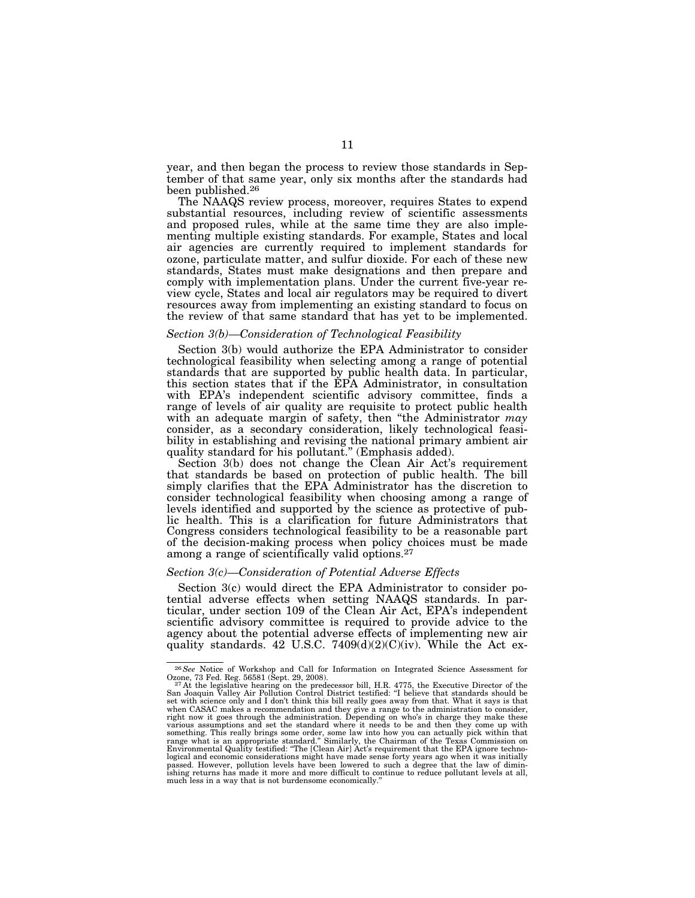year, and then began the process to review those standards in September of that same year, only six months after the standards had been published.26

The NAAQS review process, moreover, requires States to expend substantial resources, including review of scientific assessments and proposed rules, while at the same time they are also implementing multiple existing standards. For example, States and local air agencies are currently required to implement standards for ozone, particulate matter, and sulfur dioxide. For each of these new standards, States must make designations and then prepare and comply with implementation plans. Under the current five-year review cycle, States and local air regulators may be required to divert resources away from implementing an existing standard to focus on the review of that same standard that has yet to be implemented.

#### *Section 3(b)—Consideration of Technological Feasibility*

Section 3(b) would authorize the EPA Administrator to consider technological feasibility when selecting among a range of potential standards that are supported by public health data. In particular, this section states that if the EPA Administrator, in consultation with EPA's independent scientific advisory committee, finds a range of levels of air quality are requisite to protect public health with an adequate margin of safety, then ''the Administrator *may*  consider, as a secondary consideration, likely technological feasibility in establishing and revising the national primary ambient air quality standard for his pollutant.'' (Emphasis added).

Section 3(b) does not change the Clean Air Act's requirement that standards be based on protection of public health. The bill simply clarifies that the EPA Administrator has the discretion to consider technological feasibility when choosing among a range of levels identified and supported by the science as protective of public health. This is a clarification for future Administrators that Congress considers technological feasibility to be a reasonable part of the decision-making process when policy choices must be made among a range of scientifically valid options.27

#### *Section 3(c)—Consideration of Potential Adverse Effects*

Section 3(c) would direct the EPA Administrator to consider potential adverse effects when setting NAAQS standards. In particular, under section 109 of the Clean Air Act, EPA's independent scientific advisory committee is required to provide advice to the agency about the potential adverse effects of implementing new air quality standards. 42 U.S.C. 7409(d)(2)(C)(iv). While the Act ex-

<sup>&</sup>lt;sup>26</sup>See Notice of Workshop and Call for Information on Integrated Science Assessment for Ozone, 73 Fed. Reg. 56581 (Sept. 29, 2008).<br><sup>27</sup>At the legislative hearing on the predecessor bill, H.R. 4775, the Executive Directo

San Joaquin Valley Air Pollution Control District testified: "I believe that standards should be<br>set with science only and I don't think this bill really goes away from that. What it says is that<br>when CASAC makes a recomme right now it goes through the administration. Depending on who's in charge they make these<br>various assumptions and set the standard where it needs to be and then they come up with<br>something. This really brings some order, passed. However, pollution levels have been lowered to such a degree that the law of dimin-ishing returns has made it more and more difficult to continue to reduce pollutant levels at all, much less in a way that is not burdensome economically.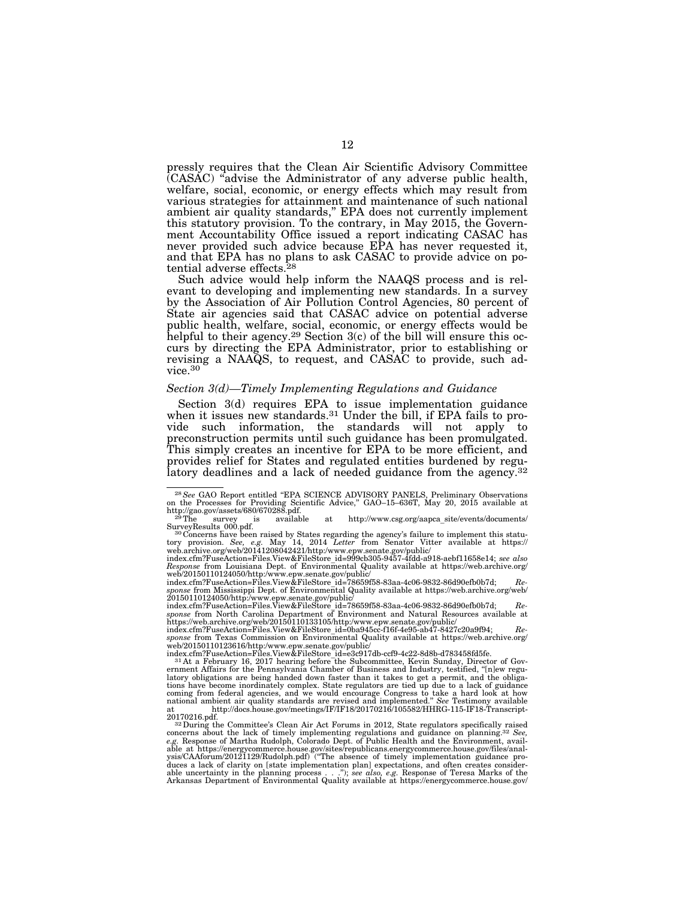pressly requires that the Clean Air Scientific Advisory Committee (CASAC) ''advise the Administrator of any adverse public health, welfare, social, economic, or energy effects which may result from various strategies for attainment and maintenance of such national ambient air quality standards,'' EPA does not currently implement this statutory provision. To the contrary, in May 2015, the Government Accountability Office issued a report indicating CASAC has never provided such advice because EPA has never requested it, and that EPA has no plans to ask CASAC to provide advice on potential adverse effects.28

Such advice would help inform the NAAQS process and is relevant to developing and implementing new standards. In a survey by the Association of Air Pollution Control Agencies, 80 percent of State air agencies said that CASAC advice on potential adverse public health, welfare, social, economic, or energy effects would be helpful to their agency.<sup>29</sup> Section 3(c) of the bill will ensure this occurs by directing the EPA Administrator, prior to establishing or revising a NAAQS, to request, and CASAC to provide, such advice.30

### *Section 3(d)—Timely Implementing Regulations and Guidance*

Section 3(d) requires EPA to issue implementation guidance when it issues new standards.<sup>31</sup> Under the bill, if EPA fails to provide such information, the standards will not apply to preconstruction permits until such guidance has been promulgated. This simply creates an incentive for EPA to be more efficient, and provides relief for States and regulated entities burdened by regulatory deadlines and a lack of needed guidance from the agency.<sup>32</sup>

20150110124050/http:/www.epw.senate.gov/public/<br>index.cfm?FuseAction=Files.View&FileStore\_id=78659f58-83aa-4c06-9832-86d90efb0b7d; *Re-*<br>s*ponse*\_from\_North\_Carolina\_Department\_of\_Environment\_and\_Natural\_Resources\_availab

https://web.archive.org/web/20150110133105/http:/www.epw.senate.gov/public/<br>index.cfm?FuseAction=Files.View&FileStore\_id=0ba945cc-f16f-4e95-ab47-8427c20a9f94; Re-<br>sponse\_from\_Texas\_Commission\_on\_Environmental\_Quality\_ava web/20150110123616/http:/www.epw.senate.gov/public/<br>index.cfm?FuseAction=Files.View&FileStore\_id=e3c917db-ccf9-4c22-8d8b-d783458fd5fe.<br>- <sup>31</sup>At a February 16, 2017 hearing before<sup>-</sup>the Subcommittee, Kevin Sunday, Director

ernment Affairs for the Pennsylvania Chamber of Business and Industry, testified, "[n]ew regu-<br>latory obligations are being handed down faster than it takes to get a permit, and the obliga-<br>tions have become inordinately c coming from federal agencies, and we would encourage Congress to take a hard look at how<br>national ambient air quality standards are revised and implemented." See Testimony available<br>at http://docs.house.gov/meetings/IF/IF1

 $^{28}See$  GAO Report entitled "EPA SCIENCE ADVISORY PANELS, Preliminary Observations on the Processes for Providing Scientific Advice," GAO-15-636T, May 20, 2015 available at  $hthp://gao.gov/assets/680/670288.pdf$ .<br>http://gao.gov/assets

SurveyResults 000.pdf.<br>  $^{30}$ Concerns have been raised by States regarding the agency's failure to implement this statu-<br>  $^{30}$ Concerns have been raised by States regarding the agency's failure to implement this statu-<br>

web/20150110124050/http:/www.epw.senate.gov/public/<br>index.cfm?FuseAction=Files.View&FileStore\_id=78659f58-83aa-4c06-9832-86d90efb0b7d; *Re-*<br>s*ponse f*rom Mississippi Dept. of Environmental Quality available at https://

<sup>20170216.</sup>pdf. 32During the Committee's Clean Air Act Forums in 2012, State regulators specifically raised concerns about the lack of timely implementing regulations and guidance on planning.32 *See,*  e.g. Response of Martha Rudolph, Colorado Dept. of Public Health and the Environment, avail-<br>able at https://energycommerce.house.gov/sites/republicans.energycommerce.house.gov/files/anal-<br>ysis/CAAforum/20121129/Rudolph.pd duces a lack of clarity on [state implementation plan] expectations, and often creates consider-<br>able uncertainty in the planning process . . ."); *see also, e.g*. Response of Teresa Marks of the<br>Arkansas Department of Env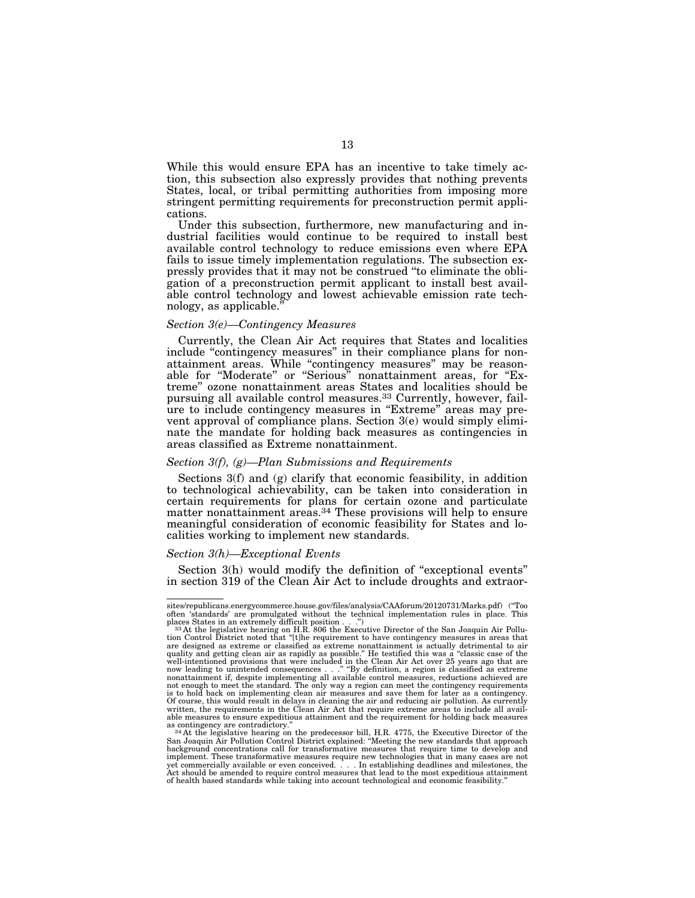While this would ensure EPA has an incentive to take timely action, this subsection also expressly provides that nothing prevents States, local, or tribal permitting authorities from imposing more stringent permitting requirements for preconstruction permit applications.

Under this subsection, furthermore, new manufacturing and industrial facilities would continue to be required to install best available control technology to reduce emissions even where EPA fails to issue timely implementation regulations. The subsection expressly provides that it may not be construed ''to eliminate the obligation of a preconstruction permit applicant to install best available control technology and lowest achievable emission rate technology, as applicable.''

### *Section 3(e)—Contingency Measures*

Currently, the Clean Air Act requires that States and localities include ''contingency measures'' in their compliance plans for nonattainment areas. While ''contingency measures'' may be reasonable for "Moderate" or "Serious" nonattainment areas, for "Extreme'' ozone nonattainment areas States and localities should be pursuing all available control measures.<sup>33</sup> Currently, however, failure to include contingency measures in "Extreme" areas may prevent approval of compliance plans. Section 3(e) would simply eliminate the mandate for holding back measures as contingencies in areas classified as Extreme nonattainment.

## *Section 3(f), (g)—Plan Submissions and Requirements*

Sections 3(f) and (g) clarify that economic feasibility, in addition to technological achievability, can be taken into consideration in certain requirements for plans for certain ozone and particulate matter nonattainment areas.<sup>34</sup> These provisions will help to ensure meaningful consideration of economic feasibility for States and localities working to implement new standards.

### *Section 3(h)—Exceptional Events*

Section 3(h) would modify the definition of ''exceptional events'' in section 319 of the Clean Air Act to include droughts and extraor-

sites/republicans.energycommerce.house.gov/files/analysis/CAAforum/20120731/Marks.pdf) (''Too often 'standards' are promulgated without the technical implementation rules in place. This

places States in an extremely difficult position . . . ")<br><sup>33</sup>At the legislative hearing on H.R. 806 the Executive Director of the San Joaquin Air Pollu-<br>tion Control District noted that "[t]he requirement to have continge are designed as extreme or classified as extreme nonattainment is actually detrimental to air quality and getting clean air as rapidly as possible." He testified this was a "classic case of the well-intentioned provisions is to hold back on implementing clean air measures and save them for later as a contingency.<br>Of course, this would result in delays in cleaning the air and reducing air pollution. As currently<br>written, the requirements in able measures to ensure expeditious attainment and the requirement for holding back measures

as contingency are contradictory."<br><sup>34</sup>At the legislative hearing on the predecessor bill, H.R. 4775, the Executive Director of the<br>San Joaquin Air Pollution Control District explained: "Meeting the new standards that appr yet commercially available or even conceived. . . . In establishing deadlines and milestones, the Act should be amended to require control measures that lead to the most expeditious attainment of health based standards while taking into account technological and economic feasibility.''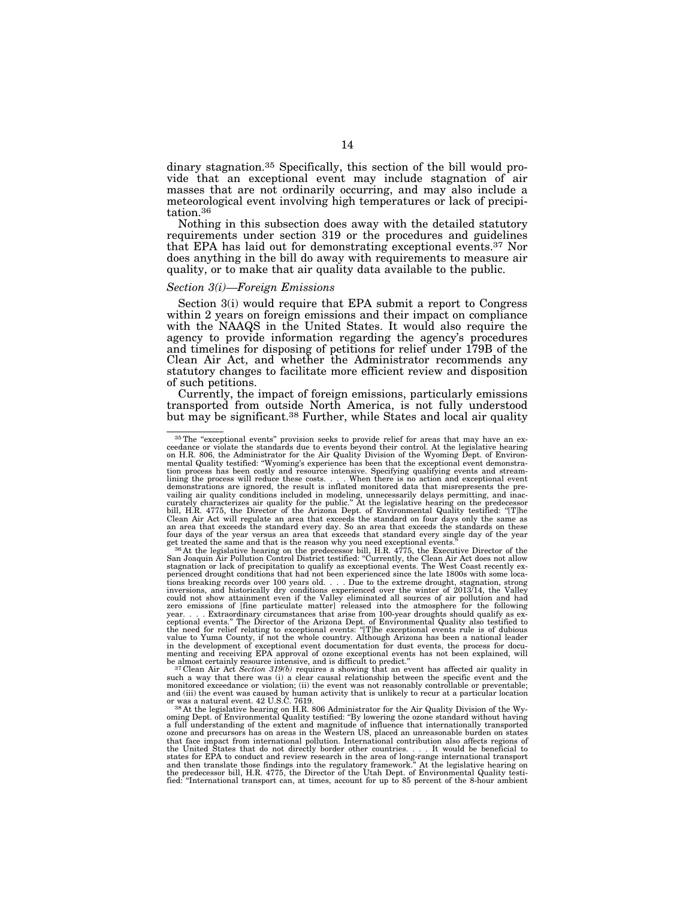dinary stagnation.35 Specifically, this section of the bill would provide that an exceptional event may include stagnation of air masses that are not ordinarily occurring, and may also include a meteorological event involving high temperatures or lack of precipitation.36

Nothing in this subsection does away with the detailed statutory requirements under section 319 or the procedures and guidelines that EPA has laid out for demonstrating exceptional events.37 Nor does anything in the bill do away with requirements to measure air quality, or to make that air quality data available to the public.

#### *Section 3(i)—Foreign Emissions*

Section 3(i) would require that EPA submit a report to Congress within 2 years on foreign emissions and their impact on compliance with the NAAQS in the United States. It would also require the agency to provide information regarding the agency's procedures and timelines for disposing of petitions for relief under 179B of the Clean Air Act, and whether the Administrator recommends any statutory changes to facilitate more efficient review and disposition of such petitions.

Currently, the impact of foreign emissions, particularly emissions transported from outside North America, is not fully understood but may be significant.38 Further, while States and local air quality

<sup>&</sup>lt;sup>35</sup>The "exceptional events" provision seeks to provide relief for areas that may have an ex-<br>ceedance or violate the standards due to events beyond their control. At the legislative hearing on H.R. 806, the Administrator for the Air Quality Division of the Wyoming Dept. of Environ-<br>mental Quality testified: "Wyoming's experience has been that the exceptional event demonstra-<br>tion process has been costly and r lining the process will reduce these costs. . . . When there is no action and exceptional event demonstrations are ignored, the result is inflated monitored data that misrepresents the pre-<br>vailing air quality conditions i an area that exceeds the standard every day. So an area that exceeds the standards on these four days of the year versus an area that exceeds that standard every single day of the year<br>get treated the same and that is the reason why you need exceptional events."<br><sup>36</sup>At the legislative hearing on the predecessor b

San Joaquin Air Pollution Control District testified: ''Currently, the Clean Air Act does not allow stagnation or lack of precipitation to qualify as exceptional events. The West Coast recently experienced drought conditions that had not been experienced since the late 1800s with some locations breaking records over 100 years old. . . . Due to the extreme drought, stagnation, strong inversions, and historically dry conditions experienced over the winter of 2013/14, the Valley could not show attainment even if the Valley eliminated all sources of air pollution and had<br>zero emissions of [fine particulate matter] released into the atmosphere for the following<br>year. . . . Extraordinary circumstance ceptional events." The Director of the Arizona Dept. of Environmental Quality also testified to<br>the need for relief relating to exceptional events: "[T]he exceptional events rule is of dubious<br>value to Yuma County, if not in the development of exceptional event documentation for dust events, the process for documenting and receiving EPA approval of ozone exceptional events has not been explained, will<br>be almost certainly resource intensive, and is difficult to predict."

be almost certainly resource intensive, and is difficult to predict."<br><sup>37</sup> Clean Air Act *Section 319(b)* requires a showing that an event has affected air quality in<br>such a way that there was (i) a clear causal relations and (iii) the event was caused by human activity that is unlikely to recur at a particular location<br>or was a natural event. 42 U.S.C. 7619.<br>38 At the legislative hearing on H.R. 806 Administrator for the Air Quality Divisi

oming Dept. of Environmental Quality testified: "By lowering the ozone standard without having<br>a full understanding of the extent and magnitude of influence that internationally transported<br>ozone and precursors has on area that face impact from international pollution. International contribution also affects regions of<br>the United States that do not directly border other countries. . . . It would be beneficial to<br>states for EPA to conduct and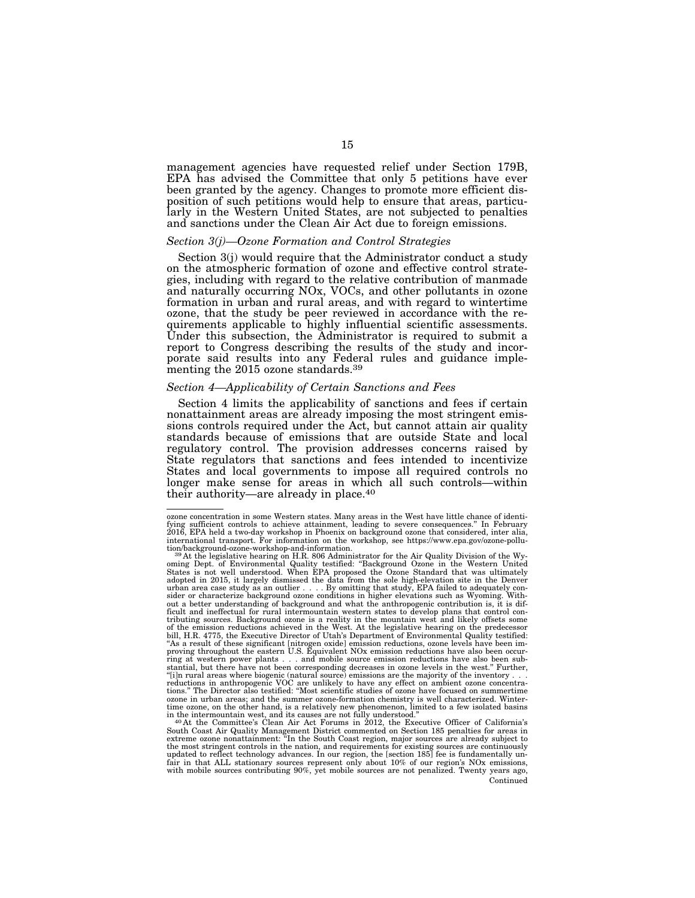management agencies have requested relief under Section 179B, EPA has advised the Committee that only 5 petitions have ever been granted by the agency. Changes to promote more efficient disposition of such petitions would help to ensure that areas, particularly in the Western United States, are not subjected to penalties and sanctions under the Clean Air Act due to foreign emissions.

### *Section 3(j)—Ozone Formation and Control Strategies*

Section 3(j) would require that the Administrator conduct a study on the atmospheric formation of ozone and effective control strategies, including with regard to the relative contribution of manmade and naturally occurring NOx, VOCs, and other pollutants in ozone formation in urban and rural areas, and with regard to wintertime ozone, that the study be peer reviewed in accordance with the requirements applicable to highly influential scientific assessments. Under this subsection, the Administrator is required to submit a report to Congress describing the results of the study and incorporate said results into any Federal rules and guidance implementing the 2015 ozone standards.39

# *Section 4—Applicability of Certain Sanctions and Fees*

Section 4 limits the applicability of sanctions and fees if certain nonattainment areas are already imposing the most stringent emissions controls required under the Act, but cannot attain air quality standards because of emissions that are outside State and local regulatory control. The provision addresses concerns raised by State regulators that sanctions and fees intended to incentivize States and local governments to impose all required controls no longer make sense for areas in which all such controls—within their authority—are already in place.40

ozone concentration in some Western states. Many areas in the West have little chance of identi-<br>fying sufficient controls to achieve attainment, leading to severe consequences." In February<br>2016, EPA held a two-day worksh international transport. For information on the workshop, see https://www.epa.gov/ozone-pollu-

<sup>&</sup>lt;sup>39</sup> At the legislative hearing on H.R. 806 Administrator for the Air Quality Division of the Wyoming Dept. of Environmental Quality testified: ''Background Ozone in the Western United States is not well understood. When EPA proposed the Ozone Standard that was ultimately adopted in 2015, it largely dismissed the data from the sole high-elevation site in the Denver urban area case study as an outlier . . . . By omitting that study, EPA failed to adequately con-sider or characterize background ozone conditions in higher elevations such as Wyoming. Without a better understanding of background and what the anthropogenic contribution is, it is difficult and ineffectual for rural intermountain western states to develop plans that control con-tributing sources. Background ozone is a reality in the mountain west and likely offsets some of the emission reductions achieved in the West. At the legislative hearing on the predecessor<br>bill, H.R. 4775, the Executive Director of Utah's Department of Environmental Quality testified:<br>"As a result of these signific ring at western power plants . . . and mobile source emission reductions have also been substantial, but there have not been corresponding decreases in ozone levels in the west." Further, "[i]n rural areas where biogenic ( ozone in urban areas; and the summer ozone-formation chemistry is well characterized. Wintertime ozone, on the other hand, is a relatively new phenomenon, limited to a few isolated basins<br>in the intermountain west, and its causes are not fully understood."<br>"Of the Committee's Clean Air Act Forums in 2012, the Exe

South Coast Air Quality Management District commented on Section 185 penalties for areas in<br>extreme ozone nonattainment: "In the South Coast region, major sources are already subject to<br>the most stringent controls in the n updated to reflect technology advances. In our region, the [section 185] fee is fundamentally un-<br>fair in that ALL stationary sources represent only about 10% of our region's NOx emissions,<br>with mobile sources contributing Continued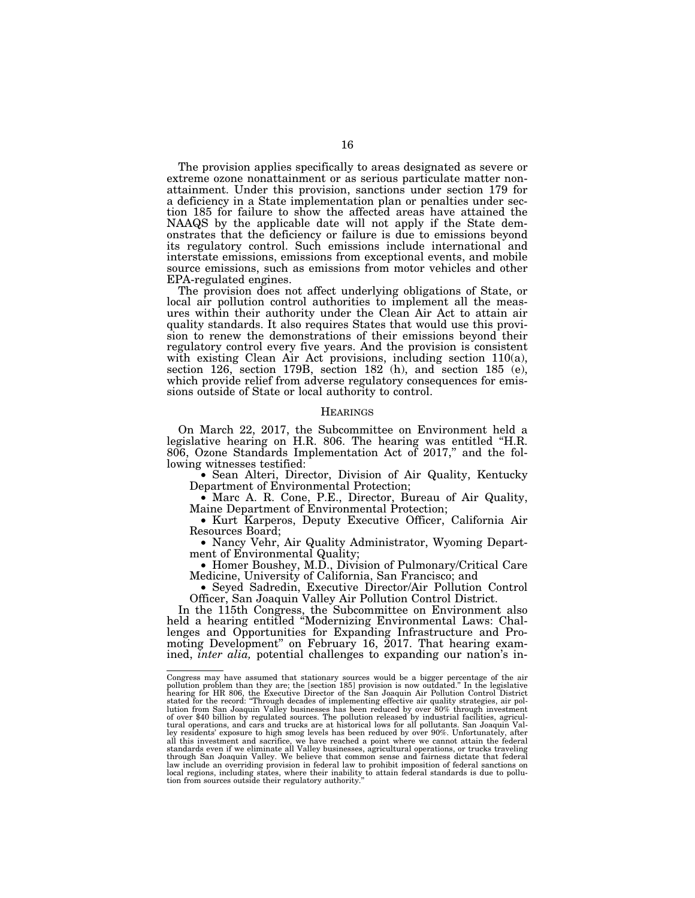The provision applies specifically to areas designated as severe or extreme ozone nonattainment or as serious particulate matter nonattainment. Under this provision, sanctions under section 179 for a deficiency in a State implementation plan or penalties under section 185 for failure to show the affected areas have attained the NAAQS by the applicable date will not apply if the State demonstrates that the deficiency or failure is due to emissions beyond its regulatory control. Such emissions include international and interstate emissions, emissions from exceptional events, and mobile source emissions, such as emissions from motor vehicles and other EPA-regulated engines.

The provision does not affect underlying obligations of State, or local air pollution control authorities to implement all the measures within their authority under the Clean Air Act to attain air quality standards. It also requires States that would use this provision to renew the demonstrations of their emissions beyond their regulatory control every five years. And the provision is consistent with existing Clean Air Act provisions, including section 110(a), section 126, section 179B, section 182 (h), and section 185 (e), which provide relief from adverse regulatory consequences for emissions outside of State or local authority to control.

#### **HEARINGS**

On March 22, 2017, the Subcommittee on Environment held a legislative hearing on H.R. 806. The hearing was entitled ''H.R. 806, Ozone Standards Implementation Act of 2017," and the following witnesses testified:

• Sean Alteri, Director, Division of Air Quality, Kentucky Department of Environmental Protection;

• Marc A. R. Cone, P.E., Director, Bureau of Air Quality, Maine Department of Environmental Protection;

• Kurt Karperos, Deputy Executive Officer, California Air Resources Board;

• Nancy Vehr, Air Quality Administrator, Wyoming Department of Environmental Quality;

• Homer Boushey, M.D., Division of Pulmonary/Critical Care Medicine, University of California, San Francisco; and

• Seyed Sadredin, Executive Director/Air Pollution Control Officer, San Joaquin Valley Air Pollution Control District.

In the 115th Congress, the Subcommittee on Environment also held a hearing entitled ''Modernizing Environmental Laws: Challenges and Opportunities for Expanding Infrastructure and Promoting Development'' on February 16, 2017. That hearing examined, *inter alia,* potential challenges to expanding our nation's in-

Congress may have assumed that stationary sources would be a bigger percentage of the air pollution problem than they are; the [section 185] provision is now outdated.'' In the legislative hearing for HR 806, the Executive Director of the San Joaquin Air Pollution Control District<br>stated for the record: "Through decades of implementing effective air quality strategies, air pol-<br>lution from San Joaquin Valley of over \$40 billion by regulated sources. The pollution released by industrial facilities, agricul-<br>tural operations, and cars and trucks are at historical lows for all pollutants. San Joaquin Val-<br>ley residents' exposure all this investment and sacrifice, we have reached a point where we cannot attain the federal<br>standards even if we eliminate all Valley businesses, agricultural operations, or trucks traveling<br>through San Joaquin Valley. W law include an overriding provision in federal law to prohibit imposition of federal sanctions on<br>local regions, including states, where their inability to attain federal standards is due to pollu-<br>tion from sources outsid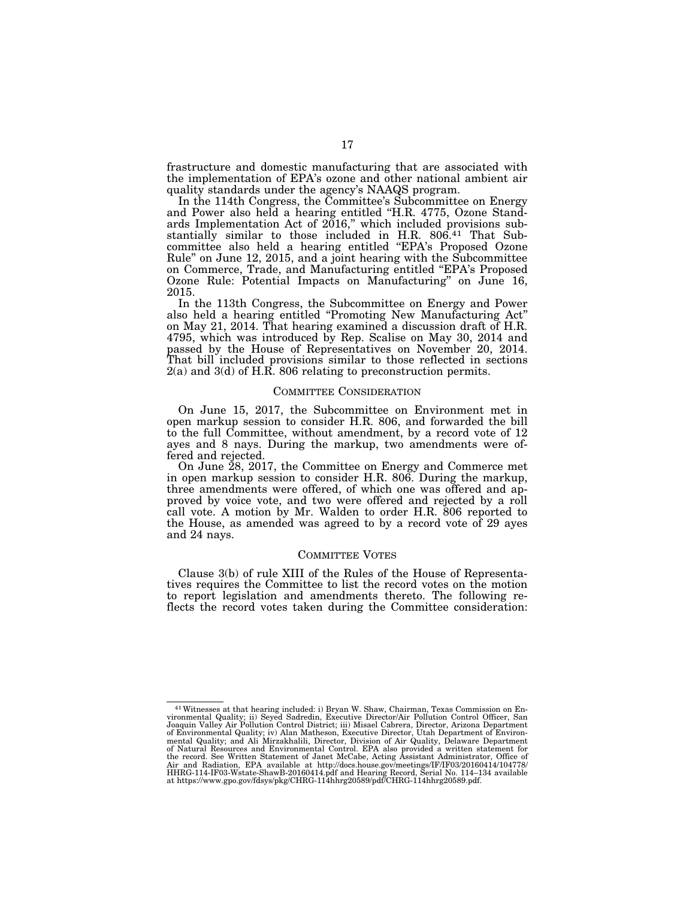frastructure and domestic manufacturing that are associated with the implementation of EPA's ozone and other national ambient air quality standards under the agency's NAAQS program.

In the 114th Congress, the Committee's Subcommittee on Energy and Power also held a hearing entitled ''H.R. 4775, Ozone Standards Implementation Act of 2016,'' which included provisions substantially similar to those included in H.R. 806.41 That Subcommittee also held a hearing entitled ''EPA's Proposed Ozone Rule'' on June 12, 2015, and a joint hearing with the Subcommittee on Commerce, Trade, and Manufacturing entitled ''EPA's Proposed Ozone Rule: Potential Impacts on Manufacturing'' on June 16, 2015.

In the 113th Congress, the Subcommittee on Energy and Power also held a hearing entitled ''Promoting New Manufacturing Act'' on May 21, 2014. That hearing examined a discussion draft of H.R. 4795, which was introduced by Rep. Scalise on May 30, 2014 and passed by the House of Representatives on November 20, 2014. That bill included provisions similar to those reflected in sections 2(a) and 3(d) of H.R. 806 relating to preconstruction permits.

#### COMMITTEE CONSIDERATION

On June 15, 2017, the Subcommittee on Environment met in open markup session to consider H.R. 806, and forwarded the bill to the full Committee, without amendment, by a record vote of 12 ayes and 8 nays. During the markup, two amendments were offered and rejected.

On June 28, 2017, the Committee on Energy and Commerce met in open markup session to consider H.R. 806. During the markup, three amendments were offered, of which one was offered and approved by voice vote, and two were offered and rejected by a roll call vote. A motion by Mr. Walden to order H.R. 806 reported to the House, as amended was agreed to by a record vote of 29 ayes and 24 nays.

### COMMITTEE VOTES

Clause 3(b) of rule XIII of the Rules of the House of Representatives requires the Committee to list the record votes on the motion to report legislation and amendments thereto. The following reflects the record votes taken during the Committee consideration:

<sup>41</sup>Witnesses at that hearing included: i) Bryan W. Shaw, Chairman, Texas Commission on Environmental Quality; ii) Seyed Sadredin, Executive Director/Air Pollution Control Officer, San Joaquin Valley Air Pollution Control District; iii) Missael Cabrera, Director, Arizona Department of Environmental Quality; iv) Air and Radiation, EPA available at http://docs.house.gov/meetings/IF/IF03/20160414/104778/<br>HHRG-114-IF03-Wstate-ShawB-20160414.pdf and Hearing Record, Serial No. 114–134 available<br>at https://www.gpo.gov/fdsys/pkg/CHRG-114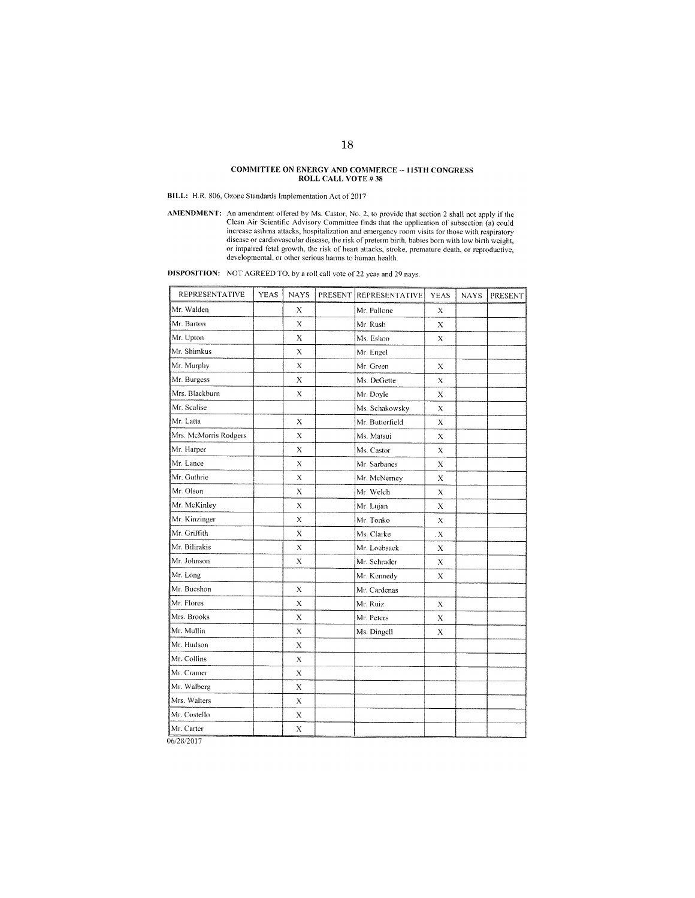# **COMMITTEE ON ENERGY AND COMMERCE-- I 15TH CONGRESS ROLL CALL VOTE# 38**

**BILL:** H.R. 806, Ozone Standards Implementation Act of 2017

**AMENDMENT:** An amendment offered by Ms. Castor, No. 2, to provide that section 2 shall not apply if the Clean Air Scientific Advisory Committee finds that the application of subsection (a) could increase asthma attacks, h **or impaired fetal growth, the risk of heart attacks, stroke, premature death. or reproductive, developmental, or other serious hanns to human health.** 

**DISPOSITION:** NOT AGREED TO, by a roll call vote of 22 yeas and 29 nays.

| <b>REPRESENTATIVE</b> | <b>YEAS</b> | <b>NAYS</b> | PRESENT REPRESENTATIVE | <b>YEAS</b>               | <b>NAYS</b> | PRESENT |
|-----------------------|-------------|-------------|------------------------|---------------------------|-------------|---------|
| Mr. Walden            |             | X           | Mr. Pallone            | Х                         |             |         |
| Mr. Barton            |             | X           | Mr. Rush               | X                         |             |         |
| Mr. Upton             |             | $\bf{X}$    | Ms. Eshoo              | X                         |             |         |
| Mr. Shimkus           |             | $\mathbf X$ | Mr. Engel              |                           |             |         |
| Mr. Murphy            |             | $\bar{X}$   | Mr. Green              | X                         |             |         |
| Mr. Burgess           |             | X           | Ms. DeGette            | X                         |             |         |
| Mrs. Blackburn        |             | X           | Mr. Doyle              | X                         |             |         |
| Mr. Scalise           |             |             | Ms. Schakowsky         | X                         |             |         |
| Mr. Latta             |             | X           | Mr. Butterfield        | Х                         |             |         |
| Mrs. McMorris Rodgers |             | $\mathbf X$ | Ms. Matsui             | X                         |             |         |
| Mr. Harper            |             | Х           | Ms. Castor             | X                         |             |         |
| Mr. Lance             |             | X           | Mr. Sarbanes           | Х                         |             |         |
| Mr. Guthrie           |             | Х           | Mr. McNerney           | X                         |             |         |
| Mr. Olson             |             | X           | Mr. Welch              | X                         |             |         |
| Mr. McKinley          |             | X           | Mr. Lujan              | X                         |             |         |
| Mr. Kinzinger         |             | X           | Mr. Tonko              | Х                         |             |         |
| Mr. Griffith          |             | X           | Ms. Clarke             | $\cdot X$                 |             |         |
| Mr. Bilirakis         |             | X           | Mr. Loebsack           | X                         |             |         |
| Mr. Johnson           |             | X           | Mr. Schrader           | X                         |             |         |
| Mr. Long              |             |             | Mr. Kennedy            | X                         |             |         |
| Mr. Bucshon           |             | $\mathbf x$ | Mr. Cardenas           |                           |             |         |
| Mr. Flores            |             | X           | Mr. Ruiz               | X                         |             |         |
| Mrs. Brooks           |             | $\bar{X}$   | Mr. Peters             | X                         |             |         |
| Mr. Mullin            |             | $\mathbf X$ | Ms. Dingell            | $\boldsymbol{\mathsf{X}}$ |             |         |
| Mr. Hudson            |             | X           |                        |                           |             |         |
| Mr. Collins           |             | $\mathbf x$ |                        |                           |             |         |
| Mr. Cramer            |             | Х           |                        |                           |             |         |
| Mr. Walberg           |             | X           |                        |                           |             |         |
| Mrs. Walters          |             | X           |                        |                           |             |         |
| Mr. Costello          |             | $\mathbf X$ |                        |                           |             |         |
| Mr. Carter            |             | Х           |                        |                           |             |         |
| 06/28/2017            |             |             |                        |                           |             |         |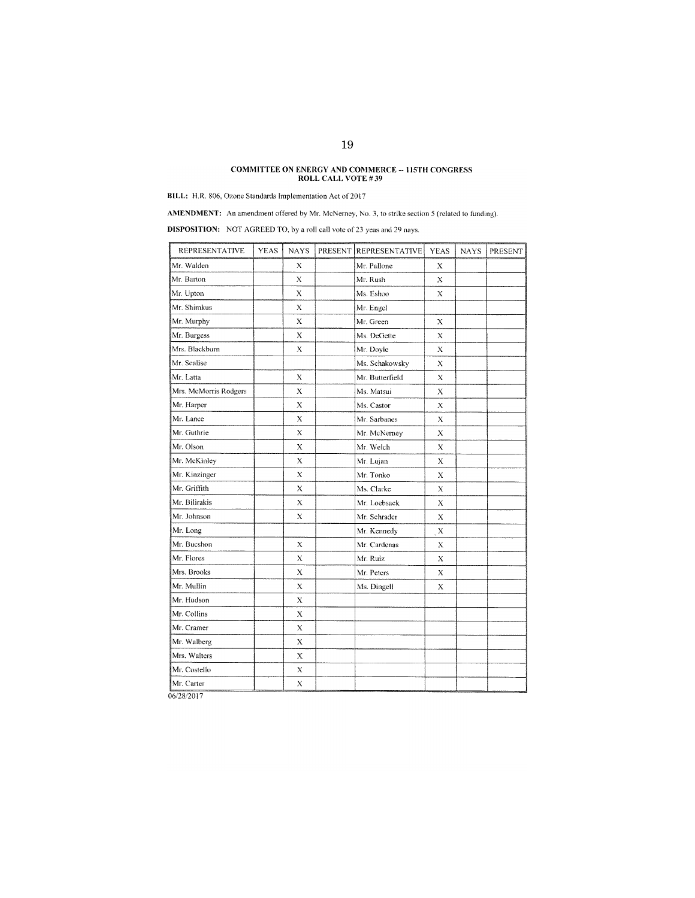# **COMMITTEE ON ENERGY AND COMMERCE-- liST II CONGRESS ROLL CALL VOTE# 39**

**BILL:** H.R. 806, Ozone Standards Implementation Act of 2017

**AMENDMENT:** An amendment offered by Mr. McNerney, No. 3, to strike section 5 (related to funding).

**DISPOSITION:** NOT AGREED TO, by a roll call vote of 23 yeas and 29 nays.

| <b>REPRESENTATIVE</b> | <b>YEAS</b> | <b>NAYS</b> | <b>PRESENT</b> | <b>REPRESENTATIVE</b> | <b>YEAS</b>               | <b>NAYS</b> | <b>PRESENT</b> |
|-----------------------|-------------|-------------|----------------|-----------------------|---------------------------|-------------|----------------|
| Mr. Walden            |             | х           |                | Mr. Pallone           | X                         |             |                |
| Mr. Barton            |             | X           |                | Mr. Rush              | X                         |             |                |
| Mr. Upton             |             | X           |                | Ms. Eshoo             | X                         |             |                |
| Mr. Shimkus           |             | X           |                | Mr. Engel             |                           |             |                |
| Mr. Murphy            |             | X           |                | Mr. Green             | X                         |             |                |
| Mr. Burgess           |             | X           |                | Ms. DeGette           | X                         |             |                |
| Mrs. Blackburn        |             | $\mathbf x$ |                | Mr. Doyle             | Х                         |             |                |
| Mr. Scalise           |             |             |                | Ms. Schakowsky        | X                         |             |                |
| Mr. Latta             |             | X           |                | Mr. Butterfield       | X                         |             |                |
| Mrs. McMorris Rodgers |             | $\bf x$     |                | Ms. Matsui            | X                         |             |                |
| Mr. Harper            |             | X           |                | Ms. Castor            | $\bf{X}$                  |             |                |
| Mr. Lance             |             | X           |                | Mr. Sarbanes          | X                         |             |                |
| Mr. Guthrie           |             | X           |                | Mr. McNerney          | Х                         |             |                |
| Mr. Olson             |             | X           |                | Mr. Welch             | X                         |             |                |
| Mr. McKinley          |             | X           |                | Mr. Lujan             | X                         |             |                |
| Mr. Kinzinger         |             | X           |                | Mr. Tonko             | X                         |             |                |
| Mr. Griffith          |             | X           |                | Ms. Clarke            | X                         |             |                |
| Mr. Bilirakis         |             | $\bf{X}$    |                | Mr. Loebsack          | X                         |             |                |
| Mr. Johnson           |             | X           |                | Mr. Schrader          | X                         |             |                |
| Mr. Long              |             |             |                | Mr. Kennedy           | $\boldsymbol{\mathrm{X}}$ |             |                |
| Mr. Bucshon           |             | $\mathbf X$ |                | Mr. Cardenas          | Х                         |             |                |
| Mr. Flores            |             | X           |                | Mr. Ruiz              | X                         |             |                |
| Mrs. Brooks           |             | x           |                | Mr. Peters            | X                         |             |                |
| Mr. Mullin            |             | X           |                | Ms. Dingell           | X                         |             |                |
| Mr. Hudson            |             | X           |                |                       |                           |             |                |
| Mr. Collins           |             | X           |                |                       |                           |             |                |
| Mr. Cramer            |             | $\bf{X}$    |                |                       |                           |             |                |
| Mr. Walberg           |             | X           |                |                       |                           |             |                |
| Mrs. Walters          |             | X           |                |                       |                           |             |                |
| Mr. Costello          |             | X           |                |                       |                           |             |                |
| Mr. Carter            |             | X           |                |                       |                           |             |                |

06/28/2017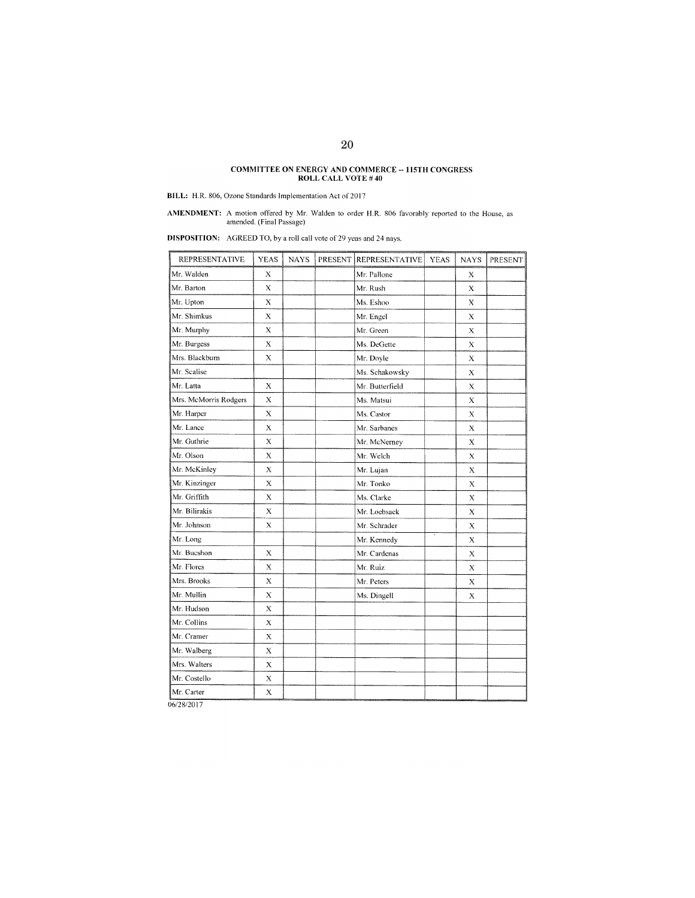# **COMMITTEE ON ENERGY AND COMMERCE-- I 15TH CONGRESS ROLL CALL VOTE# 40**

**BILL:** H.R. 806, Ozone Standards Implementation Act of 2017

**AMENDMENT:** A motion offered by Mr. Walden to order H.R. 806 favorably reported to the House, as amended. (Final Passage)

**DISPOSITION:** AGREED TO, by a roll call vote of 29 yeas and 24 nays.

| <b>REPRESENTATIVE</b> | YEAS        | <b>NAYS</b> | PRESENT | REPRESENTATIVE  | <b>YEAS</b> | <b>NAYS</b> | PRESENT |
|-----------------------|-------------|-------------|---------|-----------------|-------------|-------------|---------|
| Mr. Walden            | $\bf{X}$    |             |         | Mr. Pallone     |             | X           |         |
| Mr. Barton            | X           |             |         | Mr. Rush        |             | X           |         |
| Mr. Upton             | $\mathbf X$ |             |         | Ms. Eshoo       |             | X           |         |
| Mr. Shimkus           | X           |             |         | Mr. Engel       |             | X           |         |
| Mr. Murphy            | $\mathbf X$ |             |         | Mr. Green       |             | Х           |         |
| Mr. Burgess           | X           |             |         | Ms. DeGette     |             | X           |         |
| Mrs. Blackburn        | $\mathbf x$ |             |         | Mr. Doyle       |             | $\bf{X}$    |         |
| Mr. Scalise           |             |             |         | Ms. Schakowsky  |             | X           |         |
| Mr. Latta             | X           |             |         | Mr. Butterfield |             | X           |         |
| Mrs. McMorris Rodgers | X           |             |         | Ms. Matsui      |             | X           |         |
| Mr. Harper            | $\bar{X}$   |             |         | Ms. Castor      |             | X           |         |
| Mr. Lance             | Х           |             |         | Mr. Sarbanes    |             | X           |         |
| Mr. Guthrie           | $\mathbf x$ |             |         | Mr. McNerney    |             | $\mathbf x$ |         |
| Mr. Olson             | X           |             |         | Mr. Welch       |             | Х           |         |
| Mr. McKinley          | X           |             |         | Mr. Lujan       |             | X           |         |
| Mr. Kinzinger         | $\mathbf x$ |             |         | Mr. Tonko       |             | $\bf{X}$    |         |
| Mr. Griffith          | X           |             |         | Ms. Clarke      |             | X           |         |
| Mr. Bilirakis         | X           |             |         | Mr. Loebsack    |             | X           |         |
| Mr. Johnson           | X           |             |         | Mr. Schrader    |             | X           |         |
| Mr. Long              |             |             |         | Mr. Kennedy     |             | X           |         |
| Mr. Bucshon           | $\mathbf x$ |             |         | Mr. Cardenas    |             | $\bf{X}$    |         |
| Mr. Flores            | $\mathbf x$ |             |         | Mr. Ruiz        |             | X           |         |
| Mrs. Brooks           | х           |             |         | Mr. Peters      |             | X           |         |
| Mr. Mullin            | $\mathbf x$ |             |         | Ms. Dingell     |             | X           |         |
| Mr. Hudson            | X           |             |         |                 |             |             |         |
| Mr. Collins           | X           |             |         |                 |             |             |         |
| Mr. Cramer            | X           |             |         |                 |             |             |         |
| Mr. Walberg           | $\bf{X}$    |             |         |                 |             |             |         |
| Mrs. Walters          | x           |             |         |                 |             |             |         |
| Mr. Costello          | $\mathbf x$ |             |         |                 |             |             |         |
| Mr. Carter            | $\mathbf X$ |             |         |                 |             |             |         |

06/28/2017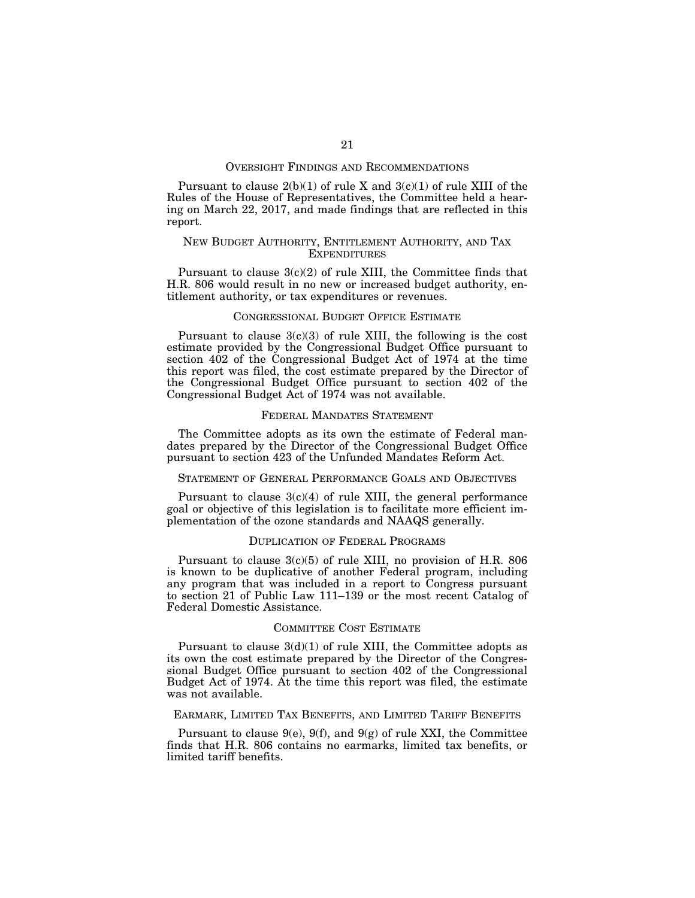#### OVERSIGHT FINDINGS AND RECOMMENDATIONS

Pursuant to clause  $2(b)(1)$  of rule X and  $3(c)(1)$  of rule XIII of the Rules of the House of Representatives, the Committee held a hearing on March 22, 2017, and made findings that are reflected in this report.

# NEW BUDGET AUTHORITY, ENTITLEMENT AUTHORITY, AND TAX **EXPENDITURES**

Pursuant to clause  $3(c)(2)$  of rule XIII, the Committee finds that H.R. 806 would result in no new or increased budget authority, entitlement authority, or tax expenditures or revenues.

#### CONGRESSIONAL BUDGET OFFICE ESTIMATE

Pursuant to clause  $3(c)(3)$  of rule XIII, the following is the cost estimate provided by the Congressional Budget Office pursuant to section 402 of the Congressional Budget Act of 1974 at the time this report was filed, the cost estimate prepared by the Director of the Congressional Budget Office pursuant to section 402 of the Congressional Budget Act of 1974 was not available.

#### FEDERAL MANDATES STATEMENT

The Committee adopts as its own the estimate of Federal mandates prepared by the Director of the Congressional Budget Office pursuant to section 423 of the Unfunded Mandates Reform Act.

#### STATEMENT OF GENERAL PERFORMANCE GOALS AND OBJECTIVES

Pursuant to clause  $3(c)(4)$  of rule XIII, the general performance goal or objective of this legislation is to facilitate more efficient implementation of the ozone standards and NAAQS generally.

### DUPLICATION OF FEDERAL PROGRAMS

Pursuant to clause  $3(c)(5)$  of rule XIII, no provision of H.R. 806 is known to be duplicative of another Federal program, including any program that was included in a report to Congress pursuant to section 21 of Public Law 111–139 or the most recent Catalog of Federal Domestic Assistance.

#### COMMITTEE COST ESTIMATE

Pursuant to clause  $3(d)(1)$  of rule XIII, the Committee adopts as its own the cost estimate prepared by the Director of the Congressional Budget Office pursuant to section 402 of the Congressional Budget Act of 1974. At the time this report was filed, the estimate was not available.

## EARMARK, LIMITED TAX BENEFITS, AND LIMITED TARIFF BENEFITS

Pursuant to clause  $9(e)$ ,  $9(f)$ , and  $9(g)$  of rule XXI, the Committee finds that H.R. 806 contains no earmarks, limited tax benefits, or limited tariff benefits.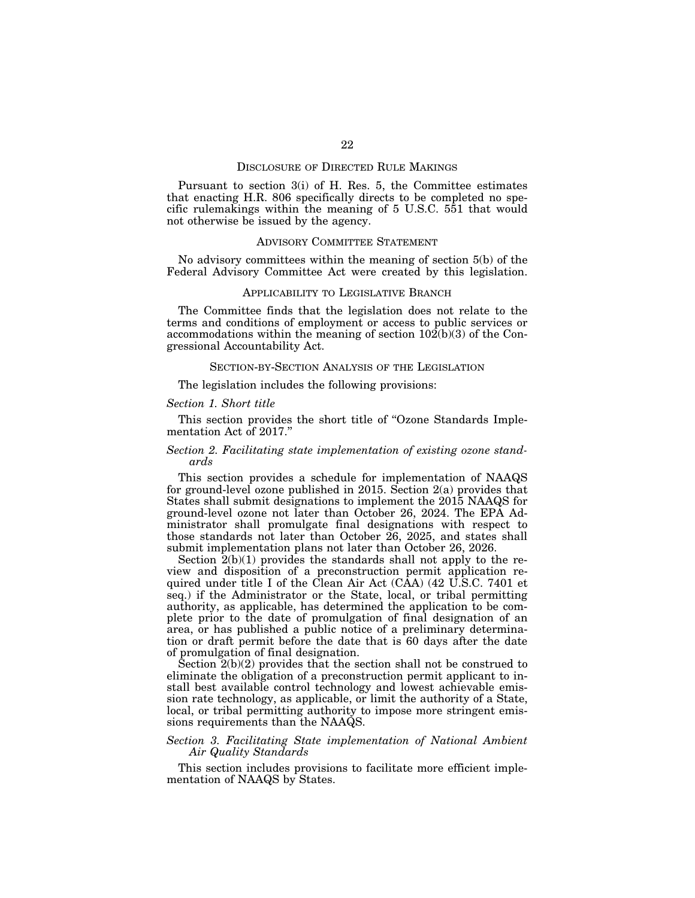#### DISCLOSURE OF DIRECTED RULE MAKINGS

Pursuant to section 3(i) of H. Res. 5, the Committee estimates that enacting H.R. 806 specifically directs to be completed no specific rulemakings within the meaning of 5 U.S.C. 551 that would not otherwise be issued by the agency.

#### ADVISORY COMMITTEE STATEMENT

No advisory committees within the meaning of section 5(b) of the Federal Advisory Committee Act were created by this legislation.

## APPLICABILITY TO LEGISLATIVE BRANCH

The Committee finds that the legislation does not relate to the terms and conditions of employment or access to public services or accommodations within the meaning of section 102(b)(3) of the Congressional Accountability Act.

#### SECTION-BY-SECTION ANALYSIS OF THE LEGISLATION

The legislation includes the following provisions:

#### *Section 1. Short title*

This section provides the short title of "Ozone Standards Implementation Act of 2017.''

## *Section 2. Facilitating state implementation of existing ozone standards*

This section provides a schedule for implementation of NAAQS for ground-level ozone published in 2015. Section 2(a) provides that States shall submit designations to implement the 2015 NAAQS for ground-level ozone not later than October 26, 2024. The EPA Administrator shall promulgate final designations with respect to those standards not later than October 26, 2025, and states shall submit implementation plans not later than October 26, 2026.

Section  $2(b)(1)$  provides the standards shall not apply to the review and disposition of a preconstruction permit application required under title I of the Clean Air Act (CAA) (42 U.S.C. 7401 et seq.) if the Administrator or the State, local, or tribal permitting authority, as applicable, has determined the application to be complete prior to the date of promulgation of final designation of an area, or has published a public notice of a preliminary determination or draft permit before the date that is 60 days after the date of promulgation of final designation.

Section 2(b)(2) provides that the section shall not be construed to eliminate the obligation of a preconstruction permit applicant to install best available control technology and lowest achievable emission rate technology, as applicable, or limit the authority of a State, local, or tribal permitting authority to impose more stringent emissions requirements than the NAAQS.

# *Section 3. Facilitating State implementation of National Ambient Air Quality Standards*

This section includes provisions to facilitate more efficient implementation of NAAQS by States.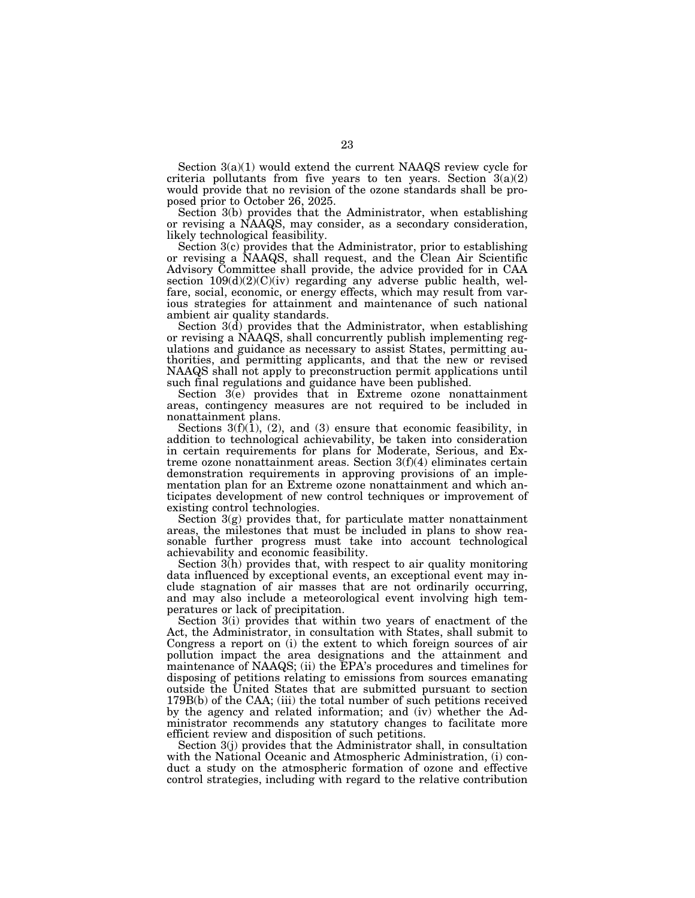Section  $3(a)(1)$  would extend the current NAAQS review cycle for criteria pollutants from five years to ten years. Section  $3(a)(2)$ would provide that no revision of the ozone standards shall be proposed prior to October 26, 2025.

Section 3(b) provides that the Administrator, when establishing or revising a NAAQS, may consider, as a secondary consideration, likely technological feasibility.

Section 3(c) provides that the Administrator, prior to establishing or revising a NAAQS, shall request, and the Clean Air Scientific Advisory Committee shall provide, the advice provided for in CAA section  $109(d)(2)(C)(iv)$  regarding any adverse public health, welfare, social, economic, or energy effects, which may result from various strategies for attainment and maintenance of such national ambient air quality standards.

Section  $3(\bar{d})$  provides that the Administrator, when establishing or revising a NAAQS, shall concurrently publish implementing regulations and guidance as necessary to assist States, permitting authorities, and permitting applicants, and that the new or revised NAAQS shall not apply to preconstruction permit applications until such final regulations and guidance have been published.

Section  $3(e)$  provides that in Extreme ozone nonattainment areas, contingency measures are not required to be included in nonattainment plans.

Sections  $3(f)(1)$ , (2), and (3) ensure that economic feasibility, in addition to technological achievability, be taken into consideration in certain requirements for plans for Moderate, Serious, and Extreme ozone nonattainment areas. Section 3(f)(4) eliminates certain demonstration requirements in approving provisions of an implementation plan for an Extreme ozone nonattainment and which anticipates development of new control techniques or improvement of existing control technologies.

Section  $3(g)$  provides that, for particulate matter nonattainment areas, the milestones that must be included in plans to show reasonable further progress must take into account technological achievability and economic feasibility.

Section 3(h) provides that, with respect to air quality monitoring data influenced by exceptional events, an exceptional event may include stagnation of air masses that are not ordinarily occurring, and may also include a meteorological event involving high temperatures or lack of precipitation.

Section 3(i) provides that within two years of enactment of the Act, the Administrator, in consultation with States, shall submit to Congress a report on (i) the extent to which foreign sources of air pollution impact the area designations and the attainment and maintenance of NAAQS; (ii) the EPA's procedures and timelines for disposing of petitions relating to emissions from sources emanating outside the United States that are submitted pursuant to section 179B(b) of the CAA; (iii) the total number of such petitions received by the agency and related information; and (iv) whether the Administrator recommends any statutory changes to facilitate more efficient review and disposition of such petitions.

Section 3(j) provides that the Administrator shall, in consultation with the National Oceanic and Atmospheric Administration, (i) conduct a study on the atmospheric formation of ozone and effective control strategies, including with regard to the relative contribution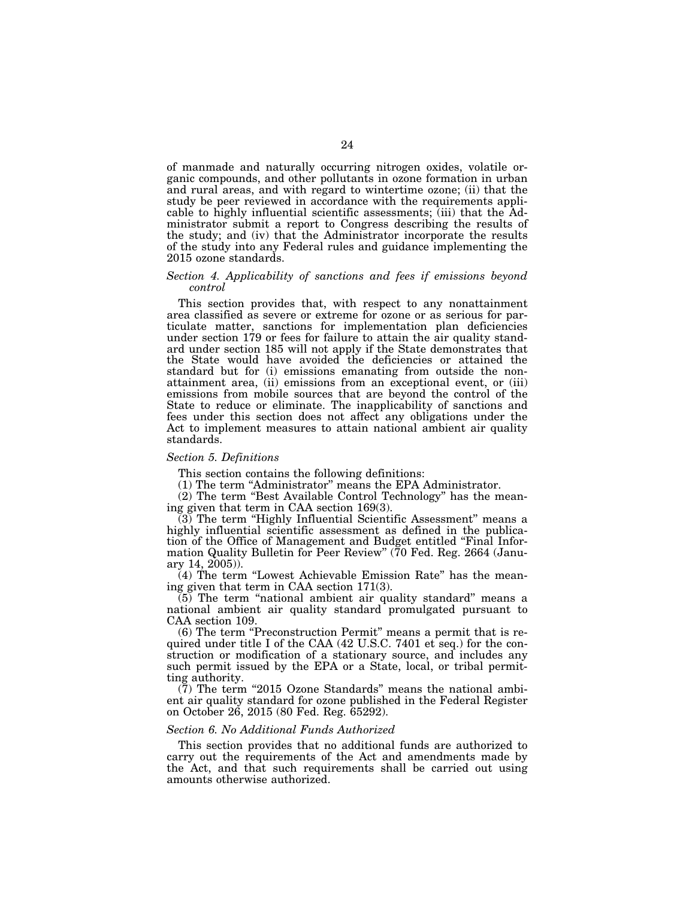of manmade and naturally occurring nitrogen oxides, volatile organic compounds, and other pollutants in ozone formation in urban and rural areas, and with regard to wintertime ozone; (ii) that the study be peer reviewed in accordance with the requirements applicable to highly influential scientific assessments; (iii) that the Administrator submit a report to Congress describing the results of the study; and (iv) that the Administrator incorporate the results of the study into any Federal rules and guidance implementing the 2015 ozone standards.

## *Section 4. Applicability of sanctions and fees if emissions beyond control*

This section provides that, with respect to any nonattainment area classified as severe or extreme for ozone or as serious for particulate matter, sanctions for implementation plan deficiencies under section 179 or fees for failure to attain the air quality standard under section 185 will not apply if the State demonstrates that the State would have avoided the deficiencies or attained the standard but for (i) emissions emanating from outside the nonattainment area, (ii) emissions from an exceptional event, or (iii) emissions from mobile sources that are beyond the control of the State to reduce or eliminate. The inapplicability of sanctions and fees under this section does not affect any obligations under the Act to implement measures to attain national ambient air quality standards.

### *Section 5. Definitions*

This section contains the following definitions:

(1) The term ''Administrator'' means the EPA Administrator.

(2) The term ''Best Available Control Technology'' has the meaning given that term in CAA section 169(3).

(3) The term ''Highly Influential Scientific Assessment'' means a highly influential scientific assessment as defined in the publication of the Office of Management and Budget entitled "Final Information Quality Bulletin for Peer Review'' (70 Fed. Reg. 2664 (January 14, 2005)).

(4) The term ''Lowest Achievable Emission Rate'' has the meaning given that term in CAA section 171(3).

(5) The term ''national ambient air quality standard'' means a national ambient air quality standard promulgated pursuant to CAA section 109.

(6) The term ''Preconstruction Permit'' means a permit that is required under title I of the CAA (42 U.S.C. 7401 et seq.) for the construction or modification of a stationary source, and includes any such permit issued by the EPA or a State, local, or tribal permitting authority.

 $(7)$  The term "2015 Ozone Standards" means the national ambient air quality standard for ozone published in the Federal Register on October 26, 2015 (80 Fed. Reg. 65292).

## *Section 6. No Additional Funds Authorized*

This section provides that no additional funds are authorized to carry out the requirements of the Act and amendments made by the Act, and that such requirements shall be carried out using amounts otherwise authorized.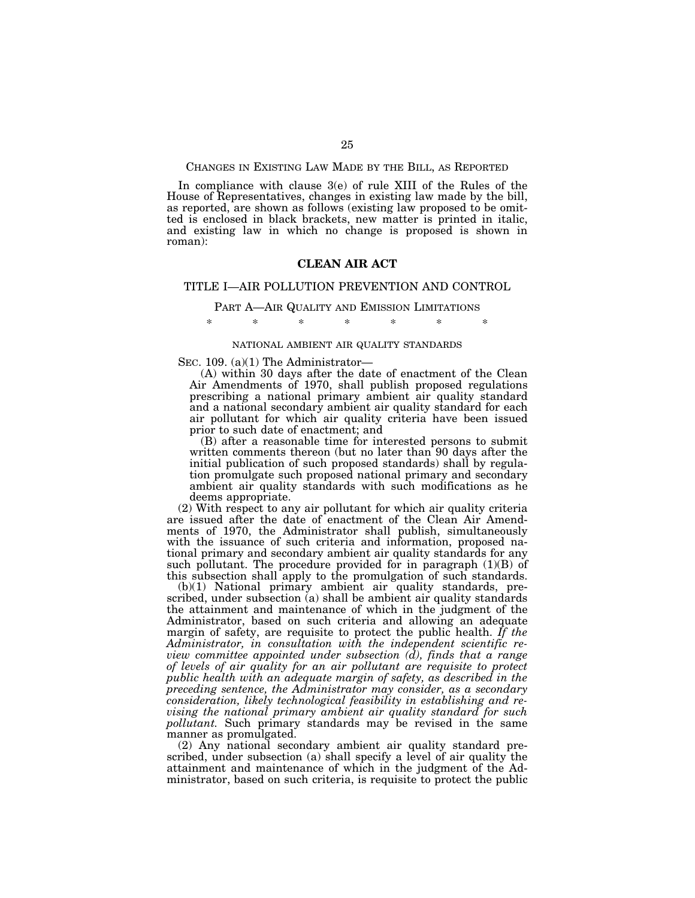CHANGES IN EXISTING LAW MADE BY THE BILL, AS REPORTED

In compliance with clause 3(e) of rule XIII of the Rules of the House of Representatives, changes in existing law made by the bill, as reported, are shown as follows (existing law proposed to be omitted is enclosed in black brackets, new matter is printed in italic, and existing law in which no change is proposed is shown in roman):

#### **CLEAN AIR ACT**

### TITLE I—AIR POLLUTION PREVENTION AND CONTROL

#### PART A—AIR QUALITY AND EMISSION LIMITATIONS

\* \* \* \* \* \* \*

## NATIONAL AMBIENT AIR QUALITY STANDARDS

SEC. 109. (a)(1) The Administrator—

(A) within 30 days after the date of enactment of the Clean Air Amendments of 1970, shall publish proposed regulations prescribing a national primary ambient air quality standard and a national secondary ambient air quality standard for each air pollutant for which air quality criteria have been issued prior to such date of enactment; and

(B) after a reasonable time for interested persons to submit written comments thereon (but no later than 90 days after the initial publication of such proposed standards) shall by regulation promulgate such proposed national primary and secondary ambient air quality standards with such modifications as he deems appropriate.

(2) With respect to any air pollutant for which air quality criteria are issued after the date of enactment of the Clean Air Amendments of 1970, the Administrator shall publish, simultaneously with the issuance of such criteria and information, proposed national primary and secondary ambient air quality standards for any such pollutant. The procedure provided for in paragraph  $(1)(B)$  of this subsection shall apply to the promulgation of such standards.

(b)(1) National primary ambient air quality standards, prescribed, under subsection (a) shall be ambient air quality standards the attainment and maintenance of which in the judgment of the Administrator, based on such criteria and allowing an adequate margin of safety, are requisite to protect the public health. *If the Administrator, in consultation with the independent scientific review committee appointed under subsection (d), finds that a range of levels of air quality for an air pollutant are requisite to protect public health with an adequate margin of safety, as described in the preceding sentence, the Administrator may consider, as a secondary consideration, likely technological feasibility in establishing and revising the national primary ambient air quality standard for such*  pollutant. Such primary standards may be revised in the same manner as promulgated.

(2) Any national secondary ambient air quality standard prescribed, under subsection (a) shall specify a level of air quality the attainment and maintenance of which in the judgment of the Administrator, based on such criteria, is requisite to protect the public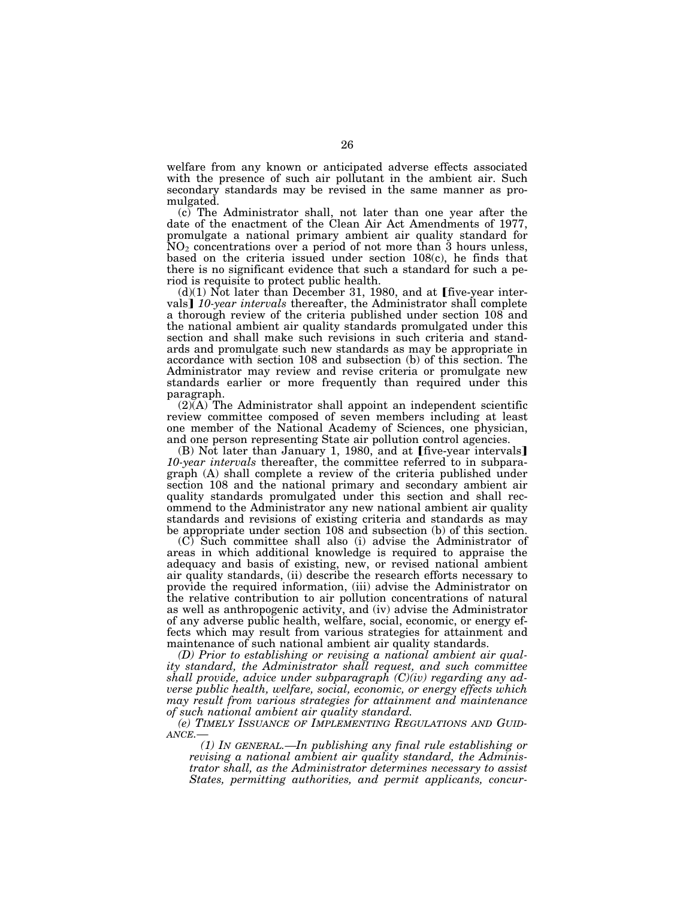welfare from any known or anticipated adverse effects associated with the presence of such air pollutant in the ambient air. Such secondary standards may be revised in the same manner as promulgated.

(c) The Administrator shall, not later than one year after the date of the enactment of the Clean Air Act Amendments of 1977, promulgate a national primary ambient air quality standard for NO2 concentrations over a period of not more than 3 hours unless, based on the criteria issued under section 108(c), he finds that there is no significant evidence that such a standard for such a period is requisite to protect public health.

 $(d)(1)$  Not later than December 31, 1980, and at [five-year intervals] 10-year intervals thereafter, the Administrator shall complete a thorough review of the criteria published under section 108 and the national ambient air quality standards promulgated under this section and shall make such revisions in such criteria and standards and promulgate such new standards as may be appropriate in accordance with section 108 and subsection (b) of this section. The Administrator may review and revise criteria or promulgate new standards earlier or more frequently than required under this paragraph.

 $(2)$  $(A)$ <sup>T</sup>he Administrator shall appoint an independent scientific review committee composed of seven members including at least one member of the National Academy of Sciences, one physician, and one person representing State air pollution control agencies.

 $(B)$  Not later than January 1, 1980, and at [five-year intervals] *10-year intervals* thereafter, the committee referred to in subparagraph (A) shall complete a review of the criteria published under section 108 and the national primary and secondary ambient air quality standards promulgated under this section and shall recommend to the Administrator any new national ambient air quality standards and revisions of existing criteria and standards as may be appropriate under section 108 and subsection (b) of this section.

(C) Such committee shall also (i) advise the Administrator of areas in which additional knowledge is required to appraise the adequacy and basis of existing, new, or revised national ambient air quality standards, (ii) describe the research efforts necessary to provide the required information, (iii) advise the Administrator on the relative contribution to air pollution concentrations of natural as well as anthropogenic activity, and (iv) advise the Administrator of any adverse public health, welfare, social, economic, or energy effects which may result from various strategies for attainment and maintenance of such national ambient air quality standards.

*(D) Prior to establishing or revising a national ambient air quality standard, the Administrator shall request, and such committee shall provide, advice under subparagraph (C)(iv) regarding any adverse public health, welfare, social, economic, or energy effects which may result from various strategies for attainment and maintenance of such national ambient air quality standard.* 

*(e) TIMELY ISSUANCE OF IMPLEMENTING REGULATIONS AND GUID- ANCE.—* 

*(1) IN GENERAL.—In publishing any final rule establishing or revising a national ambient air quality standard, the Administrator shall, as the Administrator determines necessary to assist States, permitting authorities, and permit applicants, concur-*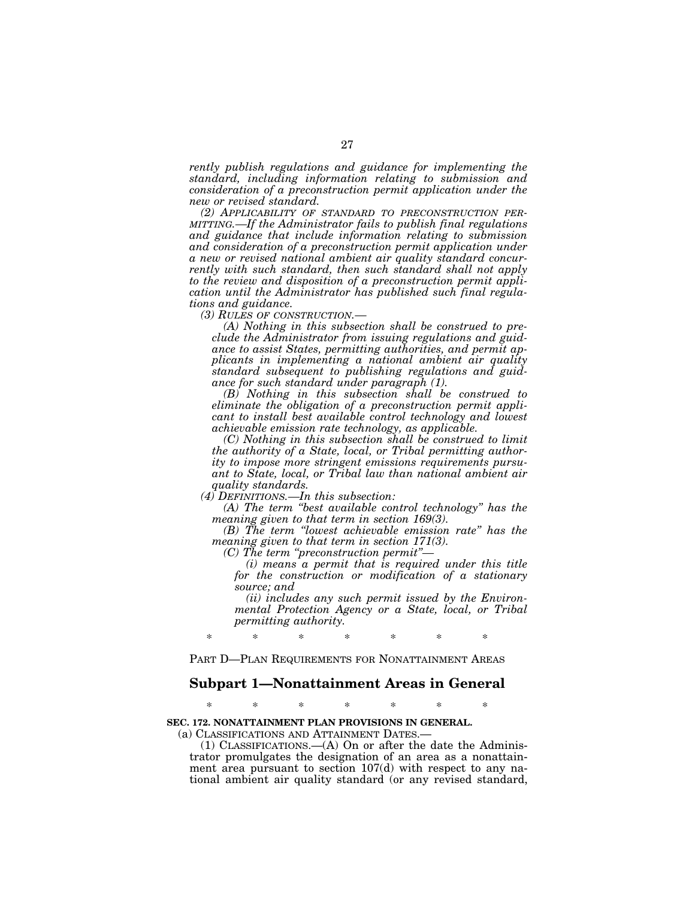*rently publish regulations and guidance for implementing the standard, including information relating to submission and consideration of a preconstruction permit application under the new or revised standard.*<br>
(2) APPLICABILITY OF STANDARD TO PRECONSTRUCTION PER-

*(2) APPLICABILITY OF STANDARD TO PRECONSTRUCTION PER- MITTING.—If the Administrator fails to publish final regulations and guidance that include information relating to submission and consideration of a preconstruction permit application under a new or revised national ambient air quality standard concurrently with such standard, then such standard shall not apply to the review and disposition of a preconstruction permit application until the Administrator has published such final regulations and guidance.* 

*(3) RULES OF CONSTRUCTION.—* 

*(A) Nothing in this subsection shall be construed to preclude the Administrator from issuing regulations and guidance to assist States, permitting authorities, and permit applicants in implementing a national ambient air quality standard subsequent to publishing regulations and guidance for such standard under paragraph (1).* 

*(B) Nothing in this subsection shall be construed to eliminate the obligation of a preconstruction permit applicant to install best available control technology and lowest achievable emission rate technology, as applicable.* 

*(C) Nothing in this subsection shall be construed to limit the authority of a State, local, or Tribal permitting authority to impose more stringent emissions requirements pursuant to State, local, or Tribal law than national ambient air quality standards.* 

*(4) DEFINITIONS.—In this subsection:* 

*(A) The term ''best available control technology'' has the meaning given to that term in section 169(3).* 

*(B) The term ''lowest achievable emission rate'' has the meaning given to that term in section 171(3).* 

*(C) The term ''preconstruction permit''—* 

*(i) means a permit that is required under this title for the construction or modification of a stationary source; and* 

*(ii) includes any such permit issued by the Environmental Protection Agency or a State, local, or Tribal permitting authority.* 

\* \* \* \* \* \* \*

PART D—PLAN REQUIREMENTS FOR NONATTAINMENT AREAS

# **Subpart 1—Nonattainment Areas in General**

\* \* \* \* \* \* \*

# **SEC. 172. NONATTAINMENT PLAN PROVISIONS IN GENERAL.**

(a) CLASSIFICATIONS AND ATTAINMENT DATES.— (1) CLASSIFICATIONS.—(A) On or after the date the Administrator promulgates the designation of an area as a nonattainment area pursuant to section 107(d) with respect to any national ambient air quality standard (or any revised standard,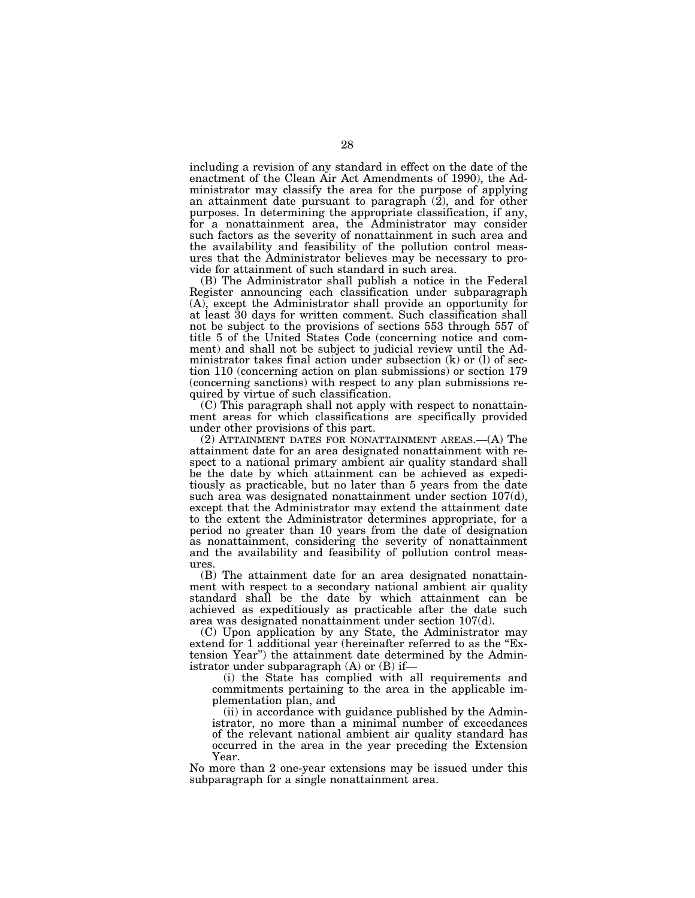including a revision of any standard in effect on the date of the enactment of the Clean Air Act Amendments of 1990), the Administrator may classify the area for the purpose of applying an attainment date pursuant to paragraph  $(2)$ , and for other purposes. In determining the appropriate classification, if any, for a nonattainment area, the Administrator may consider such factors as the severity of nonattainment in such area and the availability and feasibility of the pollution control measures that the Administrator believes may be necessary to provide for attainment of such standard in such area.

(B) The Administrator shall publish a notice in the Federal Register announcing each classification under subparagraph (A), except the Administrator shall provide an opportunity for at least 30 days for written comment. Such classification shall not be subject to the provisions of sections 553 through 557 of title 5 of the United States Code (concerning notice and comment) and shall not be subject to judicial review until the Administrator takes final action under subsection (k) or (l) of section 110 (concerning action on plan submissions) or section 179 (concerning sanctions) with respect to any plan submissions required by virtue of such classification.

(C) This paragraph shall not apply with respect to nonattainment areas for which classifications are specifically provided under other provisions of this part.

(2) ATTAINMENT DATES FOR NONATTAINMENT AREAS.—(A) The attainment date for an area designated nonattainment with respect to a national primary ambient air quality standard shall be the date by which attainment can be achieved as expeditiously as practicable, but no later than 5 years from the date such area was designated nonattainment under section  $107(d)$ , except that the Administrator may extend the attainment date to the extent the Administrator determines appropriate, for a period no greater than 10 years from the date of designation as nonattainment, considering the severity of nonattainment and the availability and feasibility of pollution control measures.

(B) The attainment date for an area designated nonattainment with respect to a secondary national ambient air quality standard shall be the date by which attainment can be achieved as expeditiously as practicable after the date such area was designated nonattainment under section 107(d).

(C) Upon application by any State, the Administrator may extend for 1 additional year (hereinafter referred to as the "Extension Year'') the attainment date determined by the Administrator under subparagraph (A) or (B) if—

(i) the State has complied with all requirements and commitments pertaining to the area in the applicable implementation plan, and

(ii) in accordance with guidance published by the Administrator, no more than a minimal number of exceedances of the relevant national ambient air quality standard has occurred in the area in the year preceding the Extension Year.

No more than 2 one-year extensions may be issued under this subparagraph for a single nonattainment area.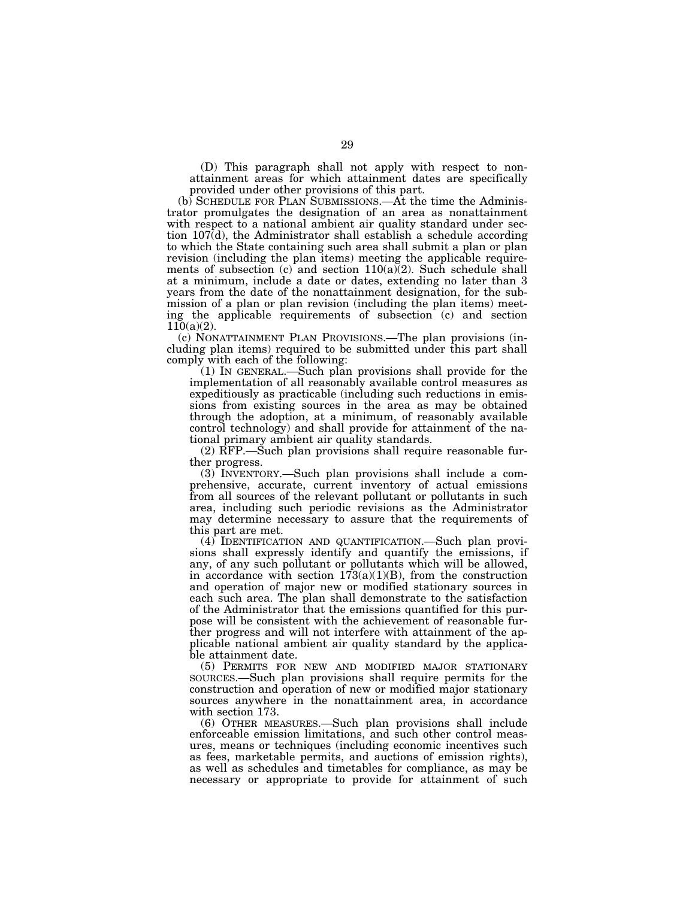(D) This paragraph shall not apply with respect to nonattainment areas for which attainment dates are specifically provided under other provisions of this part.

(b) SCHEDULE FOR PLAN SUBMISSIONS.—At the time the Administrator promulgates the designation of an area as nonattainment with respect to a national ambient air quality standard under section 107(d), the Administrator shall establish a schedule according to which the State containing such area shall submit a plan or plan revision (including the plan items) meeting the applicable requirements of subsection (c) and section  $110(a)$  $(2)$ . Such schedule shall at a minimum, include a date or dates, extending no later than 3 years from the date of the nonattainment designation, for the submission of a plan or plan revision (including the plan items) meeting the applicable requirements of subsection (c) and section  $110(a)(2)$ .

(c) NONATTAINMENT PLAN PROVISIONS.—The plan provisions (including plan items) required to be submitted under this part shall comply with each of the following:

(1) IN GENERAL.—Such plan provisions shall provide for the implementation of all reasonably available control measures as expeditiously as practicable (including such reductions in emissions from existing sources in the area as may be obtained through the adoption, at a minimum, of reasonably available control technology) and shall provide for attainment of the national primary ambient air quality standards.

(2) RFP.—Such plan provisions shall require reasonable further progress.

(3) INVENTORY.—Such plan provisions shall include a comprehensive, accurate, current inventory of actual emissions from all sources of the relevant pollutant or pollutants in such area, including such periodic revisions as the Administrator may determine necessary to assure that the requirements of this part are met.

(4) IDENTIFICATION AND QUANTIFICATION.—Such plan provisions shall expressly identify and quantify the emissions, if any, of any such pollutant or pollutants which will be allowed, in accordance with section  $173(a)(1)(B)$ , from the construction and operation of major new or modified stationary sources in each such area. The plan shall demonstrate to the satisfaction of the Administrator that the emissions quantified for this purpose will be consistent with the achievement of reasonable further progress and will not interfere with attainment of the applicable national ambient air quality standard by the applicable attainment date.

(5) PERMITS FOR NEW AND MODIFIED MAJOR STATIONARY SOURCES.—Such plan provisions shall require permits for the construction and operation of new or modified major stationary sources anywhere in the nonattainment area, in accordance with section 173.

(6) OTHER MEASURES.—Such plan provisions shall include enforceable emission limitations, and such other control measures, means or techniques (including economic incentives such as fees, marketable permits, and auctions of emission rights), as well as schedules and timetables for compliance, as may be necessary or appropriate to provide for attainment of such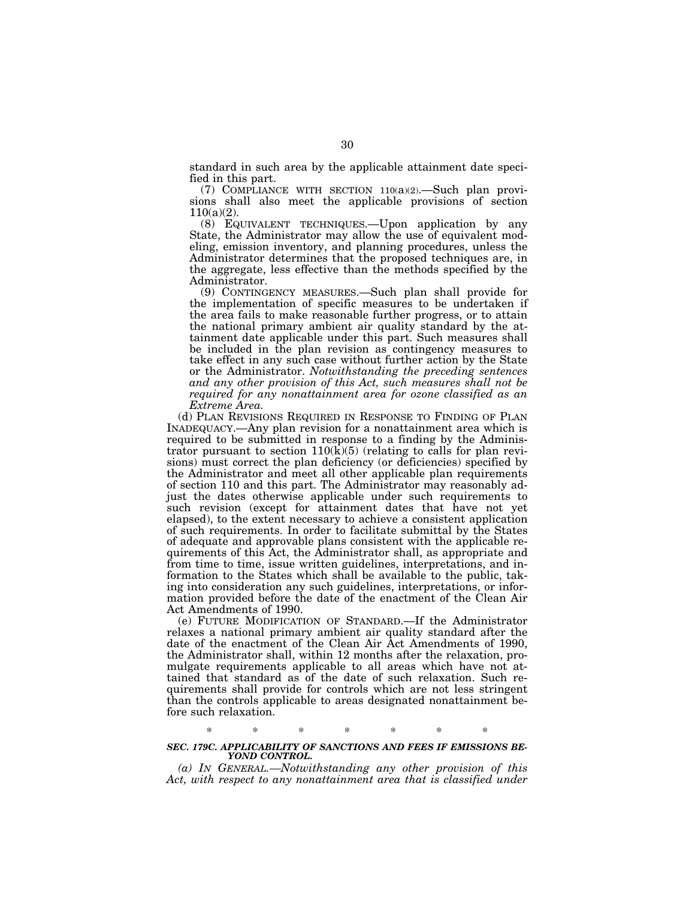standard in such area by the applicable attainment date specified in this part.

(7) COMPLIANCE WITH SECTION 110(a)(2).—Such plan provisions shall also meet the applicable provisions of section  $110(a)(2)$ .

(8) EQUIVALENT TECHNIQUES.—Upon application by any State, the Administrator may allow the use of equivalent modeling, emission inventory, and planning procedures, unless the Administrator determines that the proposed techniques are, in the aggregate, less effective than the methods specified by the Administrator.

(9) CONTINGENCY MEASURES.—Such plan shall provide for the implementation of specific measures to be undertaken if the area fails to make reasonable further progress, or to attain the national primary ambient air quality standard by the attainment date applicable under this part. Such measures shall be included in the plan revision as contingency measures to take effect in any such case without further action by the State or the Administrator. *Notwithstanding the preceding sentences and any other provision of this Act, such measures shall not be required for any nonattainment area for ozone classified as an Extreme Area.* 

(d) PLAN REVISIONS REQUIRED IN RESPONSE TO FINDING OF PLAN INADEQUACY.—Any plan revision for a nonattainment area which is required to be submitted in response to a finding by the Administrator pursuant to section  $110(k)(5)$  (relating to calls for plan revisions) must correct the plan deficiency (or deficiencies) specified by the Administrator and meet all other applicable plan requirements of section 110 and this part. The Administrator may reasonably adjust the dates otherwise applicable under such requirements to such revision (except for attainment dates that have not yet elapsed), to the extent necessary to achieve a consistent application of such requirements. In order to facilitate submittal by the States of adequate and approvable plans consistent with the applicable requirements of this Act, the Administrator shall, as appropriate and from time to time, issue written guidelines, interpretations, and information to the States which shall be available to the public, taking into consideration any such guidelines, interpretations, or information provided before the date of the enactment of the Clean Air Act Amendments of 1990.

(e) FUTURE MODIFICATION OF STANDARD.—If the Administrator relaxes a national primary ambient air quality standard after the date of the enactment of the Clean Air Act Amendments of 1990, the Administrator shall, within 12 months after the relaxation, promulgate requirements applicable to all areas which have not attained that standard as of the date of such relaxation. Such requirements shall provide for controls which are not less stringent than the controls applicable to areas designated nonattainment before such relaxation.

# \* \* \* \* \* \* \* *SEC. 179C. APPLICABILITY OF SANCTIONS AND FEES IF EMISSIONS BE-YOND CONTROL.*

*(a) IN GENERAL.—Notwithstanding any other provision of this*  Act, with respect to any nonattainment area that is classified under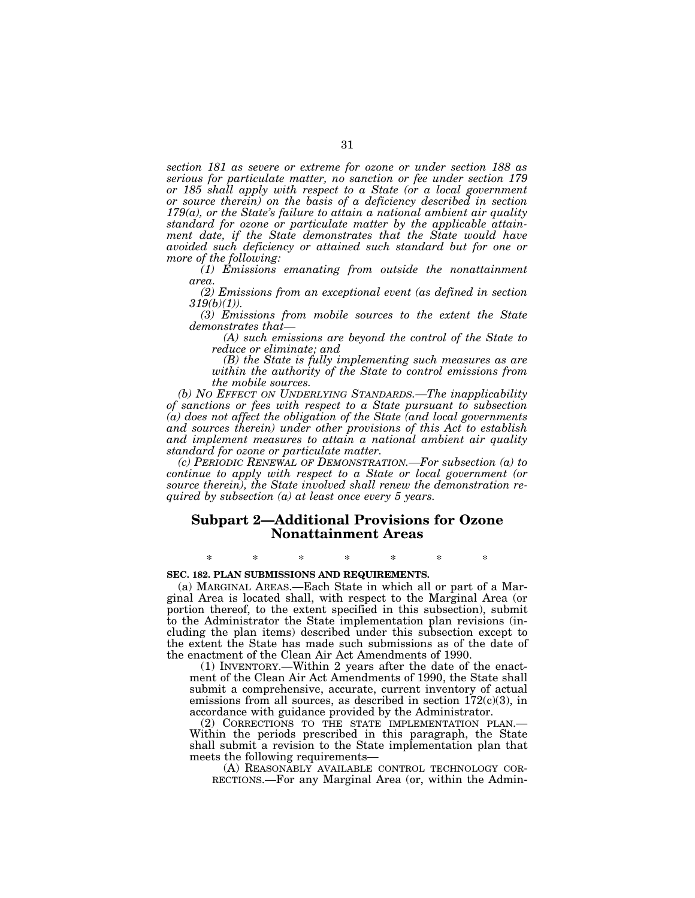*section 181 as severe or extreme for ozone or under section 188 as serious for particulate matter, no sanction or fee under section 179 or 185 shall apply with respect to a State (or a local government or source therein) on the basis of a deficiency described in section 179(a), or the State's failure to attain a national ambient air quality standard for ozone or particulate matter by the applicable attainment date, if the State demonstrates that the State would have avoided such deficiency or attained such standard but for one or more of the following:* 

*(1) Emissions emanating from outside the nonattainment area.* 

*(2) Emissions from an exceptional event (as defined in section 319(b)(1)).* 

*(3) Emissions from mobile sources to the extent the State demonstrates that—* 

*(A) such emissions are beyond the control of the State to reduce or eliminate; and* 

*(B) the State is fully implementing such measures as are within the authority of the State to control emissions from the mobile sources.* 

*(b) NO EFFECT ON UNDERLYING STANDARDS.—The inapplicability of sanctions or fees with respect to a State pursuant to subsection (a) does not affect the obligation of the State (and local governments and sources therein) under other provisions of this Act to establish and implement measures to attain a national ambient air quality standard for ozone or particulate matter.* 

*(c) PERIODIC RENEWAL OF DEMONSTRATION.—For subsection (a) to continue to apply with respect to a State or local government (or source therein), the State involved shall renew the demonstration required by subsection (a) at least once every 5 years.* 

# **Subpart 2—Additional Provisions for Ozone Nonattainment Areas**

\* \* \* \* \* \* \*

**SEC. 182. PLAN SUBMISSIONS AND REQUIREMENTS.** 

(a) MARGINAL AREAS.—Each State in which all or part of a Marginal Area is located shall, with respect to the Marginal Area (or portion thereof, to the extent specified in this subsection), submit to the Administrator the State implementation plan revisions (including the plan items) described under this subsection except to the extent the State has made such submissions as of the date of the enactment of the Clean Air Act Amendments of 1990.

(1) INVENTORY.—Within 2 years after the date of the enactment of the Clean Air Act Amendments of 1990, the State shall submit a comprehensive, accurate, current inventory of actual emissions from all sources, as described in section  $172(c)(3)$ , in accordance with guidance provided by the Administrator.

(2) CORRECTIONS TO THE STATE IMPLEMENTATION PLAN.— Within the periods prescribed in this paragraph, the State shall submit a revision to the State implementation plan that meets the following requirements—

(A) REASONABLY AVAILABLE CONTROL TECHNOLOGY COR-RECTIONS.—For any Marginal Area (or, within the Admin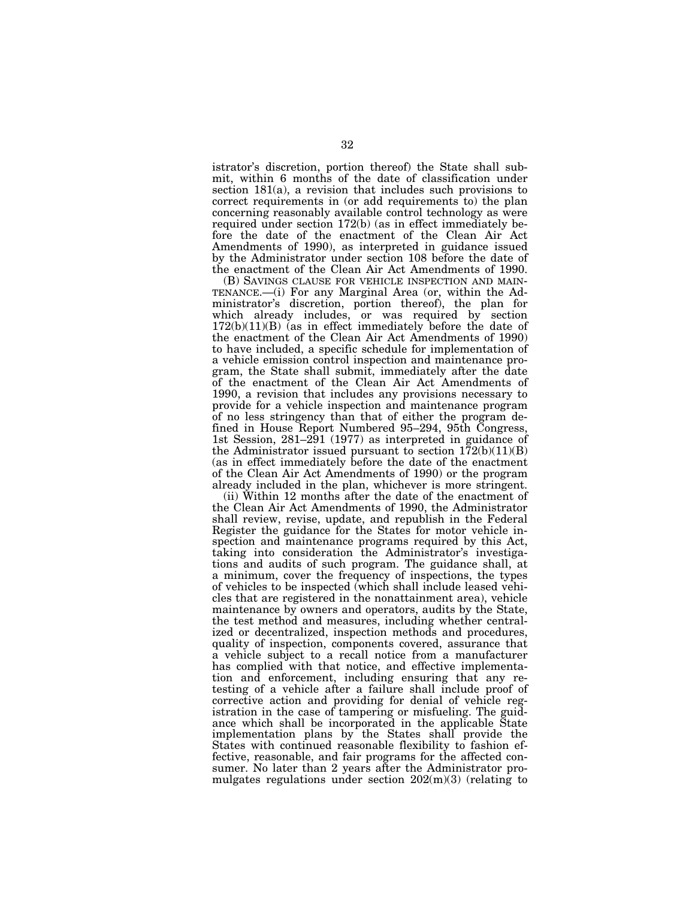istrator's discretion, portion thereof) the State shall submit, within 6 months of the date of classification under section 181(a), a revision that includes such provisions to correct requirements in (or add requirements to) the plan concerning reasonably available control technology as were required under section 172(b) (as in effect immediately before the date of the enactment of the Clean Air Act Amendments of 1990), as interpreted in guidance issued by the Administrator under section 108 before the date of the enactment of the Clean Air Act Amendments of 1990.

(B) SAVINGS CLAUSE FOR VEHICLE INSPECTION AND MAIN-TENANCE.—(i) For any Marginal Area (or, within the Administrator's discretion, portion thereof), the plan for which already includes, or was required by section 172(b)(11)(B) (as in effect immediately before the date of the enactment of the Clean Air Act Amendments of 1990) to have included, a specific schedule for implementation of a vehicle emission control inspection and maintenance program, the State shall submit, immediately after the date of the enactment of the Clean Air Act Amendments of 1990, a revision that includes any provisions necessary to provide for a vehicle inspection and maintenance program of no less stringency than that of either the program defined in House Report Numbered 95–294, 95th Congress, 1st Session, 281–291 (1977) as interpreted in guidance of the Administrator issued pursuant to section  $172(b)(11)(B)$ (as in effect immediately before the date of the enactment of the Clean Air Act Amendments of 1990) or the program already included in the plan, whichever is more stringent.

(ii) Within 12 months after the date of the enactment of the Clean Air Act Amendments of 1990, the Administrator shall review, revise, update, and republish in the Federal Register the guidance for the States for motor vehicle inspection and maintenance programs required by this Act, taking into consideration the Administrator's investigations and audits of such program. The guidance shall, at a minimum, cover the frequency of inspections, the types of vehicles to be inspected (which shall include leased vehicles that are registered in the nonattainment area), vehicle maintenance by owners and operators, audits by the State, the test method and measures, including whether centralized or decentralized, inspection methods and procedures, quality of inspection, components covered, assurance that a vehicle subject to a recall notice from a manufacturer has complied with that notice, and effective implementation and enforcement, including ensuring that any retesting of a vehicle after a failure shall include proof of corrective action and providing for denial of vehicle registration in the case of tampering or misfueling. The guidance which shall be incorporated in the applicable State implementation plans by the States shall provide the States with continued reasonable flexibility to fashion effective, reasonable, and fair programs for the affected consumer. No later than 2 years after the Administrator promulgates regulations under section 202(m)(3) (relating to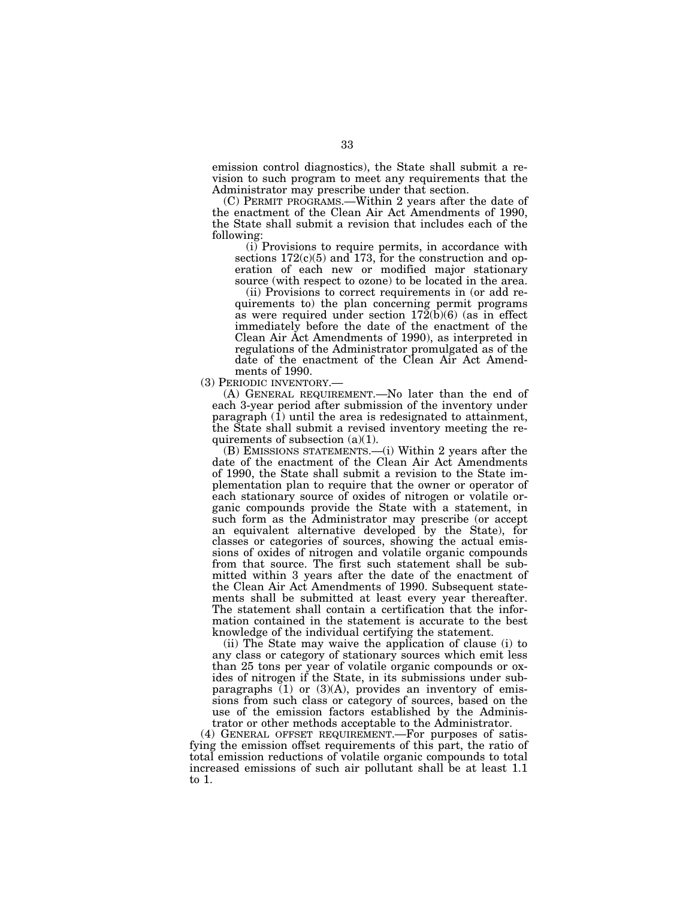emission control diagnostics), the State shall submit a revision to such program to meet any requirements that the Administrator may prescribe under that section.

(C) PERMIT PROGRAMS.—Within 2 years after the date of the enactment of the Clean Air Act Amendments of 1990, the State shall submit a revision that includes each of the following:

(i) Provisions to require permits, in accordance with sections  $172(c)(5)$  and  $173$ , for the construction and operation of each new or modified major stationary source (with respect to ozone) to be located in the area.

(ii) Provisions to correct requirements in (or add requirements to) the plan concerning permit programs as were required under section  $172(b)(6)$  (as in effect immediately before the date of the enactment of the Clean Air Act Amendments of 1990), as interpreted in regulations of the Administrator promulgated as of the date of the enactment of the Clean Air Act Amendments of 1990.

(3) PERIODIC INVENTORY.—

(A) GENERAL REQUIREMENT.—No later than the end of each 3-year period after submission of the inventory under paragraph  $(1)$  until the area is redesignated to attainment, the State shall submit a revised inventory meeting the requirements of subsection  $(a)(1)$ .

(B) EMISSIONS STATEMENTS.—(i) Within 2 years after the date of the enactment of the Clean Air Act Amendments of 1990, the State shall submit a revision to the State implementation plan to require that the owner or operator of each stationary source of oxides of nitrogen or volatile organic compounds provide the State with a statement, in such form as the Administrator may prescribe (or accept an equivalent alternative developed by the State), for classes or categories of sources, showing the actual emissions of oxides of nitrogen and volatile organic compounds from that source. The first such statement shall be submitted within 3 years after the date of the enactment of the Clean Air Act Amendments of 1990. Subsequent statements shall be submitted at least every year thereafter. The statement shall contain a certification that the information contained in the statement is accurate to the best knowledge of the individual certifying the statement.

(ii) The State may waive the application of clause (i) to any class or category of stationary sources which emit less than 25 tons per year of volatile organic compounds or oxides of nitrogen if the State, in its submissions under subparagraphs  $(1)$  or  $(3)(A)$ , provides an inventory of emissions from such class or category of sources, based on the use of the emission factors established by the Administrator or other methods acceptable to the Administrator.

(4) GENERAL OFFSET REQUIREMENT.—For purposes of satisfying the emission offset requirements of this part, the ratio of total emission reductions of volatile organic compounds to total increased emissions of such air pollutant shall be at least 1.1 to 1.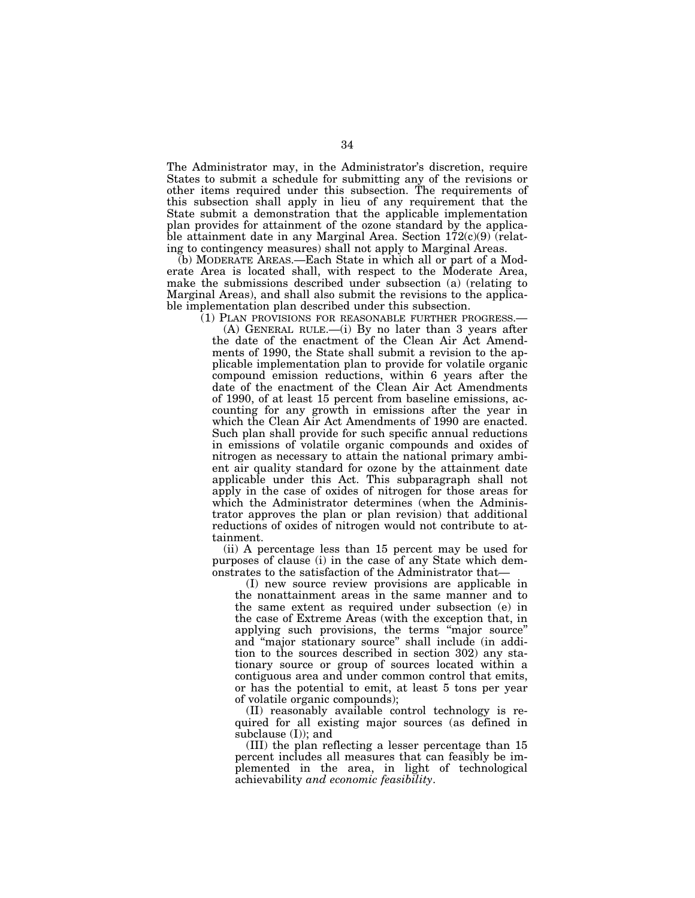The Administrator may, in the Administrator's discretion, require States to submit a schedule for submitting any of the revisions or other items required under this subsection. The requirements of this subsection shall apply in lieu of any requirement that the State submit a demonstration that the applicable implementation plan provides for attainment of the ozone standard by the applicable attainment date in any Marginal Area. Section  $172(c)(9)$  (relating to contingency measures) shall not apply to Marginal Areas.

(b) MODERATE AREAS.—Each State in which all or part of a Moderate Area is located shall, with respect to the Moderate Area, make the submissions described under subsection (a) (relating to Marginal Areas), and shall also submit the revisions to the applicable implementation plan described under this subsection.

(1) PLAN PROVISIONS FOR REASONABLE FURTHER PROGRESS.— (A) GENERAL RULE.—(i) By no later than 3 years after the date of the enactment of the Clean Air Act Amendments of 1990, the State shall submit a revision to the applicable implementation plan to provide for volatile organic compound emission reductions, within 6 years after the date of the enactment of the Clean Air Act Amendments of 1990, of at least 15 percent from baseline emissions, accounting for any growth in emissions after the year in which the Clean Air Act Amendments of 1990 are enacted. Such plan shall provide for such specific annual reductions in emissions of volatile organic compounds and oxides of nitrogen as necessary to attain the national primary ambient air quality standard for ozone by the attainment date applicable under this Act. This subparagraph shall not apply in the case of oxides of nitrogen for those areas for which the Administrator determines (when the Administrator approves the plan or plan revision) that additional reductions of oxides of nitrogen would not contribute to attainment.

(ii) A percentage less than 15 percent may be used for purposes of clause (i) in the case of any State which demonstrates to the satisfaction of the Administrator that—

(I) new source review provisions are applicable in the nonattainment areas in the same manner and to the same extent as required under subsection (e) in the case of Extreme Areas (with the exception that, in applying such provisions, the terms ''major source'' and ''major stationary source'' shall include (in addition to the sources described in section 302) any stationary source or group of sources located within a contiguous area and under common control that emits, or has the potential to emit, at least 5 tons per year of volatile organic compounds);

(II) reasonably available control technology is required for all existing major sources (as defined in subclause (I)); and

(III) the plan reflecting a lesser percentage than 15 percent includes all measures that can feasibly be implemented in the area, in light of technological achievability *and economic feasibility*.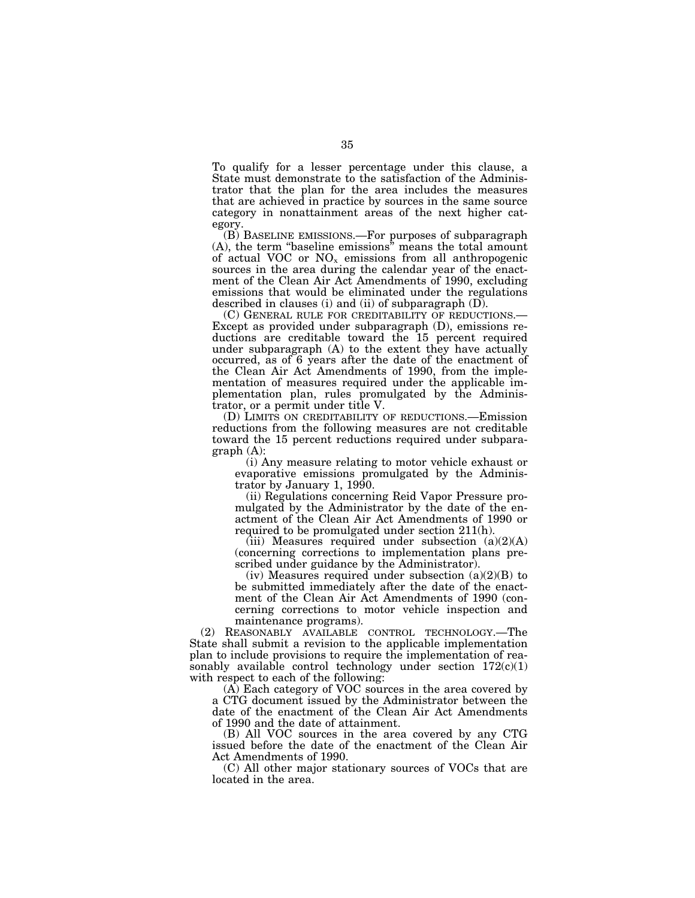To qualify for a lesser percentage under this clause, a State must demonstrate to the satisfaction of the Administrator that the plan for the area includes the measures that are achieved in practice by sources in the same source category in nonattainment areas of the next higher category.

(B) BASELINE EMISSIONS.—For purposes of subparagraph (A), the term ''baseline emissions'' means the total amount of actual VOC or  $NO<sub>x</sub>$  emissions from all anthropogenic sources in the area during the calendar year of the enactment of the Clean Air Act Amendments of 1990, excluding emissions that would be eliminated under the regulations described in clauses (i) and (ii) of subparagraph (D).

(C) GENERAL RULE FOR CREDITABILITY OF REDUCTIONS.— Except as provided under subparagraph (D), emissions reductions are creditable toward the 15 percent required under subparagraph (A) to the extent they have actually occurred, as of 6 years after the date of the enactment of the Clean Air Act Amendments of 1990, from the implementation of measures required under the applicable implementation plan, rules promulgated by the Administrator, or a permit under title V.

(D) LIMITS ON CREDITABILITY OF REDUCTIONS.—Emission reductions from the following measures are not creditable toward the 15 percent reductions required under subparagraph (A):

(i) Any measure relating to motor vehicle exhaust or evaporative emissions promulgated by the Administrator by January 1, 1990.

(ii) Regulations concerning Reid Vapor Pressure promulgated by the Administrator by the date of the enactment of the Clean Air Act Amendments of 1990 or required to be promulgated under section 211(h).

 $(iii)$  Measures required under subsection  $(a)(2)(A)$ (concerning corrections to implementation plans prescribed under guidance by the Administrator).

(iv) Measures required under subsection  $(a)(2)(B)$  to be submitted immediately after the date of the enactment of the Clean Air Act Amendments of 1990 (concerning corrections to motor vehicle inspection and maintenance programs).

(2) REASONABLY AVAILABLE CONTROL TECHNOLOGY.—The State shall submit a revision to the applicable implementation plan to include provisions to require the implementation of reasonably available control technology under section  $172(c)(1)$ with respect to each of the following:

(A) Each category of VOC sources in the area covered by a CTG document issued by the Administrator between the date of the enactment of the Clean Air Act Amendments of 1990 and the date of attainment.

(B) All VOC sources in the area covered by any CTG issued before the date of the enactment of the Clean Air Act Amendments of 1990.

(C) All other major stationary sources of VOCs that are located in the area.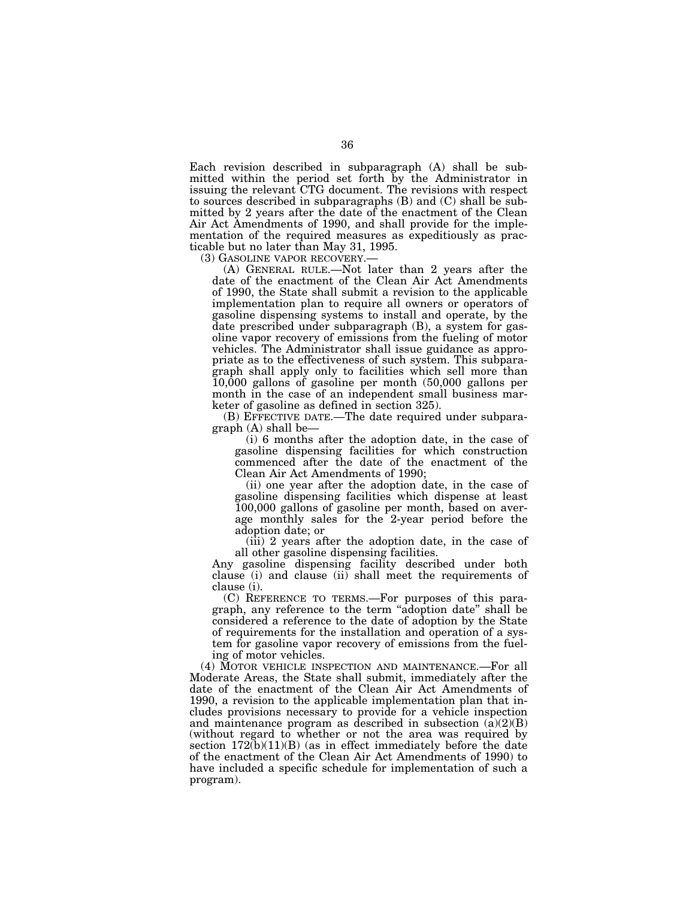Each revision described in subparagraph (A) shall be submitted within the period set forth by the Administrator in issuing the relevant CTG document. The revisions with respect to sources described in subparagraphs (B) and (C) shall be submitted by 2 years after the date of the enactment of the Clean Air Act Amendments of 1990, and shall provide for the implementation of the required measures as expeditiously as practicable but no later than May 31, 1995.<br>(3) GASOLINE VAPOR RECOVERY.—

 $(A)$  GENERAL RULE.—Not later than 2 years after the date of the enactment of the Clean Air Act Amendments of 1990, the State shall submit a revision to the applicable implementation plan to require all owners or operators of gasoline dispensing systems to install and operate, by the date prescribed under subparagraph (B), a system for gasoline vapor recovery of emissions from the fueling of motor vehicles. The Administrator shall issue guidance as appropriate as to the effectiveness of such system. This subparagraph shall apply only to facilities which sell more than 10,000 gallons of gasoline per month (50,000 gallons per month in the case of an independent small business marketer of gasoline as defined in section 325).

(B) EFFECTIVE DATE.—The date required under subparagraph (A) shall be—

(i) 6 months after the adoption date, in the case of gasoline dispensing facilities for which construction commenced after the date of the enactment of the Clean Air Act Amendments of 1990;

(ii) one year after the adoption date, in the case of gasoline dispensing facilities which dispense at least 100,000 gallons of gasoline per month, based on average monthly sales for the 2-year period before the adoption date; or

(iii) 2 years after the adoption date, in the case of all other gasoline dispensing facilities.

Any gasoline dispensing facility described under both clause (i) and clause (ii) shall meet the requirements of clause (i).

(C) REFERENCE TO TERMS.—For purposes of this paragraph, any reference to the term ''adoption date'' shall be considered a reference to the date of adoption by the State of requirements for the installation and operation of a system for gasoline vapor recovery of emissions from the fueling of motor vehicles.

(4) MOTOR VEHICLE INSPECTION AND MAINTENANCE.—For all Moderate Areas, the State shall submit, immediately after the date of the enactment of the Clean Air Act Amendments of 1990, a revision to the applicable implementation plan that includes provisions necessary to provide for a vehicle inspection and maintenance program as described in subsection  $(\alpha)(2)(B)$ (without regard to whether or not the area was required by section  $172(b)(11)(B)$  (as in effect immediately before the date of the enactment of the Clean Air Act Amendments of 1990) to have included a specific schedule for implementation of such a program).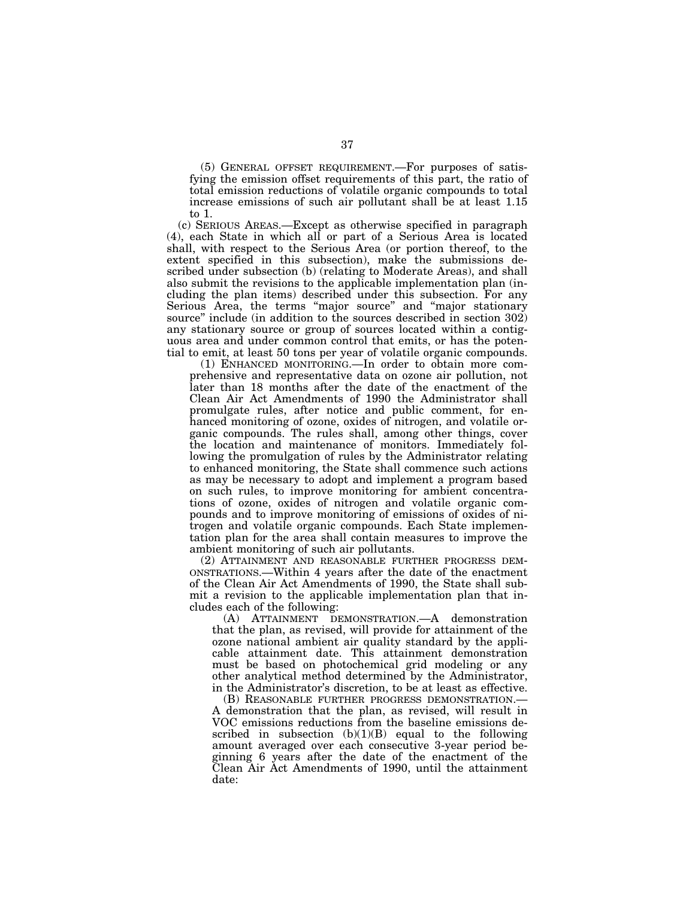(5) GENERAL OFFSET REQUIREMENT.—For purposes of satisfying the emission offset requirements of this part, the ratio of total emission reductions of volatile organic compounds to total increase emissions of such air pollutant shall be at least 1.15 to 1.

(c) SERIOUS AREAS.—Except as otherwise specified in paragraph (4), each State in which all or part of a Serious Area is located shall, with respect to the Serious Area (or portion thereof, to the extent specified in this subsection), make the submissions described under subsection (b) (relating to Moderate Areas), and shall also submit the revisions to the applicable implementation plan (including the plan items) described under this subsection. For any Serious Area, the terms "major source" and "major stationary source'' include (in addition to the sources described in section 302) any stationary source or group of sources located within a contiguous area and under common control that emits, or has the potential to emit, at least 50 tons per year of volatile organic compounds.

(1) ENHANCED MONITORING.—In order to obtain more comprehensive and representative data on ozone air pollution, not later than 18 months after the date of the enactment of the Clean Air Act Amendments of 1990 the Administrator shall promulgate rules, after notice and public comment, for enhanced monitoring of ozone, oxides of nitrogen, and volatile organic compounds. The rules shall, among other things, cover the location and maintenance of monitors. Immediately following the promulgation of rules by the Administrator relating to enhanced monitoring, the State shall commence such actions as may be necessary to adopt and implement a program based on such rules, to improve monitoring for ambient concentrations of ozone, oxides of nitrogen and volatile organic compounds and to improve monitoring of emissions of oxides of nitrogen and volatile organic compounds. Each State implementation plan for the area shall contain measures to improve the ambient monitoring of such air pollutants.

(2) ATTAINMENT AND REASONABLE FURTHER PROGRESS DEM-ONSTRATIONS.—Within 4 years after the date of the enactment of the Clean Air Act Amendments of 1990, the State shall submit a revision to the applicable implementation plan that includes each of the following:

(A) ATTAINMENT DEMONSTRATION.—A demonstration that the plan, as revised, will provide for attainment of the ozone national ambient air quality standard by the applicable attainment date. This attainment demonstration must be based on photochemical grid modeling or any other analytical method determined by the Administrator, in the Administrator's discretion, to be at least as effective.

(B) REASONABLE FURTHER PROGRESS DEMONSTRATION.— A demonstration that the plan, as revised, will result in VOC emissions reductions from the baseline emissions described in subsection  $(b)(1)(B)$  equal to the following amount averaged over each consecutive 3-year period beginning 6 years after the date of the enactment of the Clean Air Act Amendments of 1990, until the attainment date: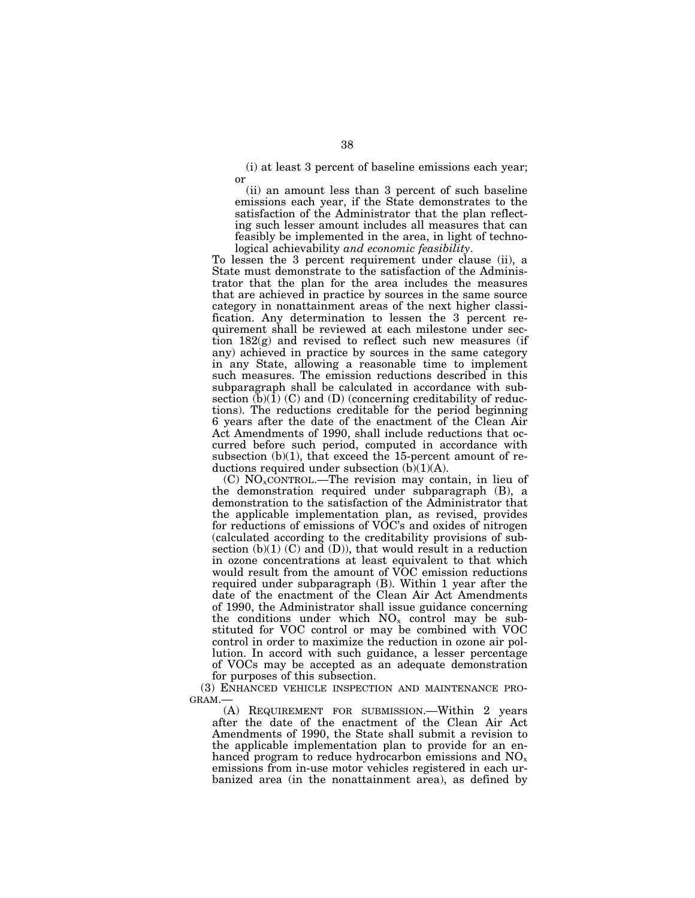(i) at least 3 percent of baseline emissions each year; or

(ii) an amount less than 3 percent of such baseline emissions each year, if the State demonstrates to the satisfaction of the Administrator that the plan reflecting such lesser amount includes all measures that can feasibly be implemented in the area, in light of technological achievability *and economic feasibility*.

To lessen the 3 percent requirement under clause (ii), a State must demonstrate to the satisfaction of the Administrator that the plan for the area includes the measures that are achieved in practice by sources in the same source category in nonattainment areas of the next higher classification. Any determination to lessen the 3 percent requirement shall be reviewed at each milestone under section 182(g) and revised to reflect such new measures (if any) achieved in practice by sources in the same category in any State, allowing a reasonable time to implement such measures. The emission reductions described in this subparagraph shall be calculated in accordance with subsection  $(b)(1)$  (C) and (D) (concerning creditability of reductions). The reductions creditable for the period beginning 6 years after the date of the enactment of the Clean Air Act Amendments of 1990, shall include reductions that occurred before such period, computed in accordance with subsection  $(b)(1)$ , that exceed the 15-percent amount of reductions required under subsection  $(b)(1)(A)$ .

 $(C) NO<sub>x</sub>CONTROL$ .—The revision may contain, in lieu of the demonstration required under subparagraph (B), a demonstration to the satisfaction of the Administrator that the applicable implementation plan, as revised, provides for reductions of emissions of VOC's and oxides of nitrogen (calculated according to the creditability provisions of subsection  $(b)(1)$   $(C)$  and  $(D)$ ), that would result in a reduction in ozone concentrations at least equivalent to that which would result from the amount of VOC emission reductions required under subparagraph (B). Within 1 year after the date of the enactment of the Clean Air Act Amendments of 1990, the Administrator shall issue guidance concerning the conditions under which  $NO<sub>x</sub>$  control may be substituted for VOC control or may be combined with VOC control in order to maximize the reduction in ozone air pollution. In accord with such guidance, a lesser percentage of VOCs may be accepted as an adequate demonstration for purposes of this subsection.

(3) ENHANCED VEHICLE INSPECTION AND MAINTENANCE PRO-GRAM.—

(A) REQUIREMENT FOR SUBMISSION.—Within 2 years after the date of the enactment of the Clean Air Act Amendments of 1990, the State shall submit a revision to the applicable implementation plan to provide for an enhanced program to reduce hydrocarbon emissions and  $NO<sub>x</sub>$ emissions from in-use motor vehicles registered in each urbanized area (in the nonattainment area), as defined by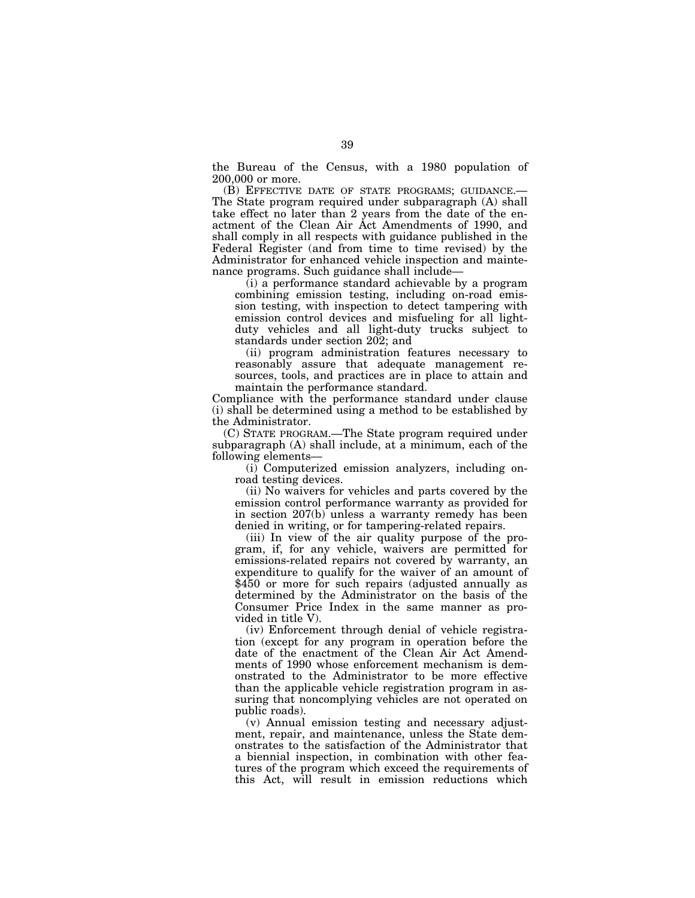the Bureau of the Census, with a 1980 population of 200,000 or more.

(B) EFFECTIVE DATE OF STATE PROGRAMS; GUIDANCE.— The State program required under subparagraph (A) shall take effect no later than 2 years from the date of the enactment of the Clean Air Act Amendments of 1990, and shall comply in all respects with guidance published in the Federal Register (and from time to time revised) by the Administrator for enhanced vehicle inspection and maintenance programs. Such guidance shall include—

(i) a performance standard achievable by a program combining emission testing, including on-road emission testing, with inspection to detect tampering with emission control devices and misfueling for all lightduty vehicles and all light-duty trucks subject to standards under section 202; and

(ii) program administration features necessary to reasonably assure that adequate management resources, tools, and practices are in place to attain and maintain the performance standard.

Compliance with the performance standard under clause (i) shall be determined using a method to be established by the Administrator.

(C) STATE PROGRAM.—The State program required under subparagraph (A) shall include, at a minimum, each of the following elements—

(i) Computerized emission analyzers, including onroad testing devices.

(ii) No waivers for vehicles and parts covered by the emission control performance warranty as provided for in section 207(b) unless a warranty remedy has been denied in writing, or for tampering-related repairs.

(iii) In view of the air quality purpose of the program, if, for any vehicle, waivers are permitted for emissions-related repairs not covered by warranty, an expenditure to qualify for the waiver of an amount of \$450 or more for such repairs (adjusted annually as determined by the Administrator on the basis of the Consumer Price Index in the same manner as provided in title V).

(iv) Enforcement through denial of vehicle registration (except for any program in operation before the date of the enactment of the Clean Air Act Amendments of 1990 whose enforcement mechanism is demonstrated to the Administrator to be more effective than the applicable vehicle registration program in assuring that noncomplying vehicles are not operated on public roads).

(v) Annual emission testing and necessary adjustment, repair, and maintenance, unless the State demonstrates to the satisfaction of the Administrator that a biennial inspection, in combination with other features of the program which exceed the requirements of this Act, will result in emission reductions which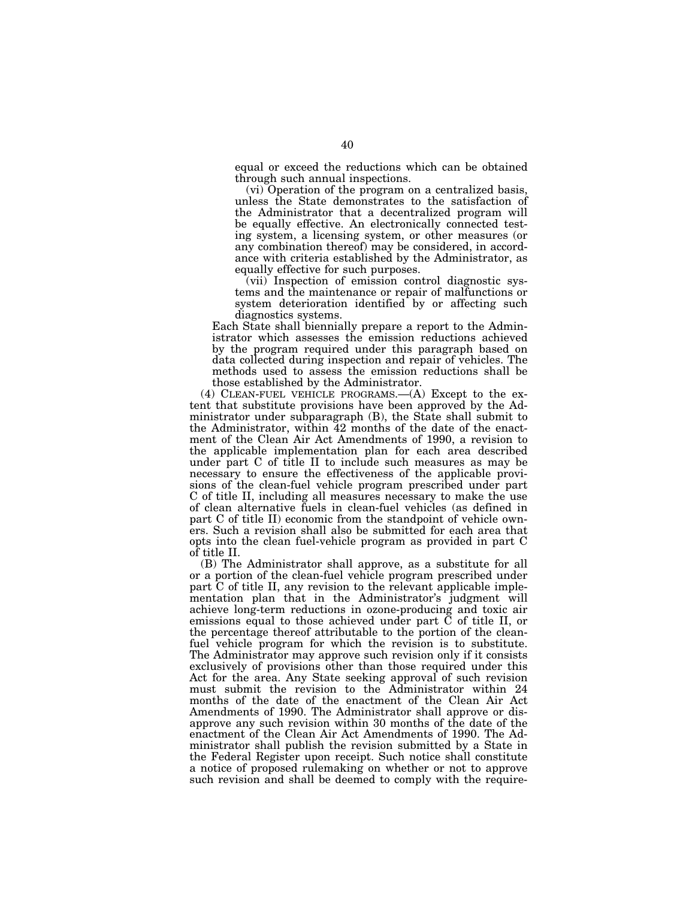equal or exceed the reductions which can be obtained through such annual inspections.

(vi) Operation of the program on a centralized basis, unless the State demonstrates to the satisfaction of the Administrator that a decentralized program will be equally effective. An electronically connected testing system, a licensing system, or other measures (or any combination thereof) may be considered, in accordance with criteria established by the Administrator, as equally effective for such purposes.

(vii) Inspection of emission control diagnostic systems and the maintenance or repair of malfunctions or system deterioration identified by or affecting such diagnostics systems.

Each State shall biennially prepare a report to the Administrator which assesses the emission reductions achieved by the program required under this paragraph based on data collected during inspection and repair of vehicles. The methods used to assess the emission reductions shall be those established by the Administrator.

(4) CLEAN-FUEL VEHICLE PROGRAMS.—(A) Except to the extent that substitute provisions have been approved by the Administrator under subparagraph (B), the State shall submit to the Administrator, within 42 months of the date of the enactment of the Clean Air Act Amendments of 1990, a revision to the applicable implementation plan for each area described under part C of title II to include such measures as may be necessary to ensure the effectiveness of the applicable provisions of the clean-fuel vehicle program prescribed under part C of title II, including all measures necessary to make the use of clean alternative fuels in clean-fuel vehicles (as defined in part C of title II) economic from the standpoint of vehicle owners. Such a revision shall also be submitted for each area that opts into the clean fuel-vehicle program as provided in part C of title II.

(B) The Administrator shall approve, as a substitute for all or a portion of the clean-fuel vehicle program prescribed under part  $\overline{C}$  of title II, any revision to the relevant applicable implementation plan that in the Administrator's judgment will achieve long-term reductions in ozone-producing and toxic air emissions equal to those achieved under part  $\check{C}$  of title II, or the percentage thereof attributable to the portion of the cleanfuel vehicle program for which the revision is to substitute. The Administrator may approve such revision only if it consists exclusively of provisions other than those required under this Act for the area. Any State seeking approval of such revision must submit the revision to the Administrator within 24 months of the date of the enactment of the Clean Air Act Amendments of 1990. The Administrator shall approve or disapprove any such revision within 30 months of the date of the enactment of the Clean Air Act Amendments of 1990. The Administrator shall publish the revision submitted by a State in the Federal Register upon receipt. Such notice shall constitute a notice of proposed rulemaking on whether or not to approve such revision and shall be deemed to comply with the require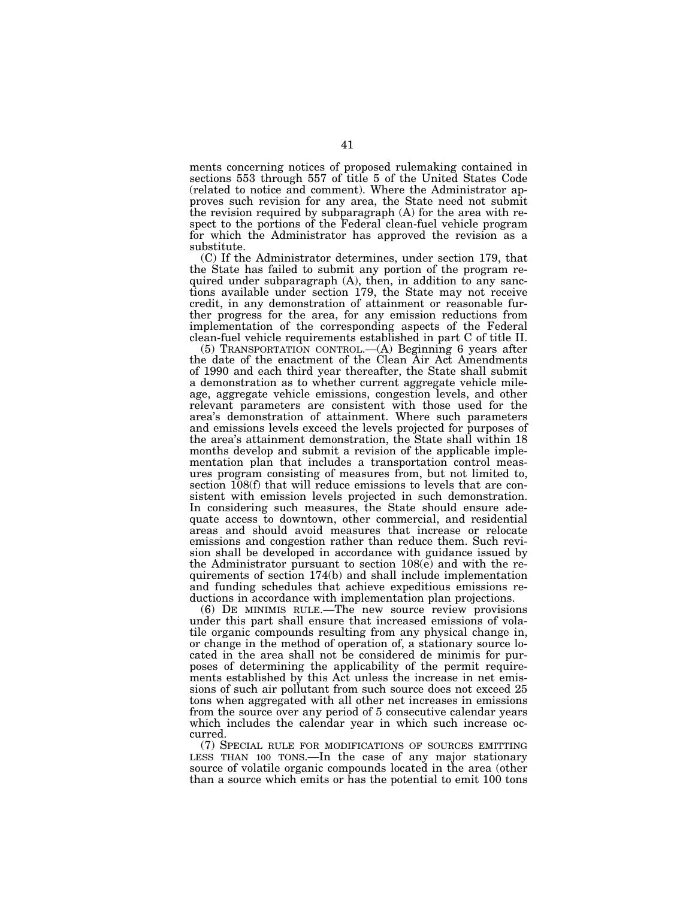ments concerning notices of proposed rulemaking contained in sections 553 through 557 of title 5 of the United States Code (related to notice and comment). Where the Administrator approves such revision for any area, the State need not submit the revision required by subparagraph (A) for the area with respect to the portions of the Federal clean-fuel vehicle program for which the Administrator has approved the revision as a substitute.

(C) If the Administrator determines, under section 179, that the State has failed to submit any portion of the program required under subparagraph (A), then, in addition to any sanctions available under section 179, the State may not receive credit, in any demonstration of attainment or reasonable further progress for the area, for any emission reductions from implementation of the corresponding aspects of the Federal clean-fuel vehicle requirements established in part C of title II.

(5) TRANSPORTATION CONTROL.—(A) Beginning 6 years after the date of the enactment of the Clean Air Act Amendments of 1990 and each third year thereafter, the State shall submit a demonstration as to whether current aggregate vehicle mileage, aggregate vehicle emissions, congestion levels, and other relevant parameters are consistent with those used for the area's demonstration of attainment. Where such parameters and emissions levels exceed the levels projected for purposes of the area's attainment demonstration, the State shall within 18 months develop and submit a revision of the applicable implementation plan that includes a transportation control measures program consisting of measures from, but not limited to, section 108(f) that will reduce emissions to levels that are consistent with emission levels projected in such demonstration. In considering such measures, the State should ensure adequate access to downtown, other commercial, and residential areas and should avoid measures that increase or relocate emissions and congestion rather than reduce them. Such revision shall be developed in accordance with guidance issued by the Administrator pursuant to section 108(e) and with the requirements of section 174(b) and shall include implementation and funding schedules that achieve expeditious emissions reductions in accordance with implementation plan projections.

(6) DE MINIMIS RULE.—The new source review provisions under this part shall ensure that increased emissions of volatile organic compounds resulting from any physical change in, or change in the method of operation of, a stationary source located in the area shall not be considered de minimis for purposes of determining the applicability of the permit requirements established by this Act unless the increase in net emissions of such air pollutant from such source does not exceed 25 tons when aggregated with all other net increases in emissions from the source over any period of 5 consecutive calendar years which includes the calendar year in which such increase occurred.

(7) SPECIAL RULE FOR MODIFICATIONS OF SOURCES EMITTING LESS THAN 100 TONS.—In the case of any major stationary source of volatile organic compounds located in the area (other than a source which emits or has the potential to emit 100 tons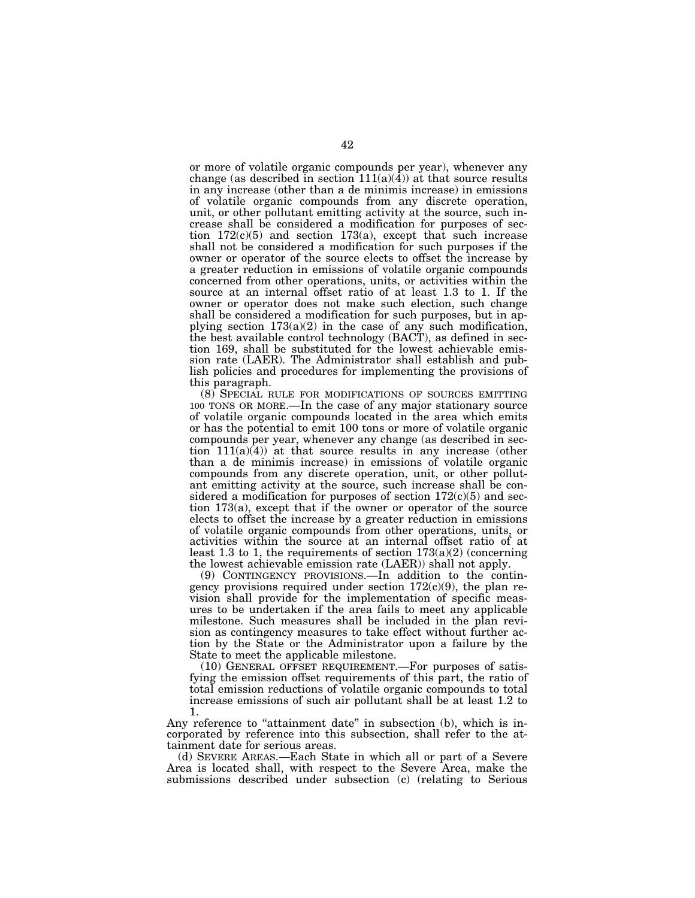or more of volatile organic compounds per year), whenever any change (as described in section  $111(a)(4)$ ) at that source results in any increase (other than a de minimis increase) in emissions of volatile organic compounds from any discrete operation, unit, or other pollutant emitting activity at the source, such increase shall be considered a modification for purposes of section  $172(c)(5)$  and section  $173(a)$ , except that such increase shall not be considered a modification for such purposes if the owner or operator of the source elects to offset the increase by a greater reduction in emissions of volatile organic compounds concerned from other operations, units, or activities within the source at an internal offset ratio of at least 1.3 to 1. If the owner or operator does not make such election, such change shall be considered a modification for such purposes, but in applying section  $173(a)(2)$  in the case of any such modification, the best available control technology (BACT), as defined in section 169, shall be substituted for the lowest achievable emission rate (LAER). The Administrator shall establish and publish policies and procedures for implementing the provisions of this paragraph.

(8) SPECIAL RULE FOR MODIFICATIONS OF SOURCES EMITTING 100 TONS OR MORE.—In the case of any major stationary source of volatile organic compounds located in the area which emits or has the potential to emit 100 tons or more of volatile organic compounds per year, whenever any change (as described in section  $111(a)(4)$  at that source results in any increase (other than a de minimis increase) in emissions of volatile organic compounds from any discrete operation, unit, or other pollutant emitting activity at the source, such increase shall be considered a modification for purposes of section 172(c)(5) and section 173(a), except that if the owner or operator of the source elects to offset the increase by a greater reduction in emissions of volatile organic compounds from other operations, units, or activities within the source at an internal offset ratio of at least 1.3 to 1, the requirements of section  $173(a)(2)$  (concerning the lowest achievable emission rate (LAER)) shall not apply.

(9) CONTINGENCY PROVISIONS.—In addition to the contingency provisions required under section  $172(c)(9)$ , the plan revision shall provide for the implementation of specific measures to be undertaken if the area fails to meet any applicable milestone. Such measures shall be included in the plan revision as contingency measures to take effect without further action by the State or the Administrator upon a failure by the State to meet the applicable milestone.

(10) GENERAL OFFSET REQUIREMENT.—For purposes of satisfying the emission offset requirements of this part, the ratio of total emission reductions of volatile organic compounds to total increase emissions of such air pollutant shall be at least 1.2 to 1.

Any reference to "attainment date" in subsection (b), which is incorporated by reference into this subsection, shall refer to the attainment date for serious areas.

(d) SEVERE AREAS.—Each State in which all or part of a Severe Area is located shall, with respect to the Severe Area, make the submissions described under subsection (c) (relating to Serious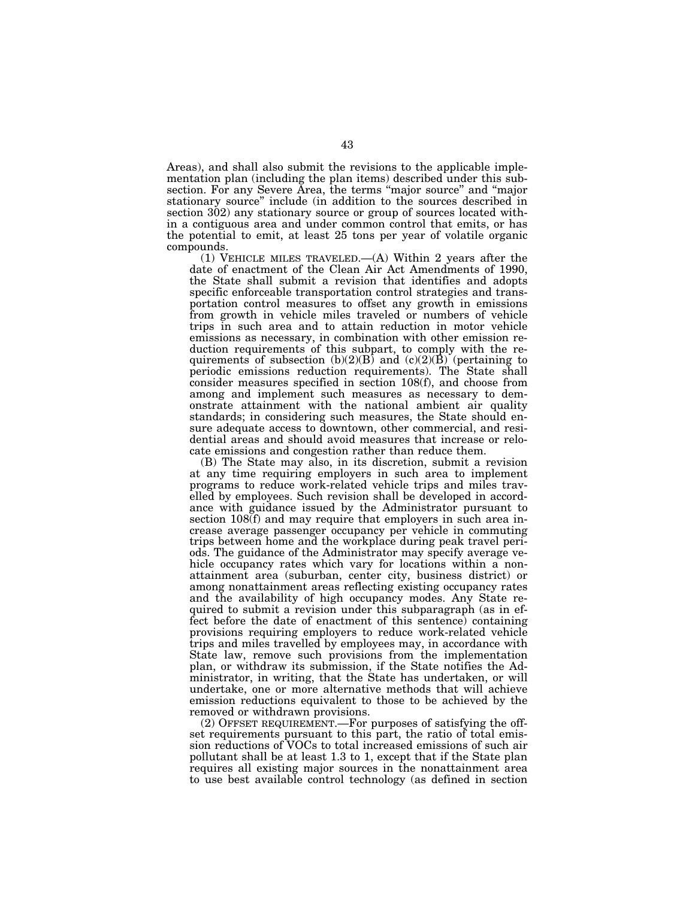Areas), and shall also submit the revisions to the applicable implementation plan (including the plan items) described under this subsection. For any Severe Area, the terms "major source" and "major stationary source'' include (in addition to the sources described in section 302) any stationary source or group of sources located within a contiguous area and under common control that emits, or has the potential to emit, at least 25 tons per year of volatile organic compounds.

(1) VEHICLE MILES TRAVELED.—(A) Within 2 years after the date of enactment of the Clean Air Act Amendments of 1990, the State shall submit a revision that identifies and adopts specific enforceable transportation control strategies and transportation control measures to offset any growth in emissions from growth in vehicle miles traveled or numbers of vehicle trips in such area and to attain reduction in motor vehicle emissions as necessary, in combination with other emission reduction requirements of this subpart, to comply with the requirements of subsection  $(b)(2)(B)$  and  $(c)(2)(B)$  (pertaining to periodic emissions reduction requirements). The State shall consider measures specified in section 108(f), and choose from among and implement such measures as necessary to demonstrate attainment with the national ambient air quality standards; in considering such measures, the State should ensure adequate access to downtown, other commercial, and residential areas and should avoid measures that increase or relocate emissions and congestion rather than reduce them.

(B) The State may also, in its discretion, submit a revision at any time requiring employers in such area to implement programs to reduce work-related vehicle trips and miles travelled by employees. Such revision shall be developed in accordance with guidance issued by the Administrator pursuant to section 108(f) and may require that employers in such area increase average passenger occupancy per vehicle in commuting trips between home and the workplace during peak travel periods. The guidance of the Administrator may specify average vehicle occupancy rates which vary for locations within a nonattainment area (suburban, center city, business district) or among nonattainment areas reflecting existing occupancy rates and the availability of high occupancy modes. Any State required to submit a revision under this subparagraph (as in effect before the date of enactment of this sentence) containing provisions requiring employers to reduce work-related vehicle trips and miles travelled by employees may, in accordance with State law, remove such provisions from the implementation plan, or withdraw its submission, if the State notifies the Administrator, in writing, that the State has undertaken, or will undertake, one or more alternative methods that will achieve emission reductions equivalent to those to be achieved by the removed or withdrawn provisions.

(2) OFFSET REQUIREMENT.—For purposes of satisfying the offset requirements pursuant to this part, the ratio of total emission reductions of VOCs to total increased emissions of such air pollutant shall be at least 1.3 to 1, except that if the State plan requires all existing major sources in the nonattainment area to use best available control technology (as defined in section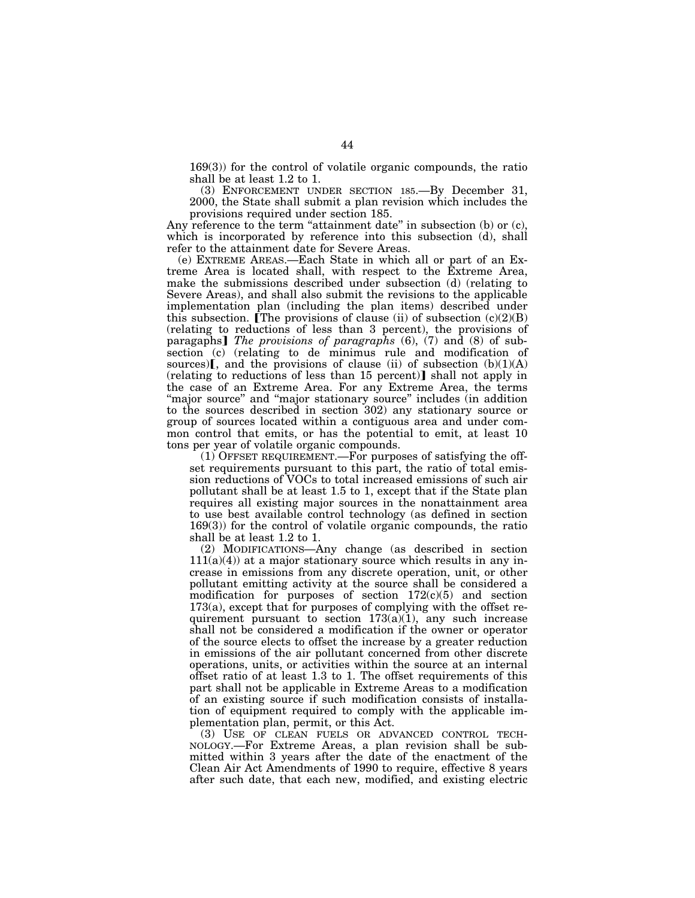169(3)) for the control of volatile organic compounds, the ratio shall be at least 1.2 to 1.

(3) ENFORCEMENT UNDER SECTION 185.—By December 31, 2000, the State shall submit a plan revision which includes the provisions required under section 185.

Any reference to the term "attainment date" in subsection (b) or  $(c)$ , which is incorporated by reference into this subsection (d), shall refer to the attainment date for Severe Areas.

(e) EXTREME AREAS.—Each State in which all or part of an Extreme Area is located shall, with respect to the Extreme Area, make the submissions described under subsection (d) (relating to Severe Areas), and shall also submit the revisions to the applicable implementation plan (including the plan items) described under this subsection. [The provisions of clause (ii) of subsection  $(c)(2)(B)$ (relating to reductions of less than 3 percent), the provisions of paragaphs¿ *The provisions of paragraphs* (6), (7) and (8) of subsection (c) (relating to de minimus rule and modification of sources), and the provisions of clause (ii) of subsection  $(b)(1)(A)$  $(\text{relating to reductions of less than 15 percent})$  shall not apply in the case of an Extreme Area. For any Extreme Area, the terms "major source" and "major stationary source" includes (in addition to the sources described in section 302) any stationary source or group of sources located within a contiguous area and under common control that emits, or has the potential to emit, at least 10 tons per year of volatile organic compounds.

(1) OFFSET REQUIREMENT.—For purposes of satisfying the offset requirements pursuant to this part, the ratio of total emission reductions of VOCs to total increased emissions of such air pollutant shall be at least 1.5 to 1, except that if the State plan requires all existing major sources in the nonattainment area to use best available control technology (as defined in section 169(3)) for the control of volatile organic compounds, the ratio shall be at least 1.2 to 1.

(2) MODIFICATIONS—Any change (as described in section  $111(a)(4)$ ) at a major stationary source which results in any increase in emissions from any discrete operation, unit, or other pollutant emitting activity at the source shall be considered a modification for purposes of section  $172(c)(5)$  and section 173(a), except that for purposes of complying with the offset requirement pursuant to section  $173(a)(1)$ , any such increase shall not be considered a modification if the owner or operator of the source elects to offset the increase by a greater reduction in emissions of the air pollutant concerned from other discrete operations, units, or activities within the source at an internal offset ratio of at least 1.3 to 1. The offset requirements of this part shall not be applicable in Extreme Areas to a modification of an existing source if such modification consists of installation of equipment required to comply with the applicable implementation plan, permit, or this Act.

(3) USE OF CLEAN FUELS OR ADVANCED CONTROL TECH-NOLOGY.—For Extreme Areas, a plan revision shall be submitted within 3 years after the date of the enactment of the Clean Air Act Amendments of 1990 to require, effective 8 years after such date, that each new, modified, and existing electric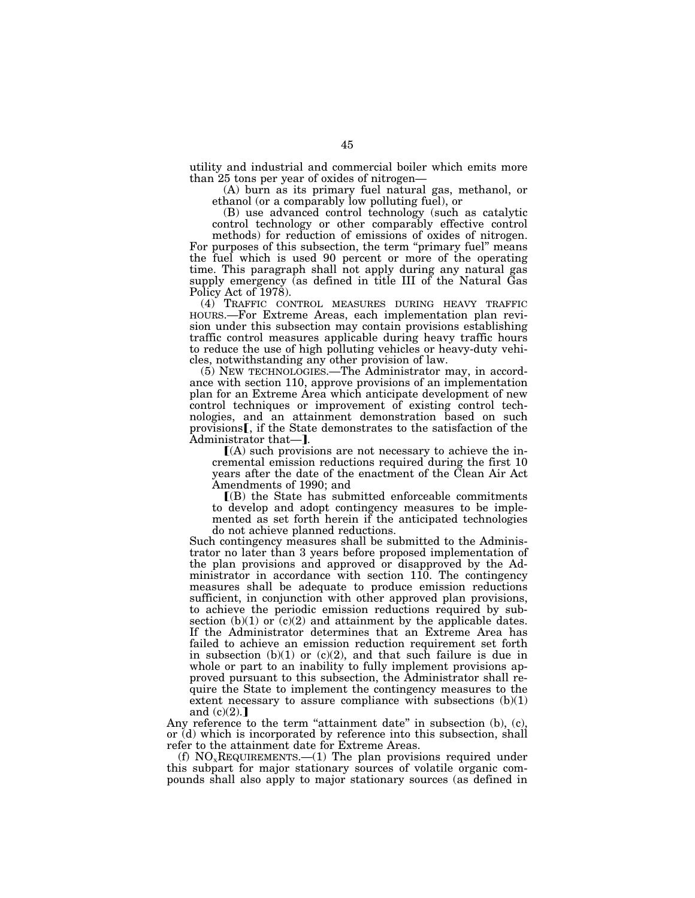utility and industrial and commercial boiler which emits more than 25 tons per year of oxides of nitrogen—

(A) burn as its primary fuel natural gas, methanol, or ethanol (or a comparably low polluting fuel), or

(B) use advanced control technology (such as catalytic control technology or other comparably effective control

methods) for reduction of emissions of oxides of nitrogen. For purposes of this subsection, the term "primary fuel" means the fuel which is used 90 percent or more of the operating time. This paragraph shall not apply during any natural gas supply emergency (as defined in title III of the Natural Gas Policy Act of 1978).

(4) TRAFFIC CONTROL MEASURES DURING HEAVY TRAFFIC HOURS.—For Extreme Areas, each implementation plan revision under this subsection may contain provisions establishing traffic control measures applicable during heavy traffic hours to reduce the use of high polluting vehicles or heavy-duty vehicles, notwithstanding any other provision of law.

(5) NEW TECHNOLOGIES.—The Administrator may, in accordance with section 110, approve provisions of an implementation plan for an Extreme Area which anticipate development of new control techniques or improvement of existing control technologies, and an attainment demonstration based on such provisions<sub>[,</sub> if the State demonstrates to the satisfaction of the Administrator that—**1**.

 $(A)$  such provisions are not necessary to achieve the incremental emission reductions required during the first 10 years after the date of the enactment of the Clean Air Act Amendments of 1990; and

 $\Gamma(B)$  the State has submitted enforceable commitments to develop and adopt contingency measures to be implemented as set forth herein if the anticipated technologies do not achieve planned reductions.

Such contingency measures shall be submitted to the Administrator no later than 3 years before proposed implementation of the plan provisions and approved or disapproved by the Administrator in accordance with section 110. The contingency measures shall be adequate to produce emission reductions sufficient, in conjunction with other approved plan provisions, to achieve the periodic emission reductions required by subsection  $(b)(1)$  or  $(c)(2)$  and attainment by the applicable dates. If the Administrator determines that an Extreme Area has failed to achieve an emission reduction requirement set forth in subsection  $(b)(1)$  or  $(c)(2)$ , and that such failure is due in whole or part to an inability to fully implement provisions approved pursuant to this subsection, the Administrator shall require the State to implement the contingency measures to the extent necessary to assure compliance with subsections  $(b)(1)$ and  $(c)(2)$ .

Any reference to the term "attainment date" in subsection  $(b)$ ,  $(c)$ , or (d) which is incorporated by reference into this subsection, shall refer to the attainment date for Extreme Areas.

(f)  $NO<sub>x</sub>REQUIREMENTS.$  The plan provisions required under this subpart for major stationary sources of volatile organic compounds shall also apply to major stationary sources (as defined in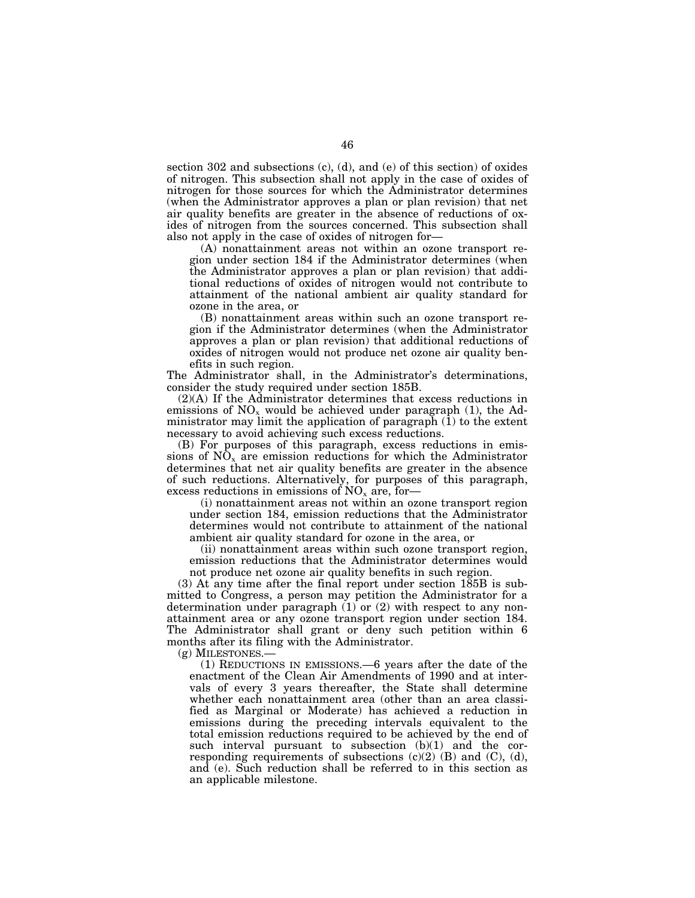section 302 and subsections (c), (d), and (e) of this section) of oxides of nitrogen. This subsection shall not apply in the case of oxides of nitrogen for those sources for which the Administrator determines (when the Administrator approves a plan or plan revision) that net air quality benefits are greater in the absence of reductions of oxides of nitrogen from the sources concerned. This subsection shall also not apply in the case of oxides of nitrogen for—

(A) nonattainment areas not within an ozone transport region under section 184 if the Administrator determines (when the Administrator approves a plan or plan revision) that additional reductions of oxides of nitrogen would not contribute to attainment of the national ambient air quality standard for ozone in the area, or

(B) nonattainment areas within such an ozone transport region if the Administrator determines (when the Administrator approves a plan or plan revision) that additional reductions of oxides of nitrogen would not produce net ozone air quality benefits in such region.

The Administrator shall, in the Administrator's determinations, consider the study required under section 185B.

(2)(A) If the Administrator determines that excess reductions in emissions of  $NO<sub>x</sub>$  would be achieved under paragraph (1), the Administrator may limit the application of paragraph (1) to the extent necessary to avoid achieving such excess reductions.

(B) For purposes of this paragraph, excess reductions in emissions of  $NO<sub>x</sub>$  are emission reductions for which the Administrator determines that net air quality benefits are greater in the absence of such reductions. Alternatively, for purposes of this paragraph, excess reductions in emissions of  $NO<sub>x</sub>$  are, for-

(i) nonattainment areas not within an ozone transport region under section 184, emission reductions that the Administrator determines would not contribute to attainment of the national ambient air quality standard for ozone in the area, or

(ii) nonattainment areas within such ozone transport region, emission reductions that the Administrator determines would not produce net ozone air quality benefits in such region.

(3) At any time after the final report under section 185B is submitted to Congress, a person may petition the Administrator for a determination under paragraph  $(1)$  or  $(2)$  with respect to any nonattainment area or any ozone transport region under section 184. The Administrator shall grant or deny such petition within 6 months after its filing with the Administrator.

(g) MILESTONES.—

(1) REDUCTIONS IN EMISSIONS.—6 years after the date of the enactment of the Clean Air Amendments of 1990 and at intervals of every 3 years thereafter, the State shall determine whether each nonattainment area (other than an area classified as Marginal or Moderate) has achieved a reduction in emissions during the preceding intervals equivalent to the total emission reductions required to be achieved by the end of such interval pursuant to subsection  $(b)(1)$  and the corresponding requirements of subsections  $(c)(2)$  (B) and (C), (d), and (e). Such reduction shall be referred to in this section as an applicable milestone.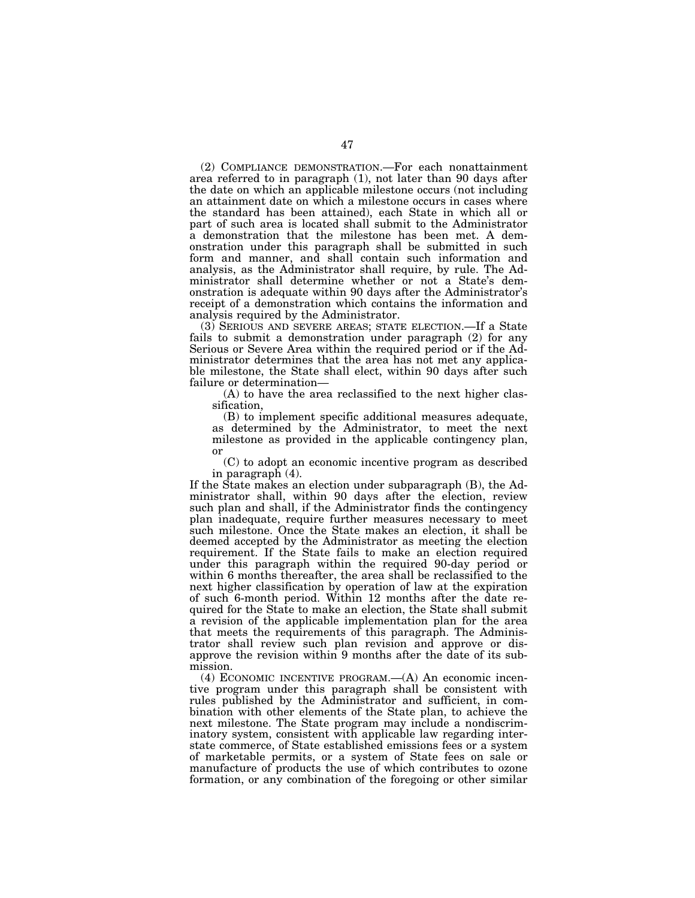(2) COMPLIANCE DEMONSTRATION.—For each nonattainment area referred to in paragraph (1), not later than 90 days after the date on which an applicable milestone occurs (not including an attainment date on which a milestone occurs in cases where the standard has been attained), each State in which all or part of such area is located shall submit to the Administrator a demonstration that the milestone has been met. A demonstration under this paragraph shall be submitted in such form and manner, and shall contain such information and analysis, as the Administrator shall require, by rule. The Administrator shall determine whether or not a State's demonstration is adequate within 90 days after the Administrator's receipt of a demonstration which contains the information and analysis required by the Administrator.

(3) SERIOUS AND SEVERE AREAS; STATE ELECTION.—If a State fails to submit a demonstration under paragraph (2) for any Serious or Severe Area within the required period or if the Administrator determines that the area has not met any applicable milestone, the State shall elect, within 90 days after such failure or determination—

(A) to have the area reclassified to the next higher classification,

(B) to implement specific additional measures adequate, as determined by the Administrator, to meet the next milestone as provided in the applicable contingency plan, or

(C) to adopt an economic incentive program as described in paragraph (4).

If the State makes an election under subparagraph (B), the Administrator shall, within 90 days after the election, review such plan and shall, if the Administrator finds the contingency plan inadequate, require further measures necessary to meet such milestone. Once the State makes an election, it shall be deemed accepted by the Administrator as meeting the election requirement. If the State fails to make an election required under this paragraph within the required 90-day period or within 6 months thereafter, the area shall be reclassified to the next higher classification by operation of law at the expiration of such 6-month period. Within 12 months after the date required for the State to make an election, the State shall submit a revision of the applicable implementation plan for the area that meets the requirements of this paragraph. The Administrator shall review such plan revision and approve or disapprove the revision within 9 months after the date of its submission.

(4) ECONOMIC INCENTIVE PROGRAM.—(A) An economic incentive program under this paragraph shall be consistent with rules published by the Administrator and sufficient, in combination with other elements of the State plan, to achieve the next milestone. The State program may include a nondiscriminatory system, consistent with applicable law regarding interstate commerce, of State established emissions fees or a system of marketable permits, or a system of State fees on sale or manufacture of products the use of which contributes to ozone formation, or any combination of the foregoing or other similar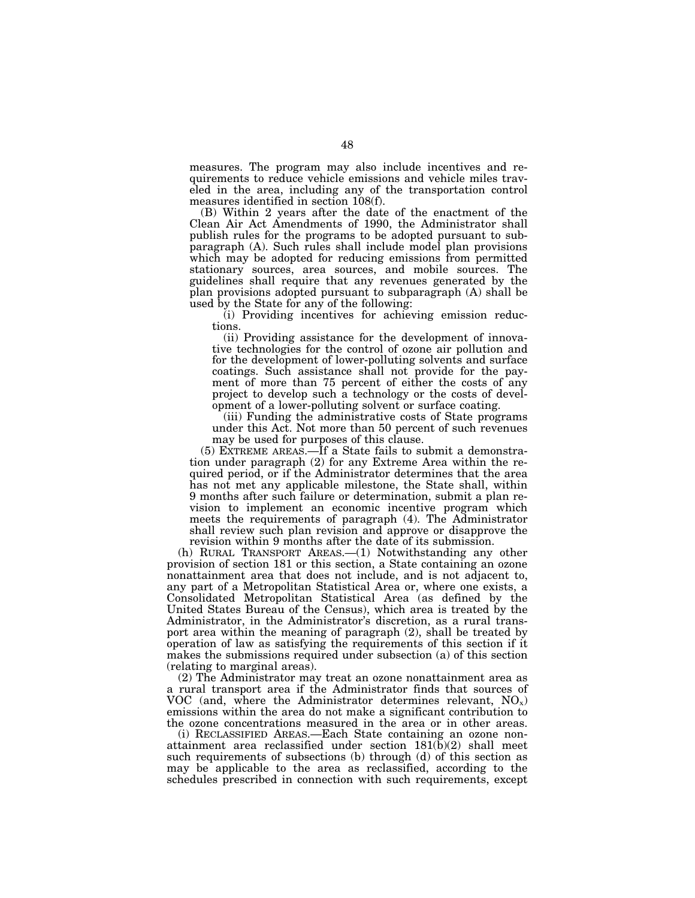measures. The program may also include incentives and requirements to reduce vehicle emissions and vehicle miles traveled in the area, including any of the transportation control measures identified in section 108(f).

(B) Within 2 years after the date of the enactment of the Clean Air Act Amendments of 1990, the Administrator shall publish rules for the programs to be adopted pursuant to subparagraph (A). Such rules shall include model plan provisions which may be adopted for reducing emissions from permitted stationary sources, area sources, and mobile sources. The guidelines shall require that any revenues generated by the plan provisions adopted pursuant to subparagraph (A) shall be used by the State for any of the following:

(i) Providing incentives for achieving emission reductions.

(ii) Providing assistance for the development of innovative technologies for the control of ozone air pollution and for the development of lower-polluting solvents and surface coatings. Such assistance shall not provide for the payment of more than 75 percent of either the costs of any project to develop such a technology or the costs of development of a lower-polluting solvent or surface coating.

(iii) Funding the administrative costs of State programs under this Act. Not more than 50 percent of such revenues may be used for purposes of this clause.

(5) EXTREME AREAS.—If a State fails to submit a demonstration under paragraph (2) for any Extreme Area within the required period, or if the Administrator determines that the area has not met any applicable milestone, the State shall, within 9 months after such failure or determination, submit a plan revision to implement an economic incentive program which meets the requirements of paragraph (4). The Administrator shall review such plan revision and approve or disapprove the revision within 9 months after the date of its submission.

(h) RURAL TRANSPORT AREAS.—(1) Notwithstanding any other provision of section 181 or this section, a State containing an ozone nonattainment area that does not include, and is not adjacent to, any part of a Metropolitan Statistical Area or, where one exists, a Consolidated Metropolitan Statistical Area (as defined by the United States Bureau of the Census), which area is treated by the Administrator, in the Administrator's discretion, as a rural transport area within the meaning of paragraph (2), shall be treated by operation of law as satisfying the requirements of this section if it makes the submissions required under subsection (a) of this section (relating to marginal areas).

(2) The Administrator may treat an ozone nonattainment area as a rural transport area if the Administrator finds that sources of VOC (and, where the Administrator determines relevant,  $NO_x$ ) emissions within the area do not make a significant contribution to the ozone concentrations measured in the area or in other areas.

(i) RECLASSIFIED AREAS.—Each State containing an ozone nonattainment area reclassified under section  $181(\bar{b})(2)$  shall meet such requirements of subsections (b) through (d) of this section as may be applicable to the area as reclassified, according to the schedules prescribed in connection with such requirements, except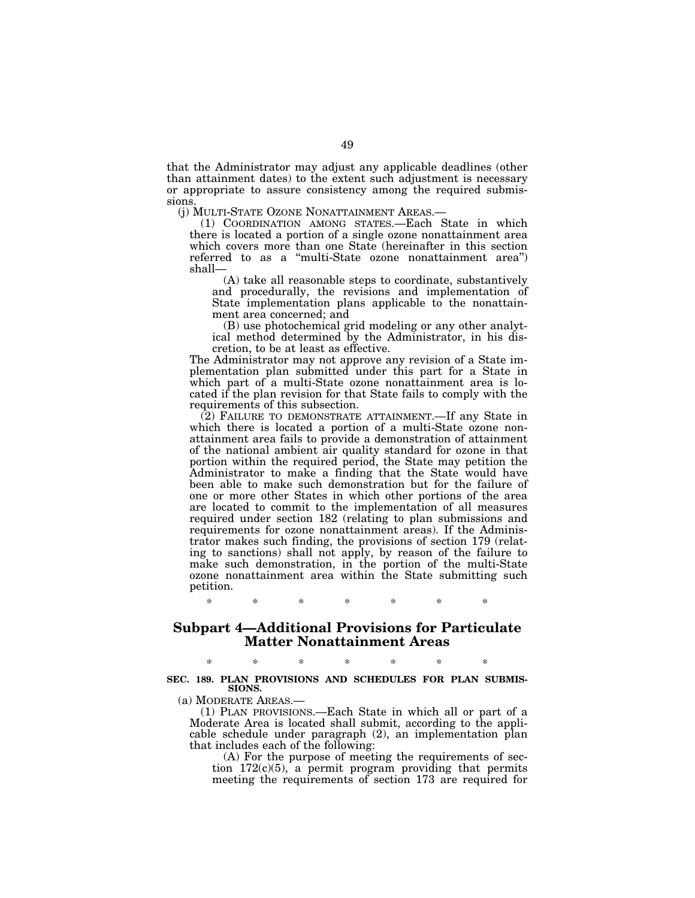that the Administrator may adjust any applicable deadlines (other than attainment dates) to the extent such adjustment is necessary or appropriate to assure consistency among the required submissions.<br>(j) MULTI-STATE OZONE NONATTAINMENT AREAS.—

(1) COORDINATION AMONG STATES.— Each State in which there is located a portion of a single ozone nonattainment area which covers more than one State (hereinafter in this section referred to as a ''multi-State ozone nonattainment area'') shall—

(A) take all reasonable steps to coordinate, substantively and procedurally, the revisions and implementation of State implementation plans applicable to the nonattainment area concerned; and

(B) use photochemical grid modeling or any other analytical method determined by the Administrator, in his discretion, to be at least as effective.

The Administrator may not approve any revision of a State implementation plan submitted under this part for a State in which part of a multi-State ozone nonattainment area is located if the plan revision for that State fails to comply with the requirements of this subsection.

(2) FAILURE TO DEMONSTRATE ATTAINMENT.—If any State in which there is located a portion of a multi-State ozone nonattainment area fails to provide a demonstration of attainment of the national ambient air quality standard for ozone in that portion within the required period, the State may petition the Administrator to make a finding that the State would have been able to make such demonstration but for the failure of one or more other States in which other portions of the area are located to commit to the implementation of all measures required under section 182 (relating to plan submissions and requirements for ozone nonattainment areas). If the Administrator makes such finding, the provisions of section 179 (relating to sanctions) shall not apply, by reason of the failure to make such demonstration, in the portion of the multi-State ozone nonattainment area within the State submitting such petition.

\* \* \* \* \* \* \*

# **Subpart 4—Additional Provisions for Particulate Matter Nonattainment Areas**

\* \* \* \* \* \* \* **SEC. 189. PLAN PROVISIONS AND SCHEDULES FOR PLAN SUBMIS-SIONS.** 

(a) MODERATE AREAS.—

(1) PLAN PROVISIONS.—Each State in which all or part of a Moderate Area is located shall submit, according to the applicable schedule under paragraph (2), an implementation plan that includes each of the following:

(A) For the purpose of meeting the requirements of section  $172(c)(5)$ , a permit program providing that permits meeting the requirements of section 173 are required for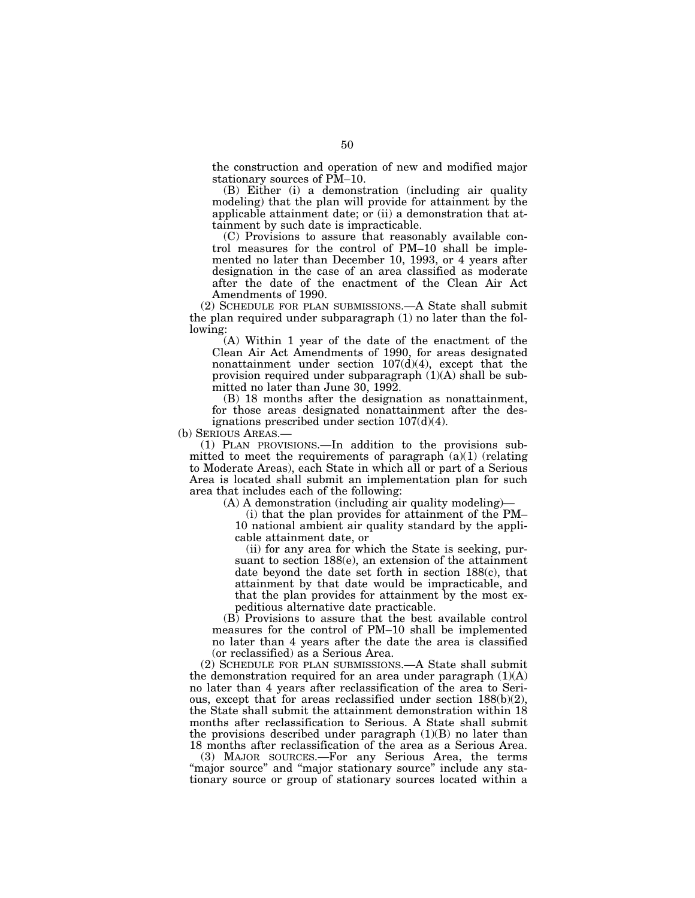the construction and operation of new and modified major stationary sources of PM–10.

(B) Either (i) a demonstration (including air quality modeling) that the plan will provide for attainment by the applicable attainment date; or (ii) a demonstration that attainment by such date is impracticable.

(C) Provisions to assure that reasonably available control measures for the control of PM–10 shall be implemented no later than December 10, 1993, or 4 years after designation in the case of an area classified as moderate after the date of the enactment of the Clean Air Act Amendments of 1990.

(2) SCHEDULE FOR PLAN SUBMISSIONS.—A State shall submit the plan required under subparagraph (1) no later than the following:

(A) Within 1 year of the date of the enactment of the Clean Air Act Amendments of 1990, for areas designated nonattainment under section 107(d)(4), except that the provision required under subparagraph  $(1)(A)$  shall be submitted no later than June 30, 1992.

(B) 18 months after the designation as nonattainment, for those areas designated nonattainment after the designations prescribed under section 107(d)(4).

(b) SERIOUS AREAS.—

(1) PLAN PROVISIONS.—In addition to the provisions submitted to meet the requirements of paragraph  $(a)(1)$  (relating to Moderate Areas), each State in which all or part of a Serious Area is located shall submit an implementation plan for such area that includes each of the following:

(A) A demonstration (including air quality modeling)—

(i) that the plan provides for attainment of the PM– 10 national ambient air quality standard by the applicable attainment date, or

(ii) for any area for which the State is seeking, pursuant to section 188(e), an extension of the attainment date beyond the date set forth in section 188(c), that attainment by that date would be impracticable, and that the plan provides for attainment by the most expeditious alternative date practicable.

(B) Provisions to assure that the best available control measures for the control of PM–10 shall be implemented no later than 4 years after the date the area is classified (or reclassified) as a Serious Area.

(2) SCHEDULE FOR PLAN SUBMISSIONS.—A State shall submit the demonstration required for an area under paragraph (1)(A) no later than 4 years after reclassification of the area to Serious, except that for areas reclassified under section  $188(b)(2)$ , the State shall submit the attainment demonstration within 18 months after reclassification to Serious. A State shall submit the provisions described under paragraph  $(1)(B)$  no later than 18 months after reclassification of the area as a Serious Area.

(3) MAJOR SOURCES.—For any Serious Area, the terms "major source" and "major stationary source" include any stationary source or group of stationary sources located within a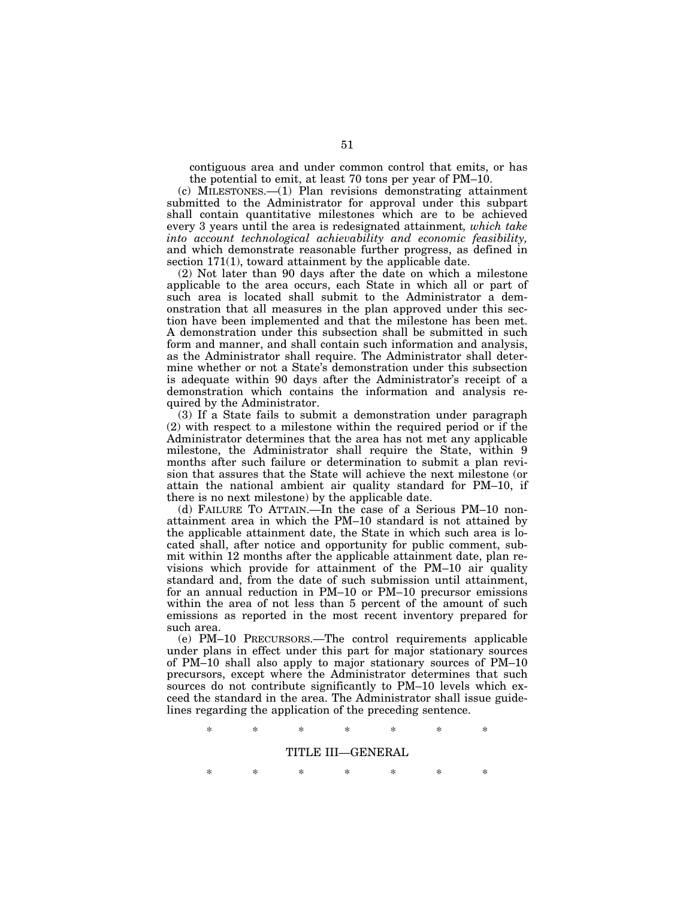contiguous area and under common control that emits, or has the potential to emit, at least 70 tons per year of PM–10.

(c) MILESTONES.—(1) Plan revisions demonstrating attainment submitted to the Administrator for approval under this subpart shall contain quantitative milestones which are to be achieved every 3 years until the area is redesignated attainment*, which take into account technological achievability and economic feasibility,*  and which demonstrate reasonable further progress, as defined in section 171(1), toward attainment by the applicable date.

(2) Not later than 90 days after the date on which a milestone applicable to the area occurs, each State in which all or part of such area is located shall submit to the Administrator a demonstration that all measures in the plan approved under this section have been implemented and that the milestone has been met. A demonstration under this subsection shall be submitted in such form and manner, and shall contain such information and analysis, as the Administrator shall require. The Administrator shall determine whether or not a State's demonstration under this subsection is adequate within 90 days after the Administrator's receipt of a demonstration which contains the information and analysis required by the Administrator.

(3) If a State fails to submit a demonstration under paragraph (2) with respect to a milestone within the required period or if the Administrator determines that the area has not met any applicable milestone, the Administrator shall require the State, within 9 months after such failure or determination to submit a plan revision that assures that the State will achieve the next milestone (or attain the national ambient air quality standard for PM–10, if there is no next milestone) by the applicable date.

(d) FAILURE TO ATTAIN.—In the case of a Serious PM–10 nonattainment area in which the PM–10 standard is not attained by the applicable attainment date, the State in which such area is located shall, after notice and opportunity for public comment, submit within 12 months after the applicable attainment date, plan revisions which provide for attainment of the PM–10 air quality standard and, from the date of such submission until attainment, for an annual reduction in PM–10 or PM–10 precursor emissions within the area of not less than 5 percent of the amount of such emissions as reported in the most recent inventory prepared for such area.

(e) PM–10 PRECURSORS.—The control requirements applicable under plans in effect under this part for major stationary sources of PM–10 shall also apply to major stationary sources of PM–10 precursors, except where the Administrator determines that such sources do not contribute significantly to PM–10 levels which exceed the standard in the area. The Administrator shall issue guidelines regarding the application of the preceding sentence.

\* \* \* \* \* \* \*

### TITLE III—GENERAL

\* \* \* \* \* \* \*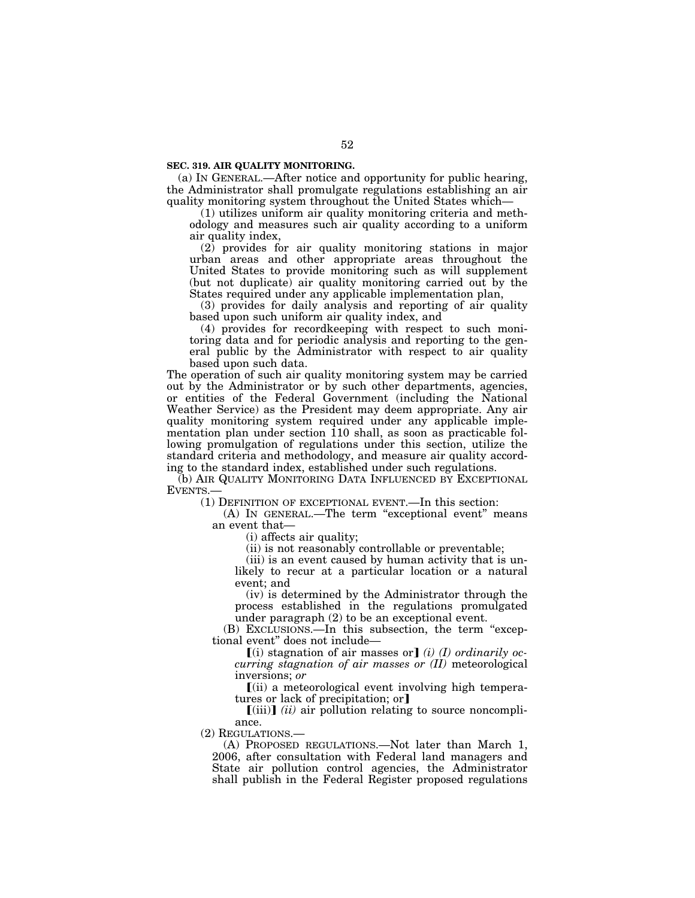#### **SEC. 319. AIR QUALITY MONITORING.**

(a) IN GENERAL.—After notice and opportunity for public hearing, the Administrator shall promulgate regulations establishing an air quality monitoring system throughout the United States which—

(1) utilizes uniform air quality monitoring criteria and methodology and measures such air quality according to a uniform air quality index,

(2) provides for air quality monitoring stations in major urban areas and other appropriate areas throughout the United States to provide monitoring such as will supplement (but not duplicate) air quality monitoring carried out by the States required under any applicable implementation plan,

(3) provides for daily analysis and reporting of air quality based upon such uniform air quality index, and

(4) provides for recordkeeping with respect to such monitoring data and for periodic analysis and reporting to the general public by the Administrator with respect to air quality based upon such data.

The operation of such air quality monitoring system may be carried out by the Administrator or by such other departments, agencies, or entities of the Federal Government (including the National Weather Service) as the President may deem appropriate. Any air quality monitoring system required under any applicable implementation plan under section 110 shall, as soon as practicable following promulgation of regulations under this section, utilize the standard criteria and methodology, and measure air quality according to the standard index, established under such regulations.

(b) AIR QUALITY MONITORING DATA INFLUENCED BY EXCEPTIONAL EVENTS.—

(1) DEFINITION OF EXCEPTIONAL EVENT.—In this section:

(A) IN GENERAL.—The term "exceptional event" means an event that—

(i) affects air quality;

(ii) is not reasonably controllable or preventable;

(iii) is an event caused by human activity that is unlikely to recur at a particular location or a natural event; and

(iv) is determined by the Administrator through the process established in the regulations promulgated under paragraph (2) to be an exceptional event.

(B) EXCLUSIONS.—In this subsection, the term ''exceptional event'' does not include—

 $(i)$  stagnation of air masses or $j$  (i) (I) ordinarily oc*curring stagnation of air masses or (II)* meteorological inversions; *or* 

 $(iii)$  a meteorological event involving high temperatures or lack of precipitation; or

 $\lbrack$ (iii) $\rbrack$  *(ii)* air pollution relating to source noncompliance.

(2) REGULATIONS.—

(A) PROPOSED REGULATIONS.—Not later than March 1, 2006, after consultation with Federal land managers and State air pollution control agencies, the Administrator shall publish in the Federal Register proposed regulations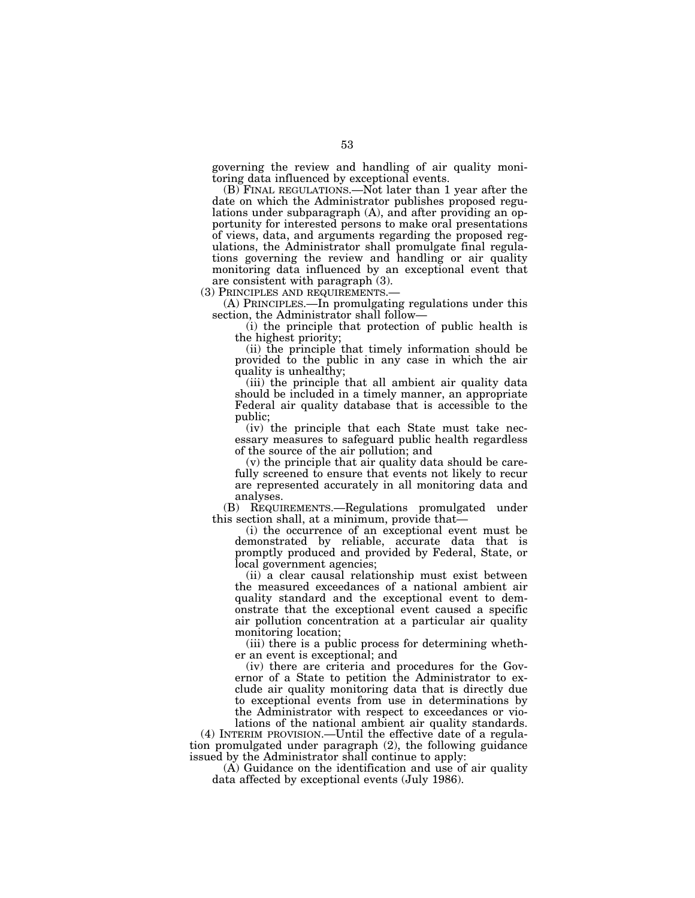governing the review and handling of air quality monitoring data influenced by exceptional events.

(B) FINAL REGULATIONS.—Not later than 1 year after the date on which the Administrator publishes proposed regulations under subparagraph (A), and after providing an opportunity for interested persons to make oral presentations of views, data, and arguments regarding the proposed regulations, the Administrator shall promulgate final regulations governing the review and handling or air quality monitoring data influenced by an exceptional event that are consistent with paragraph (3).

(3) PRINCIPLES AND REQUIREMENTS.—

(A) PRINCIPLES.—In promulgating regulations under this section, the Administrator shall follow—

(i) the principle that protection of public health is the highest priority;

(ii) the principle that timely information should be provided to the public in any case in which the air quality is unhealthy;

(iii) the principle that all ambient air quality data should be included in a timely manner, an appropriate Federal air quality database that is accessible to the public;

(iv) the principle that each State must take necessary measures to safeguard public health regardless of the source of the air pollution; and

(v) the principle that air quality data should be carefully screened to ensure that events not likely to recur are represented accurately in all monitoring data and analyses.

(B) REQUIREMENTS.—Regulations promulgated under this section shall, at a minimum, provide that—

(i) the occurrence of an exceptional event must be demonstrated by reliable, accurate data that is promptly produced and provided by Federal, State, or local government agencies;

(ii) a clear causal relationship must exist between the measured exceedances of a national ambient air quality standard and the exceptional event to demonstrate that the exceptional event caused a specific air pollution concentration at a particular air quality monitoring location;

(iii) there is a public process for determining whether an event is exceptional; and

(iv) there are criteria and procedures for the Governor of a State to petition the Administrator to exclude air quality monitoring data that is directly due to exceptional events from use in determinations by the Administrator with respect to exceedances or vio-

lations of the national ambient air quality standards. (4) INTERIM PROVISION.—Until the effective date of a regulation promulgated under paragraph (2), the following guidance issued by the Administrator shall continue to apply:

(A) Guidance on the identification and use of air quality data affected by exceptional events (July 1986).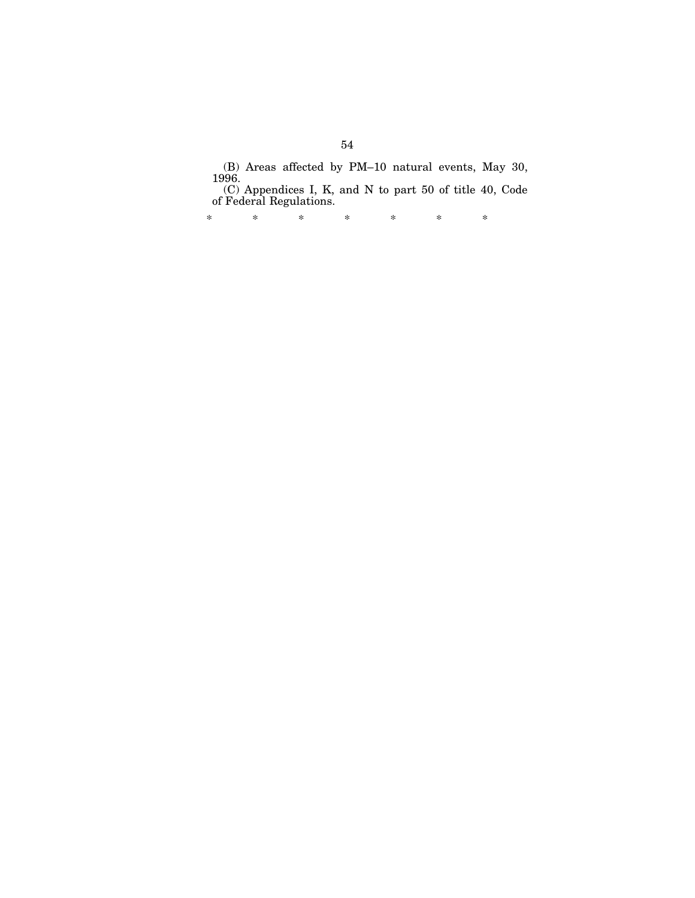(B) Areas affected by PM–10 natural events, May 30, 1996.

(C) Appendices I, K, and N to part 50 of title 40, Code of Federal Regulations.

\* \* \* \* \* \* \*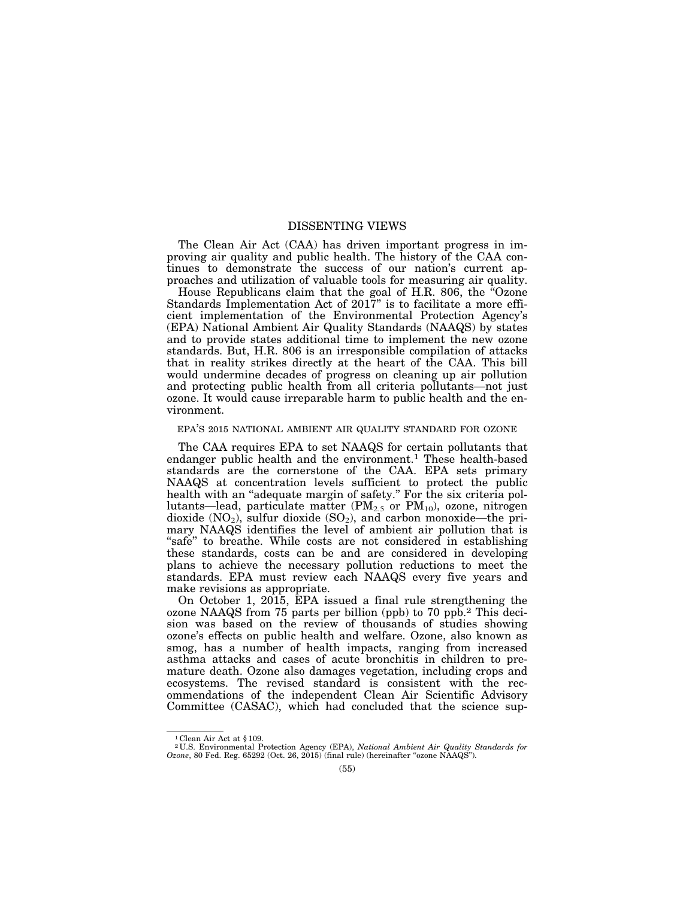# DISSENTING VIEWS

The Clean Air Act (CAA) has driven important progress in improving air quality and public health. The history of the CAA continues to demonstrate the success of our nation's current approaches and utilization of valuable tools for measuring air quality.

House Republicans claim that the goal of H.R. 806, the ''Ozone Standards Implementation Act of 2017" is to facilitate a more efficient implementation of the Environmental Protection Agency's (EPA) National Ambient Air Quality Standards (NAAQS) by states and to provide states additional time to implement the new ozone standards. But, H.R. 806 is an irresponsible compilation of attacks that in reality strikes directly at the heart of the CAA. This bill would undermine decades of progress on cleaning up air pollution and protecting public health from all criteria pollutants—not just ozone. It would cause irreparable harm to public health and the environment.

### EPA'S 2015 NATIONAL AMBIENT AIR QUALITY STANDARD FOR OZONE

The CAA requires EPA to set NAAQS for certain pollutants that endanger public health and the environment.<sup>1</sup> These health-based standards are the cornerstone of the CAA. EPA sets primary NAAQS at concentration levels sufficient to protect the public health with an "adequate margin of safety." For the six criteria pollutants—lead, particulate matter  $(PM_{2.5}$  or  $PM_{10}$ ), ozone, nitrogen dioxide  $(NO<sub>2</sub>)$ , sulfur dioxide  $(SO<sub>2</sub>)$ , and carbon monoxide—the primary NAAQS identifies the level of ambient air pollution that is "safe" to breathe. While costs are not considered in establishing these standards, costs can be and are considered in developing plans to achieve the necessary pollution reductions to meet the standards. EPA must review each NAAQS every five years and make revisions as appropriate.

On October 1, 2015, EPA issued a final rule strengthening the ozone NAAQS from 75 parts per billion (ppb) to 70 ppb.2 This decision was based on the review of thousands of studies showing ozone's effects on public health and welfare. Ozone, also known as smog, has a number of health impacts, ranging from increased asthma attacks and cases of acute bronchitis in children to premature death. Ozone also damages vegetation, including crops and ecosystems. The revised standard is consistent with the recommendations of the independent Clean Air Scientific Advisory Committee (CASAC), which had concluded that the science sup-

<sup>&</sup>lt;sup>1</sup> Clean Air Act at § 109.

<sup>&</sup>lt;sup>2</sup> U.S. Environmental Protection Agency (EPA), *National Ambient Air Quality Standards for Ozone*, 80 Fed. Reg. 65292 (Oct. 26, 2015) (final rule) (hereinafter "ozone NAAQS").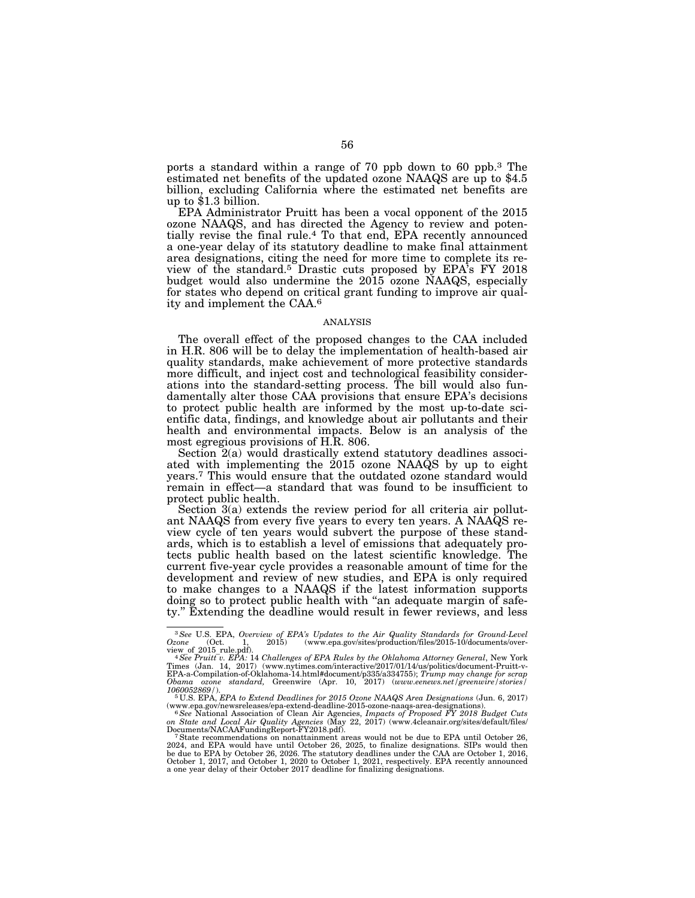ports a standard within a range of 70 ppb down to 60 ppb.3 The estimated net benefits of the updated ozone NAAQS are up to \$4.5 billion, excluding California where the estimated net benefits are up to \$1.3 billion.

EPA Administrator Pruitt has been a vocal opponent of the 2015 ozone NAAQS, and has directed the Agency to review and potentially revise the final rule.4 To that end, EPA recently announced a one-year delay of its statutory deadline to make final attainment area designations, citing the need for more time to complete its review of the standard.<sup>5</sup> Drastic cuts proposed by EPA's FY 2018 budget would also undermine the 2015 ozone NAAQS, especially for states who depend on critical grant funding to improve air quality and implement the CAA.6

#### ANALYSIS

The overall effect of the proposed changes to the CAA included in H.R. 806 will be to delay the implementation of health-based air quality standards, make achievement of more protective standards more difficult, and inject cost and technological feasibility considerations into the standard-setting process. The bill would also fundamentally alter those CAA provisions that ensure EPA's decisions to protect public health are informed by the most up-to-date scientific data, findings, and knowledge about air pollutants and their health and environmental impacts. Below is an analysis of the most egregious provisions of H.R. 806.

Section 2(a) would drastically extend statutory deadlines associated with implementing the 2015 ozone NAAQS by up to eight years.7 This would ensure that the outdated ozone standard would remain in effect—a standard that was found to be insufficient to protect public health.

Section 3(a) extends the review period for all criteria air pollutant NAAQS from every five years to every ten years. A NAAQS review cycle of ten years would subvert the purpose of these standards, which is to establish a level of emissions that adequately protects public health based on the latest scientific knowledge. The current five-year cycle provides a reasonable amount of time for the development and review of new studies, and EPA is only required to make changes to a NAAQS if the latest information supports doing so to protect public health with "an adequate margin of safety.'' Extending the deadline would result in fewer reviews, and less

<sup>3</sup>*See* U.S. EPA, *Overview of EPA's Updates to the Air Quality Standards for Ground-Level Ozone* (Oct. 1, 2015) (www.epa.gov/sites/production/files/2015-10/documents/over-view\_of\_2015\_rule.pdf). 4*See Pruitt v. EPA:* 14 *Challenges of EPA Rules by the Oklahoma Attorney General*, New York

Times (Jan. 14, 2017) (www.nytimes.com/interactive/2017/01/14/us/politics/document-Pruitt-v-<br>EPA-a-Compilation-of-Oklahoma-14.html#document/p335/a334755); *Trump may change for scrap*<br>*Obama ozone standard*,

<sup>&</sup>lt;sup>16000</sup>52007/). 5 U.S. EPA, *EPA to Extend Deadlines for 2015 Ozone NAAQS Area Designations* (Jun. 6, 2017)<br>(www.epa.gov/newsreleases/epa-extend-deadline-2015-ozone-naags-area-designations).

<sup>(</sup>www.epa.gov/newsreleases/epa-extend-deadline-2015-ozone-naaqs-area-designations).<br>
<sup>6</sup> See National Association of Clean Air Agencies, *Impacts of Proposed FY 2018 Budget Cuts*<br> *on State and Local Air Quality Agencies* (

<sup>&</sup>lt;sup>7</sup> State recommendations on nonattainment areas would not be due to EPA until October 26, 2024, and EPA would have until October 26, 2025, to finalize designations. SIPs would then be due to EPA by October 26, 2026. The statutory deadlines under the CAA are October 1, 2016, October 1, 2017, and October 1, 2020 to October 1, 2021, respectively. EPA recently announced a one year delay of their October 2017 deadline for finalizing designations.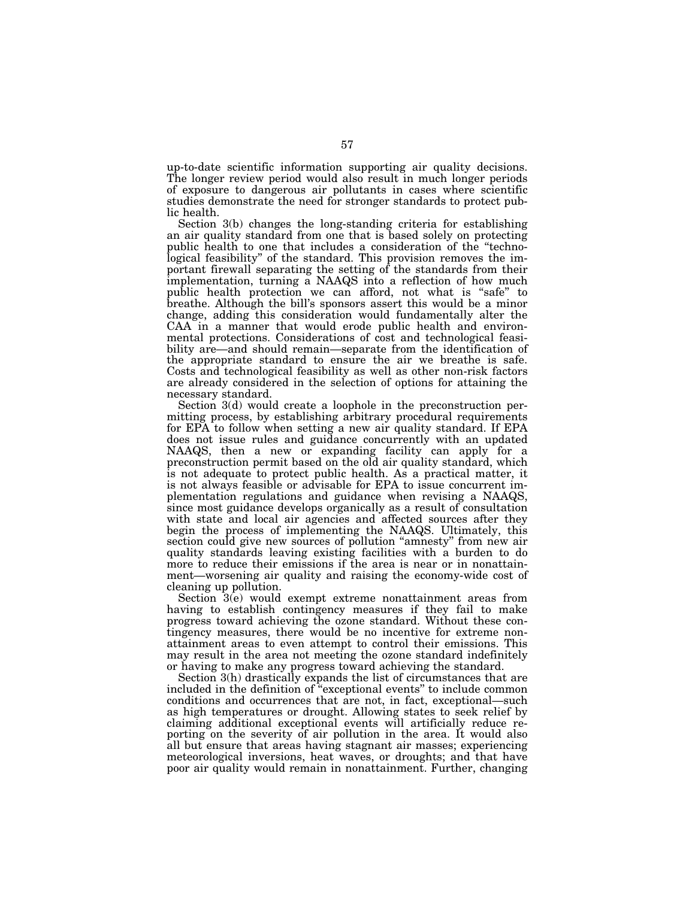up-to-date scientific information supporting air quality decisions. The longer review period would also result in much longer periods of exposure to dangerous air pollutants in cases where scientific studies demonstrate the need for stronger standards to protect public health.

Section 3(b) changes the long-standing criteria for establishing an air quality standard from one that is based solely on protecting public health to one that includes a consideration of the ''technological feasibility'' of the standard. This provision removes the important firewall separating the setting of the standards from their implementation, turning a NAAQS into a reflection of how much public health protection we can afford, not what is ''safe'' to breathe. Although the bill's sponsors assert this would be a minor change, adding this consideration would fundamentally alter the CAA in a manner that would erode public health and environmental protections. Considerations of cost and technological feasibility are—and should remain—separate from the identification of the appropriate standard to ensure the air we breathe is safe. Costs and technological feasibility as well as other non-risk factors are already considered in the selection of options for attaining the necessary standard.

Section 3(d) would create a loophole in the preconstruction permitting process, by establishing arbitrary procedural requirements for EPA to follow when setting a new air quality standard. If EPA does not issue rules and guidance concurrently with an updated NAAQS, then a new or expanding facility can apply for a preconstruction permit based on the old air quality standard, which is not adequate to protect public health. As a practical matter, it is not always feasible or advisable for EPA to issue concurrent implementation regulations and guidance when revising a NAAQS, since most guidance develops organically as a result of consultation with state and local air agencies and affected sources after they begin the process of implementing the NAAQS. Ultimately, this section could give new sources of pollution "amnesty" from new air quality standards leaving existing facilities with a burden to do more to reduce their emissions if the area is near or in nonattainment—worsening air quality and raising the economy-wide cost of cleaning up pollution.

Section 3(e) would exempt extreme nonattainment areas from having to establish contingency measures if they fail to make progress toward achieving the ozone standard. Without these contingency measures, there would be no incentive for extreme nonattainment areas to even attempt to control their emissions. This may result in the area not meeting the ozone standard indefinitely or having to make any progress toward achieving the standard.

Section 3(h) drastically expands the list of circumstances that are included in the definition of ''exceptional events'' to include common conditions and occurrences that are not, in fact, exceptional—such as high temperatures or drought. Allowing states to seek relief by claiming additional exceptional events will artificially reduce reporting on the severity of air pollution in the area. It would also all but ensure that areas having stagnant air masses; experiencing meteorological inversions, heat waves, or droughts; and that have poor air quality would remain in nonattainment. Further, changing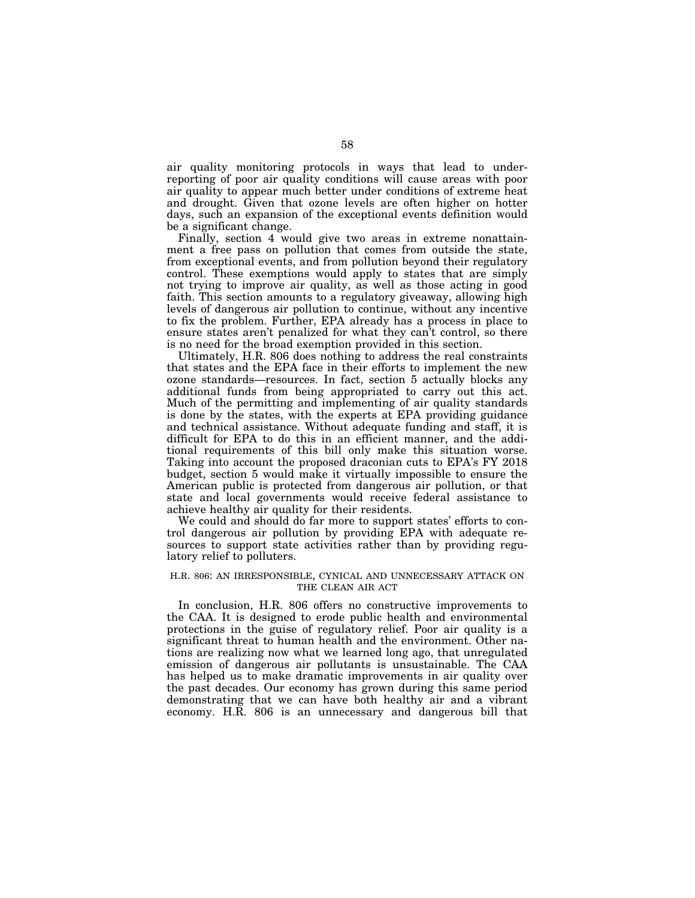air quality monitoring protocols in ways that lead to underreporting of poor air quality conditions will cause areas with poor air quality to appear much better under conditions of extreme heat and drought. Given that ozone levels are often higher on hotter days, such an expansion of the exceptional events definition would be a significant change.

Finally, section 4 would give two areas in extreme nonattainment a free pass on pollution that comes from outside the state, from exceptional events, and from pollution beyond their regulatory control. These exemptions would apply to states that are simply not trying to improve air quality, as well as those acting in good faith. This section amounts to a regulatory giveaway, allowing high levels of dangerous air pollution to continue, without any incentive to fix the problem. Further, EPA already has a process in place to ensure states aren't penalized for what they can't control, so there is no need for the broad exemption provided in this section.

Ultimately, H.R. 806 does nothing to address the real constraints that states and the EPA face in their efforts to implement the new ozone standards—resources. In fact, section 5 actually blocks any additional funds from being appropriated to carry out this act. Much of the permitting and implementing of air quality standards is done by the states, with the experts at EPA providing guidance and technical assistance. Without adequate funding and staff, it is difficult for EPA to do this in an efficient manner, and the additional requirements of this bill only make this situation worse. Taking into account the proposed draconian cuts to EPA's FY 2018 budget, section 5 would make it virtually impossible to ensure the American public is protected from dangerous air pollution, or that state and local governments would receive federal assistance to achieve healthy air quality for their residents.

We could and should do far more to support states' efforts to control dangerous air pollution by providing EPA with adequate resources to support state activities rather than by providing regulatory relief to polluters.

# H.R. 806: AN IRRESPONSIBLE, CYNICAL AND UNNECESSARY ATTACK ON THE CLEAN AIR ACT

In conclusion, H.R. 806 offers no constructive improvements to the CAA. It is designed to erode public health and environmental protections in the guise of regulatory relief. Poor air quality is a significant threat to human health and the environment. Other nations are realizing now what we learned long ago, that unregulated emission of dangerous air pollutants is unsustainable. The CAA has helped us to make dramatic improvements in air quality over the past decades. Our economy has grown during this same period demonstrating that we can have both healthy air and a vibrant economy. H.R. 806 is an unnecessary and dangerous bill that